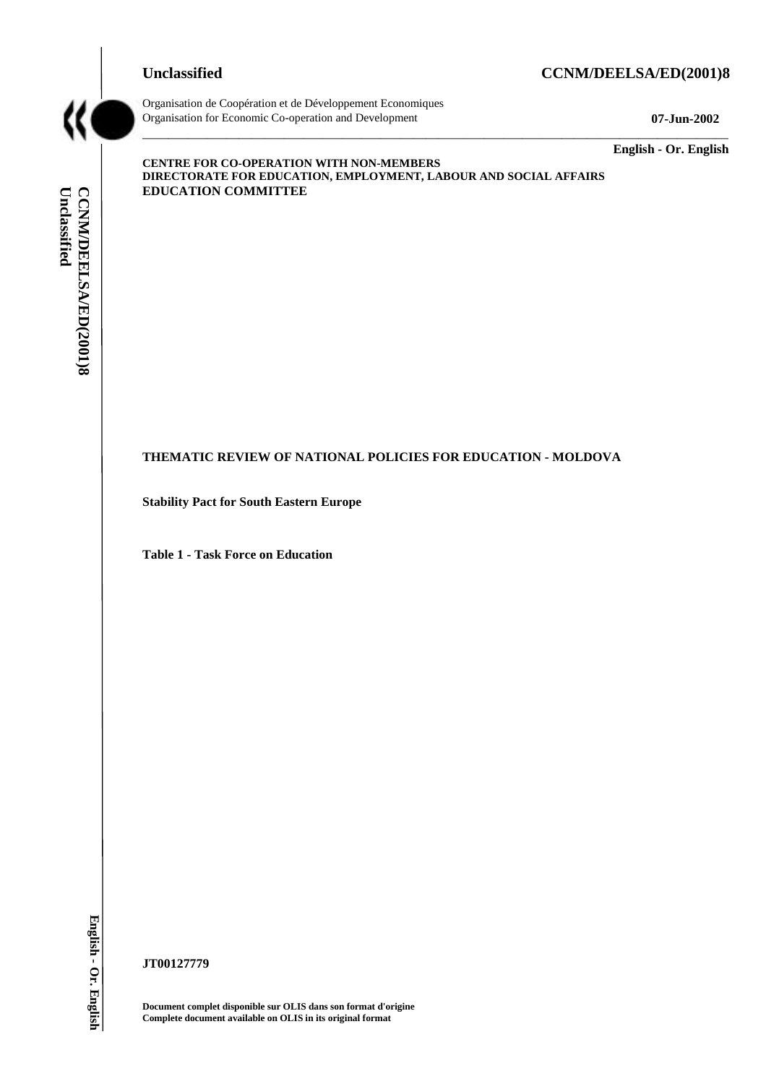# **Unclassified CCNM/DEELSA/ED(2001)8**



Organisation de Coopération et de Développement Economiques Organisation for Economic Co-operation and Development **07-Jun-2002**

**English - Or. English**

# Unclassified CCNM/DEELSA/ED(2001)8 **Unclassified CCNM/DEELSA/ED(2001)8**

#### **CENTRE FOR CO-OPERATION WITH NON-MEMBERS DIRECTORATE FOR EDUCATION, EMPLOYMENT, LABOUR AND SOCIAL AFFAIRS EDUCATION COMMITTEE**

\_\_\_\_\_\_\_\_\_\_\_\_\_\_\_\_\_\_\_\_\_\_\_\_\_\_\_\_\_\_\_\_\_\_\_\_\_\_\_\_\_\_\_\_\_\_\_\_\_\_\_\_\_\_\_\_\_\_\_\_\_\_\_\_\_\_\_\_\_\_\_\_\_\_\_\_\_\_\_\_\_\_\_\_\_\_\_\_\_\_\_

# **THEMATIC REVIEW OF NATIONAL POLICIES FOR EDUCATION - MOLDOVA**

**Stability Pact for South Eastern Europe**

**Table 1 - Task Force on Education**

**JT00127779**

**Document complet disponible sur OLIS dans son format d'origine Complete document available on OLIS in its original format**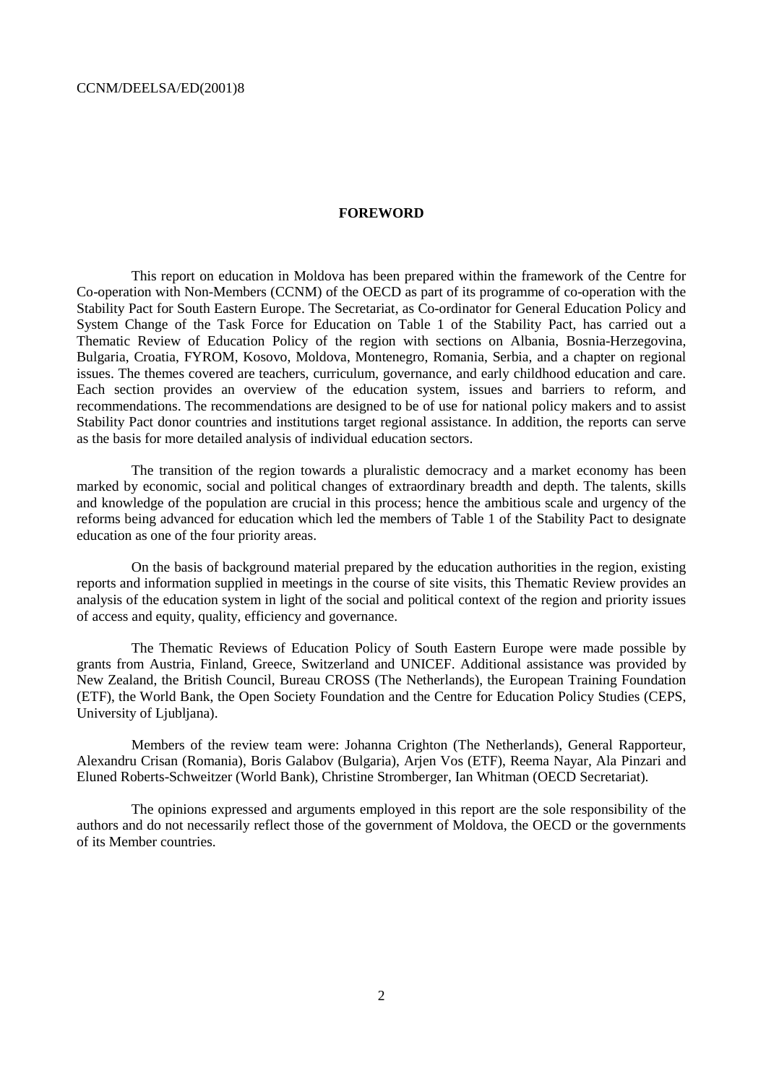#### **FOREWORD**

This report on education in Moldova has been prepared within the framework of the Centre for Co-operation with Non-Members (CCNM) of the OECD as part of its programme of co-operation with the Stability Pact for South Eastern Europe. The Secretariat, as Co-ordinator for General Education Policy and System Change of the Task Force for Education on Table 1 of the Stability Pact, has carried out a Thematic Review of Education Policy of the region with sections on Albania, Bosnia-Herzegovina, Bulgaria, Croatia, FYROM, Kosovo, Moldova, Montenegro, Romania, Serbia, and a chapter on regional issues. The themes covered are teachers, curriculum, governance, and early childhood education and care. Each section provides an overview of the education system, issues and barriers to reform, and recommendations. The recommendations are designed to be of use for national policy makers and to assist Stability Pact donor countries and institutions target regional assistance. In addition, the reports can serve as the basis for more detailed analysis of individual education sectors.

The transition of the region towards a pluralistic democracy and a market economy has been marked by economic, social and political changes of extraordinary breadth and depth. The talents, skills and knowledge of the population are crucial in this process; hence the ambitious scale and urgency of the reforms being advanced for education which led the members of Table 1 of the Stability Pact to designate education as one of the four priority areas.

On the basis of background material prepared by the education authorities in the region, existing reports and information supplied in meetings in the course of site visits, this Thematic Review provides an analysis of the education system in light of the social and political context of the region and priority issues of access and equity, quality, efficiency and governance.

The Thematic Reviews of Education Policy of South Eastern Europe were made possible by grants from Austria, Finland, Greece, Switzerland and UNICEF. Additional assistance was provided by New Zealand, the British Council, Bureau CROSS (The Netherlands), the European Training Foundation (ETF), the World Bank, the Open Society Foundation and the Centre for Education Policy Studies (CEPS, University of Ljubljana).

Members of the review team were: Johanna Crighton (The Netherlands), General Rapporteur, Alexandru Crisan (Romania), Boris Galabov (Bulgaria), Arjen Vos (ETF), Reema Nayar, Ala Pinzari and Eluned Roberts-Schweitzer (World Bank), Christine Stromberger, Ian Whitman (OECD Secretariat).

The opinions expressed and arguments employed in this report are the sole responsibility of the authors and do not necessarily reflect those of the government of Moldova, the OECD or the governments of its Member countries.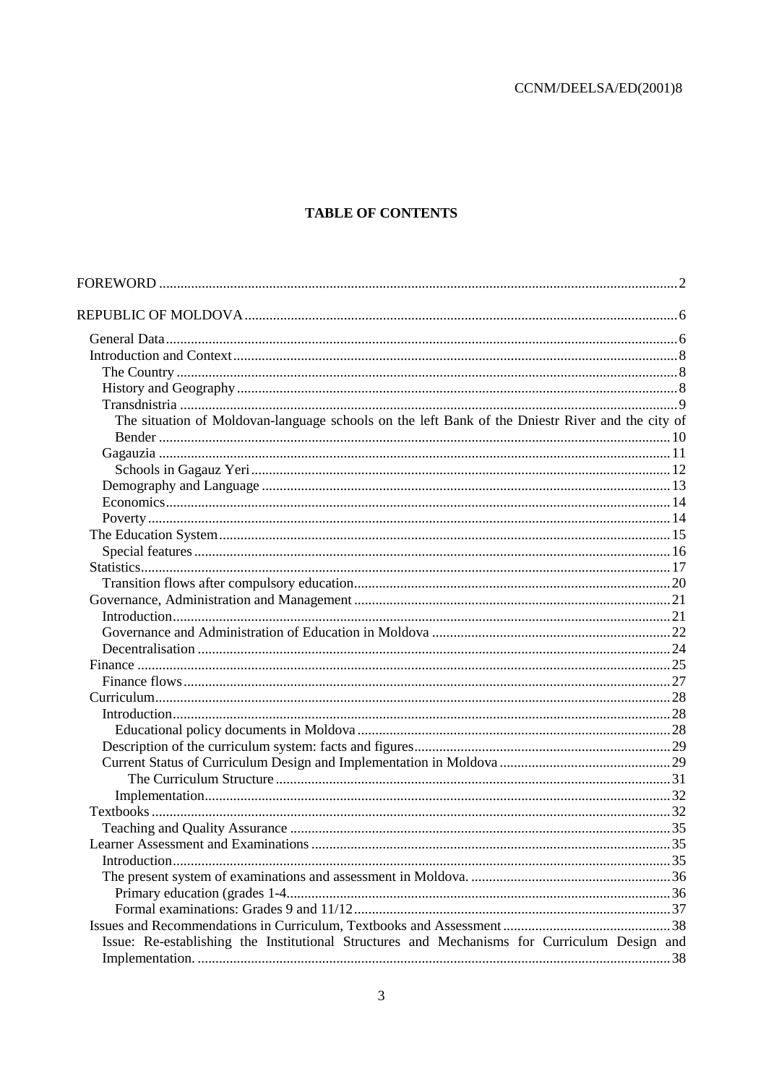# **TABLE OF CONTENTS**

| The situation of Moldovan-language schools on the left Bank of the Dniestr River and the city of |  |
|--------------------------------------------------------------------------------------------------|--|
|                                                                                                  |  |
|                                                                                                  |  |
|                                                                                                  |  |
|                                                                                                  |  |
|                                                                                                  |  |
|                                                                                                  |  |
|                                                                                                  |  |
|                                                                                                  |  |
|                                                                                                  |  |
|                                                                                                  |  |
|                                                                                                  |  |
|                                                                                                  |  |
|                                                                                                  |  |
|                                                                                                  |  |
|                                                                                                  |  |
|                                                                                                  |  |
|                                                                                                  |  |
|                                                                                                  |  |
|                                                                                                  |  |
|                                                                                                  |  |
|                                                                                                  |  |
|                                                                                                  |  |
|                                                                                                  |  |
|                                                                                                  |  |
|                                                                                                  |  |
|                                                                                                  |  |
|                                                                                                  |  |
|                                                                                                  |  |
|                                                                                                  |  |
|                                                                                                  |  |
|                                                                                                  |  |
| Issue: Re-establishing the Institutional Structures and Mechanisms for Curriculum Design and     |  |
|                                                                                                  |  |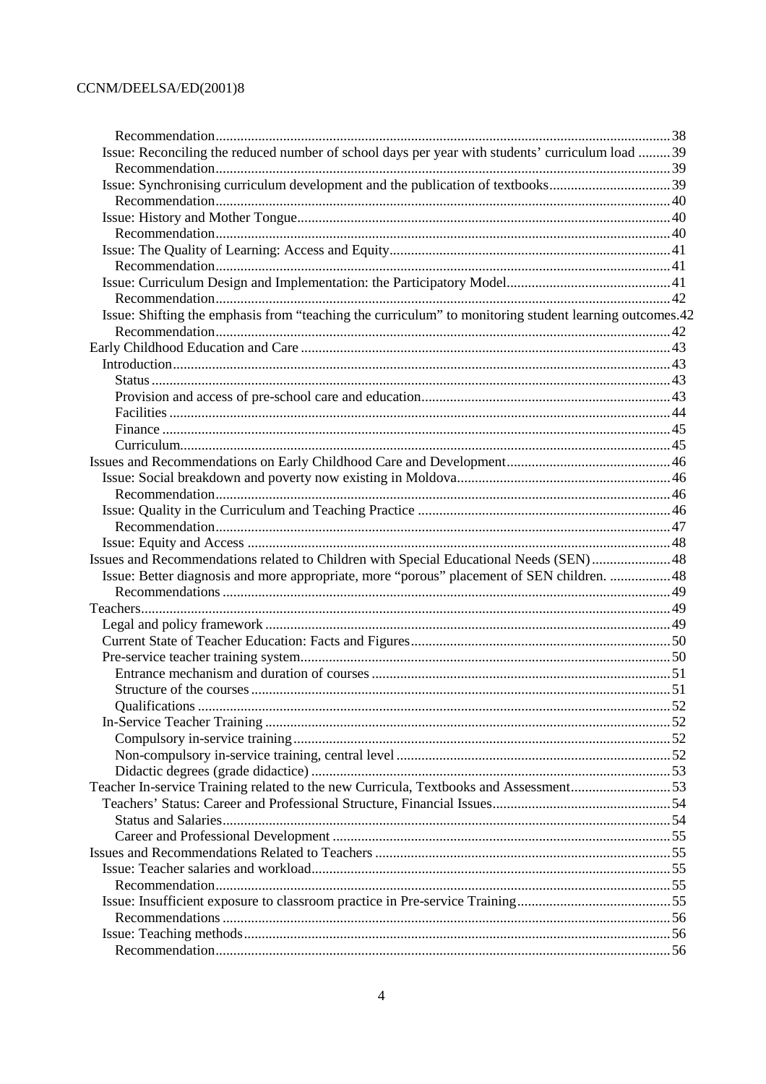| Issue: Reconciling the reduced number of school days per year with students' curriculum load  39       |  |
|--------------------------------------------------------------------------------------------------------|--|
|                                                                                                        |  |
| Issue: Synchronising curriculum development and the publication of textbooks39                         |  |
|                                                                                                        |  |
|                                                                                                        |  |
|                                                                                                        |  |
|                                                                                                        |  |
|                                                                                                        |  |
|                                                                                                        |  |
|                                                                                                        |  |
| Issue: Shifting the emphasis from "teaching the curriculum" to monitoring student learning outcomes.42 |  |
|                                                                                                        |  |
|                                                                                                        |  |
|                                                                                                        |  |
|                                                                                                        |  |
|                                                                                                        |  |
|                                                                                                        |  |
|                                                                                                        |  |
|                                                                                                        |  |
|                                                                                                        |  |
|                                                                                                        |  |
|                                                                                                        |  |
|                                                                                                        |  |
|                                                                                                        |  |
|                                                                                                        |  |
|                                                                                                        |  |
| Issues and Recommendations related to Children with Special Educational Needs (SEN) 48                 |  |
| Issue: Better diagnosis and more appropriate, more "porous" placement of SEN children.  48             |  |
|                                                                                                        |  |
|                                                                                                        |  |
|                                                                                                        |  |
|                                                                                                        |  |
|                                                                                                        |  |
|                                                                                                        |  |
|                                                                                                        |  |
|                                                                                                        |  |
|                                                                                                        |  |
|                                                                                                        |  |
|                                                                                                        |  |
|                                                                                                        |  |
| Teacher In-service Training related to the new Curricula, Textbooks and Assessment53                   |  |
|                                                                                                        |  |
|                                                                                                        |  |
|                                                                                                        |  |
|                                                                                                        |  |
|                                                                                                        |  |
|                                                                                                        |  |
|                                                                                                        |  |
|                                                                                                        |  |
|                                                                                                        |  |
|                                                                                                        |  |
|                                                                                                        |  |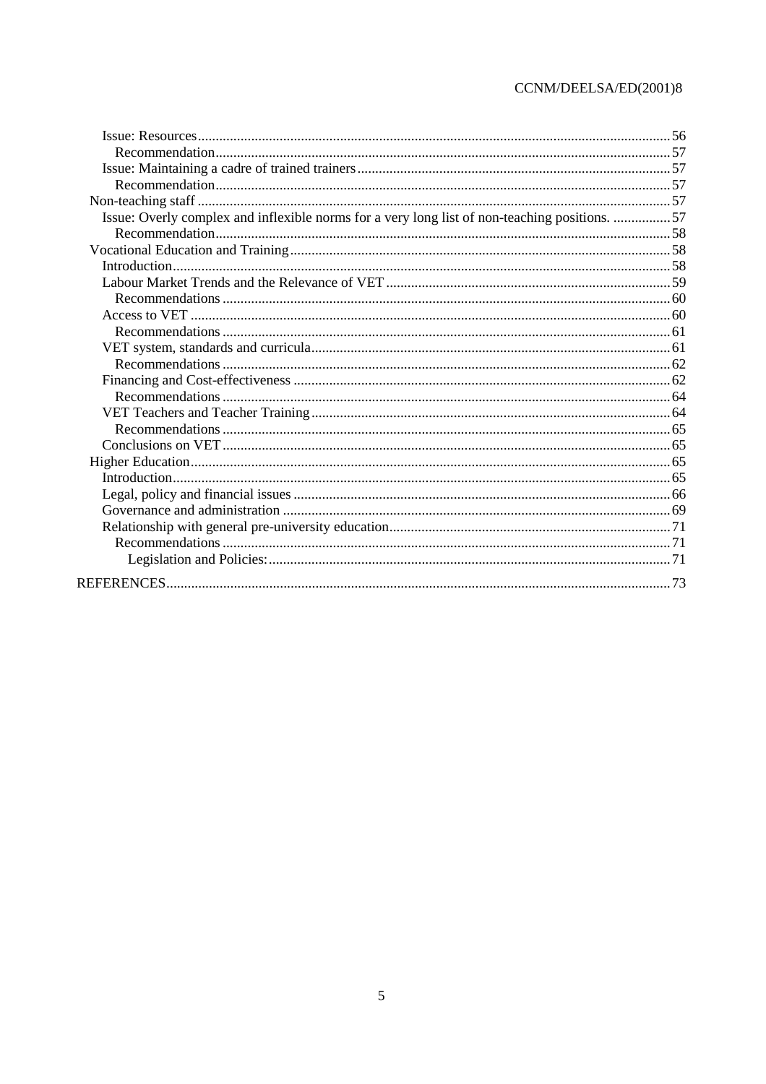| Issue: Overly complex and inflexible norms for a very long list of non-teaching positions. 57 |  |
|-----------------------------------------------------------------------------------------------|--|
|                                                                                               |  |
|                                                                                               |  |
|                                                                                               |  |
|                                                                                               |  |
|                                                                                               |  |
|                                                                                               |  |
|                                                                                               |  |
|                                                                                               |  |
|                                                                                               |  |
|                                                                                               |  |
|                                                                                               |  |
|                                                                                               |  |
|                                                                                               |  |
|                                                                                               |  |
|                                                                                               |  |
|                                                                                               |  |
|                                                                                               |  |
|                                                                                               |  |
|                                                                                               |  |
|                                                                                               |  |
|                                                                                               |  |
|                                                                                               |  |
|                                                                                               |  |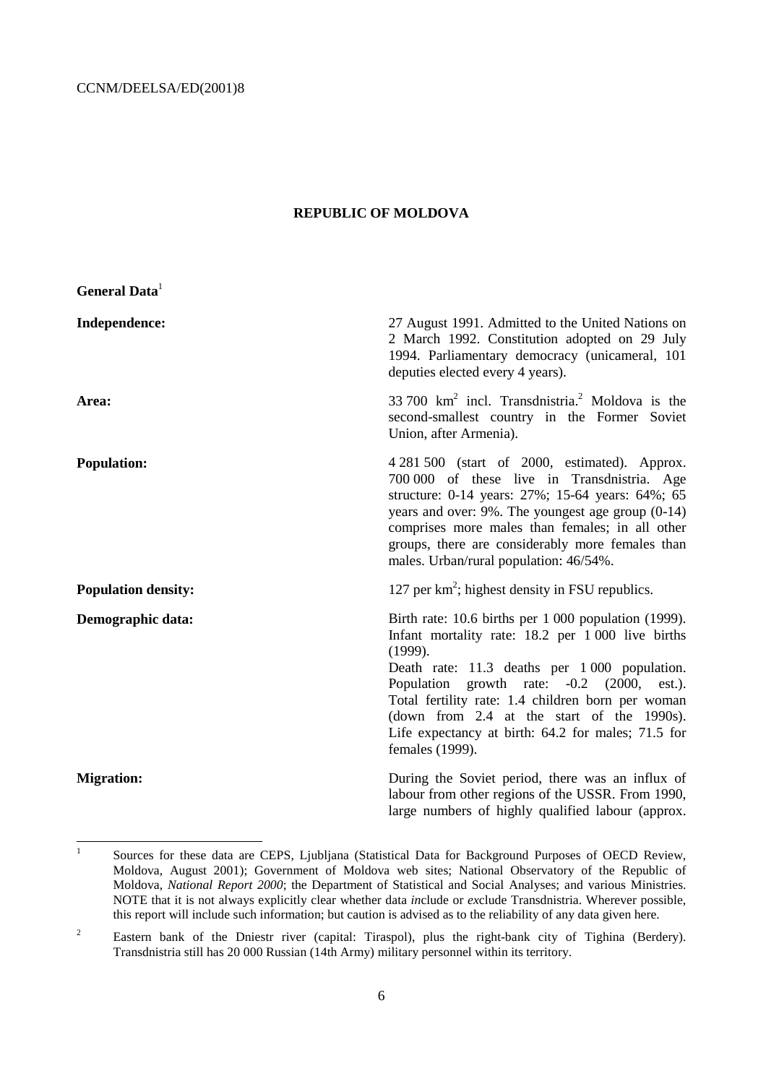#### **REPUBLIC OF MOLDOVA**

| General Data               |                                                                                                                                                                                                                                                                                                                                                                                                 |
|----------------------------|-------------------------------------------------------------------------------------------------------------------------------------------------------------------------------------------------------------------------------------------------------------------------------------------------------------------------------------------------------------------------------------------------|
| Independence:              | 27 August 1991. Admitted to the United Nations on<br>2 March 1992. Constitution adopted on 29 July<br>1994. Parliamentary democracy (unicameral, 101<br>deputies elected every 4 years).                                                                                                                                                                                                        |
| Area:                      | 33 700 $km^2$ incl. Transdnistria. <sup>2</sup> Moldova is the<br>second-smallest country in the Former Soviet<br>Union, after Armenia).                                                                                                                                                                                                                                                        |
| <b>Population:</b>         | 4 281 500 (start of 2000, estimated). Approx.<br>700 000 of these live in Transdnistria. Age<br>structure: 0-14 years: 27%; 15-64 years: 64%; 65<br>years and over: 9%. The youngest age group (0-14)<br>comprises more males than females; in all other<br>groups, there are considerably more females than<br>males. Urban/rural population: 46/54%.                                          |
| <b>Population density:</b> | 127 per $km^2$ ; highest density in FSU republics.                                                                                                                                                                                                                                                                                                                                              |
| Demographic data:          | Birth rate: 10.6 births per 1 000 population (1999).<br>Infant mortality rate: 18.2 per 1 000 live births<br>(1999).<br>Death rate: 11.3 deaths per 1 000 population.<br>Population growth rate: -0.2 (2000, est.).<br>Total fertility rate: 1.4 children born per woman<br>(down from 2.4 at the start of the 1990s).<br>Life expectancy at birth: 64.2 for males; 71.5 for<br>females (1999). |
| <b>Migration:</b>          | During the Soviet period, there was an influx of<br>labour from other regions of the USSR. From 1990,<br>large numbers of highly qualified labour (approx.                                                                                                                                                                                                                                      |

<sup>&</sup>lt;sup>1</sup> Sources for these data are CEPS, Ljubljana (Statistical Data for Background Purposes of OECD Review, Moldova, August 2001); Government of Moldova web sites; National Observatory of the Republic of Moldova, *National Report 2000*; the Department of Statistical and Social Analyses; and various Ministries. NOTE that it is not always explicitly clear whether data *in*clude or *ex*clude Transdnistria. Wherever possible, this report will include such information; but caution is advised as to the reliability of any data given here.

<sup>&</sup>lt;sup>2</sup> Eastern bank of the Dniestr river (capital: Tiraspol), plus the right-bank city of Tighina (Berdery). Transdnistria still has 20 000 Russian (14th Army) military personnel within its territory.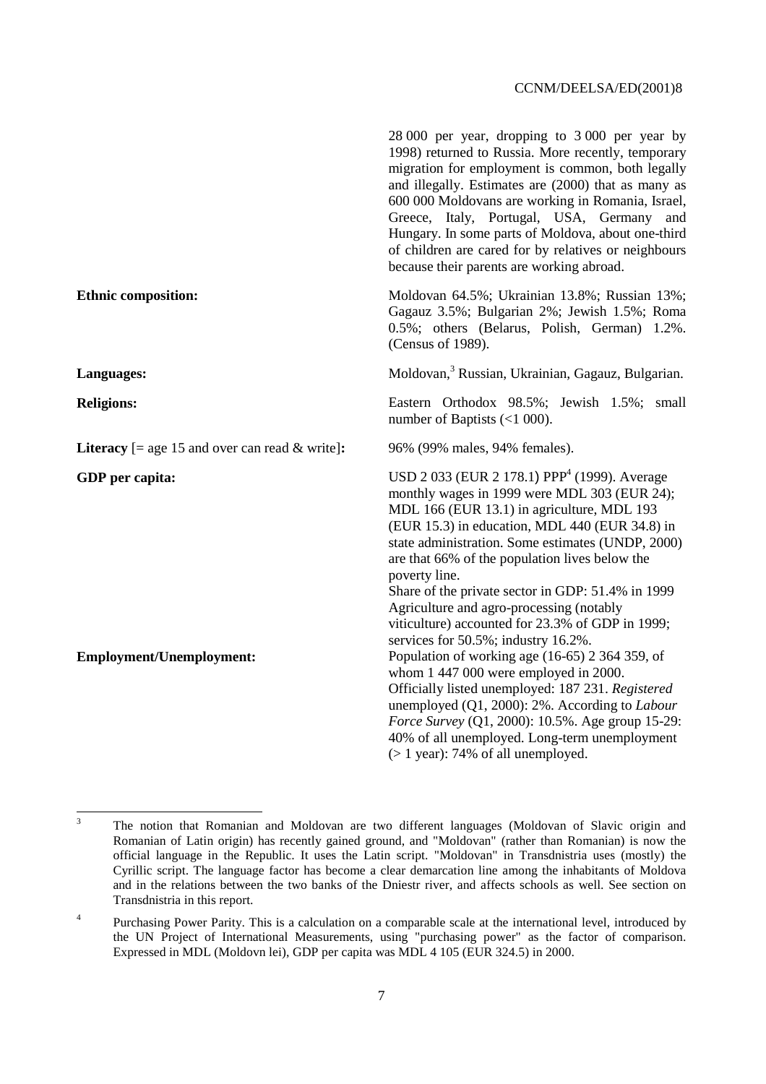|                                                         | 28 000 per year, dropping to 3 000 per year by<br>1998) returned to Russia. More recently, temporary<br>migration for employment is common, both legally<br>and illegally. Estimates are (2000) that as many as<br>600 000 Moldovans are working in Romania, Israel,<br>Greece, Italy, Portugal, USA, Germany and<br>Hungary. In some parts of Moldova, about one-third<br>of children are cared for by relatives or neighbours<br>because their parents are working abroad.                                                 |
|---------------------------------------------------------|------------------------------------------------------------------------------------------------------------------------------------------------------------------------------------------------------------------------------------------------------------------------------------------------------------------------------------------------------------------------------------------------------------------------------------------------------------------------------------------------------------------------------|
| <b>Ethnic composition:</b>                              | Moldovan 64.5%; Ukrainian 13.8%; Russian 13%;<br>Gagauz 3.5%; Bulgarian 2%; Jewish 1.5%; Roma<br>0.5%; others (Belarus, Polish, German) 1.2%.<br>(Census of 1989).                                                                                                                                                                                                                                                                                                                                                           |
| Languages:                                              | Moldovan, <sup>3</sup> Russian, Ukrainian, Gagauz, Bulgarian.                                                                                                                                                                                                                                                                                                                                                                                                                                                                |
| <b>Religions:</b>                                       | Eastern Orthodox 98.5%; Jewish 1.5%; small<br>number of Baptists $\left( < 1000 \right)$ .                                                                                                                                                                                                                                                                                                                                                                                                                                   |
| <b>Literacy</b> $[=$ age 15 and over can read & write]: | 96% (99% males, 94% females).                                                                                                                                                                                                                                                                                                                                                                                                                                                                                                |
| GDP per capita:                                         | USD 2 033 (EUR 2 178.1) PPP <sup>4</sup> (1999). Average<br>monthly wages in 1999 were MDL 303 (EUR 24);<br>MDL 166 (EUR 13.1) in agriculture, MDL 193<br>(EUR 15.3) in education, MDL 440 (EUR 34.8) in<br>state administration. Some estimates (UNDP, 2000)<br>are that 66% of the population lives below the<br>poverty line.<br>Share of the private sector in GDP: 51.4% in 1999<br>Agriculture and agro-processing (notably<br>viticulture) accounted for 23.3% of GDP in 1999;<br>services for 50.5%; industry 16.2%. |
| <b>Employment/Unemployment:</b>                         | Population of working age (16-65) 2 364 359, of<br>whom 1 447 000 were employed in 2000.<br>Officially listed unemployed: 187 231. Registered<br>unemployed (Q1, 2000): 2%. According to Labour<br>Force Survey (Q1, 2000): 10.5%. Age group 15-29:<br>40% of all unemployed. Long-term unemployment<br>$($ > 1 year): 74% of all unemployed.                                                                                                                                                                                |

<sup>&</sup>lt;sup>3</sup> The notion that Romanian and Moldovan are two different languages (Moldovan of Slavic origin and Romanian of Latin origin) has recently gained ground, and "Moldovan" (rather than Romanian) is now the official language in the Republic. It uses the Latin script. "Moldovan" in Transdnistria uses (mostly) the Cyrillic script. The language factor has become a clear demarcation line among the inhabitants of Moldova and in the relations between the two banks of the Dniestr river, and affects schools as well. See section on Transdnistria in this report.

<sup>&</sup>lt;sup>4</sup> Purchasing Power Parity. This is a calculation on a comparable scale at the international level, introduced by the UN Project of International Measurements, using "purchasing power" as the factor of comparison. Expressed in MDL (Moldovn lei), GDP per capita was MDL 4 105 (EUR 324.5) in 2000.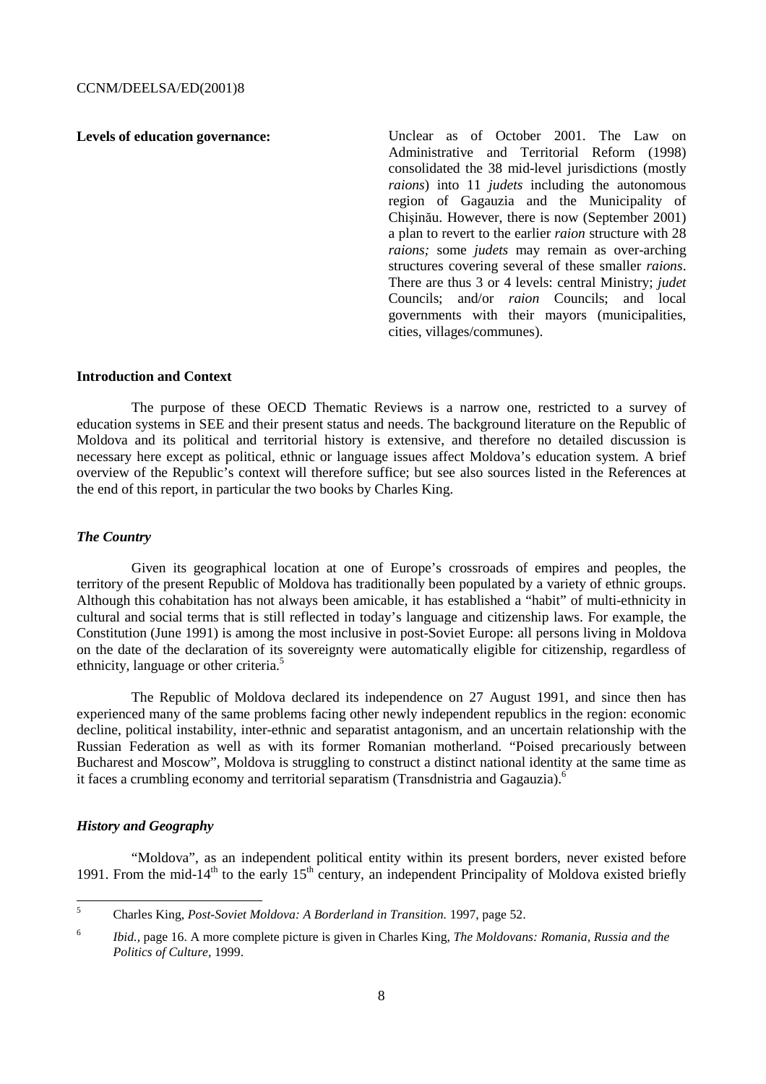**Levels of education governance:** Unclear as of October 2001. The Law on Administrative and Territorial Reform (1998) consolidated the 38 mid-level jurisdictions (mostly *raions*) into 11 *judets* including the autonomous region of Gagauzia and the Municipality of Chişinău. However, there is now (September 2001) a plan to revert to the earlier *raion* structure with 28 *raions;* some *judets* may remain as over-arching structures covering several of these smaller *raions*. There are thus 3 or 4 levels: central Ministry; *judet* Councils; and/or *raion* Councils; and local governments with their mayors (municipalities, cities, villages/communes).

#### **Introduction and Context**

The purpose of these OECD Thematic Reviews is a narrow one, restricted to a survey of education systems in SEE and their present status and needs. The background literature on the Republic of Moldova and its political and territorial history is extensive, and therefore no detailed discussion is necessary here except as political, ethnic or language issues affect Moldova's education system. A brief overview of the Republic's context will therefore suffice; but see also sources listed in the References at the end of this report, in particular the two books by Charles King.

#### *The Country*

Given its geographical location at one of Europe's crossroads of empires and peoples, the territory of the present Republic of Moldova has traditionally been populated by a variety of ethnic groups. Although this cohabitation has not always been amicable, it has established a "habit" of multi-ethnicity in cultural and social terms that is still reflected in today's language and citizenship laws. For example, the Constitution (June 1991) is among the most inclusive in post-Soviet Europe: all persons living in Moldova on the date of the declaration of its sovereignty were automatically eligible for citizenship, regardless of ethnicity, language or other criteria.<sup>5</sup>

The Republic of Moldova declared its independence on 27 August 1991, and since then has experienced many of the same problems facing other newly independent republics in the region: economic decline, political instability, inter-ethnic and separatist antagonism, and an uncertain relationship with the Russian Federation as well as with its former Romanian motherland. "Poised precariously between Bucharest and Moscow", Moldova is struggling to construct a distinct national identity at the same time as it faces a crumbling economy and territorial separatism (Transdnistria and Gagauzia).<sup>6</sup>

#### *History and Geography*

"Moldova", as an independent political entity within its present borders, never existed before 1991. From the mid-14<sup>th</sup> to the early 15<sup>th</sup> century, an independent Principality of Moldova existed briefly

<sup>5</sup> Charles King, *Post-Soviet Moldova: A Borderland in Transition.* 1997, page 52.

<sup>6</sup> *Ibid.,* page 16. A more complete picture is given in Charles King, *The Moldovans: Romania, Russia and the Politics of Culture,* 1999.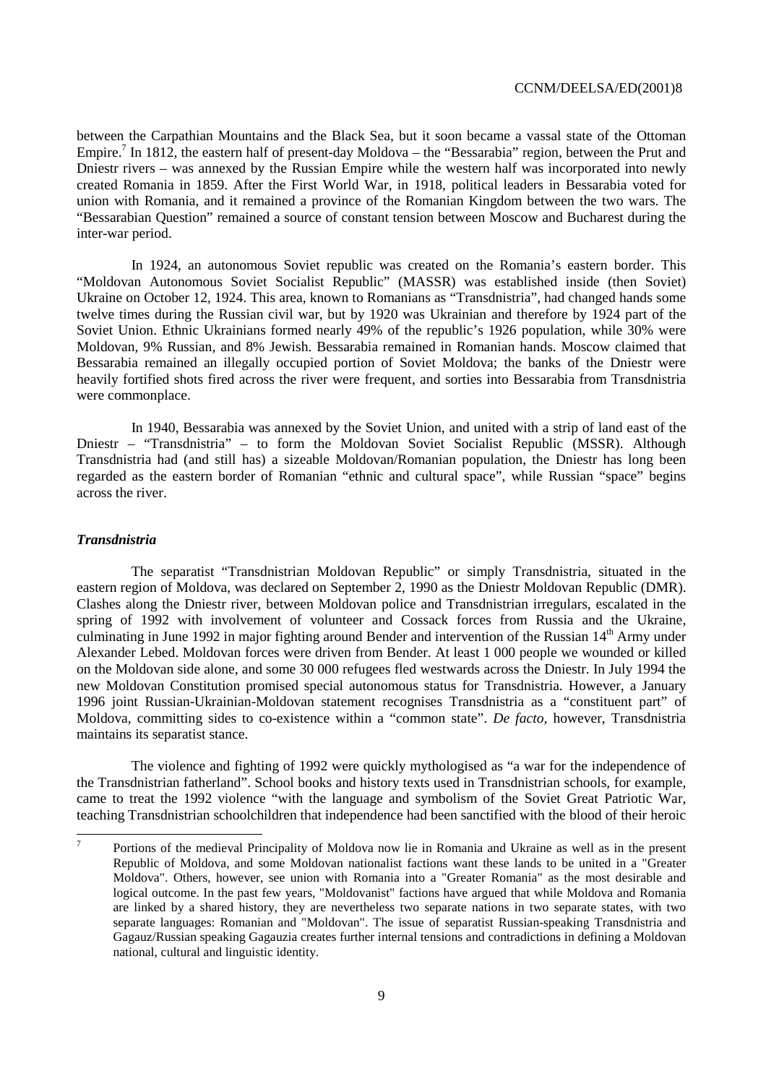between the Carpathian Mountains and the Black Sea, but it soon became a vassal state of the Ottoman Empire.<sup>7</sup> In 1812, the eastern half of present-day Moldova – the "Bessarabia" region, between the Prut and Dniestr rivers – was annexed by the Russian Empire while the western half was incorporated into newly created Romania in 1859. After the First World War, in 1918, political leaders in Bessarabia voted for union with Romania, and it remained a province of the Romanian Kingdom between the two wars. The "Bessarabian Question" remained a source of constant tension between Moscow and Bucharest during the inter-war period.

In 1924, an autonomous Soviet republic was created on the Romania's eastern border. This "Moldovan Autonomous Soviet Socialist Republic" (MASSR) was established inside (then Soviet) Ukraine on October 12, 1924. This area, known to Romanians as "Transdnistria", had changed hands some twelve times during the Russian civil war, but by 1920 was Ukrainian and therefore by 1924 part of the Soviet Union. Ethnic Ukrainians formed nearly 49% of the republic's 1926 population, while 30% were Moldovan, 9% Russian, and 8% Jewish. Bessarabia remained in Romanian hands. Moscow claimed that Bessarabia remained an illegally occupied portion of Soviet Moldova; the banks of the Dniestr were heavily fortified shots fired across the river were frequent, and sorties into Bessarabia from Transdnistria were commonplace.

In 1940, Bessarabia was annexed by the Soviet Union, and united with a strip of land east of the Dniestr – "Transdnistria" – to form the Moldovan Soviet Socialist Republic (MSSR). Although Transdnistria had (and still has) a sizeable Moldovan/Romanian population, the Dniestr has long been regarded as the eastern border of Romanian "ethnic and cultural space", while Russian "space" begins across the river.

#### *Transdnistria*

The separatist "Transdnistrian Moldovan Republic" or simply Transdnistria, situated in the eastern region of Moldova, was declared on September 2, 1990 as the Dniestr Moldovan Republic (DMR). Clashes along the Dniestr river, between Moldovan police and Transdnistrian irregulars, escalated in the spring of 1992 with involvement of volunteer and Cossack forces from Russia and the Ukraine, culminating in June 1992 in major fighting around Bender and intervention of the Russian  $14<sup>th</sup>$  Army under Alexander Lebed. Moldovan forces were driven from Bender. At least 1 000 people we wounded or killed on the Moldovan side alone, and some 30 000 refugees fled westwards across the Dniestr. In July 1994 the new Moldovan Constitution promised special autonomous status for Transdnistria. However, a January 1996 joint Russian-Ukrainian-Moldovan statement recognises Transdnistria as a "constituent part" of Moldova, committing sides to co-existence within a "common state". *De facto,* however, Transdnistria maintains its separatist stance.

The violence and fighting of 1992 were quickly mythologised as "a war for the independence of the Transdnistrian fatherland". School books and history texts used in Transdnistrian schools, for example, came to treat the 1992 violence "with the language and symbolism of the Soviet Great Patriotic War, teaching Transdnistrian schoolchildren that independence had been sanctified with the blood of their heroic

<sup>&</sup>lt;sup>7</sup> Portions of the medieval Principality of Moldova now lie in Romania and Ukraine as well as in the present Republic of Moldova, and some Moldovan nationalist factions want these lands to be united in a "Greater Moldova". Others, however, see union with Romania into a "Greater Romania" as the most desirable and logical outcome. In the past few years, "Moldovanist" factions have argued that while Moldova and Romania are linked by a shared history, they are nevertheless two separate nations in two separate states, with two separate languages: Romanian and "Moldovan". The issue of separatist Russian-speaking Transdnistria and Gagauz/Russian speaking Gagauzia creates further internal tensions and contradictions in defining a Moldovan national, cultural and linguistic identity.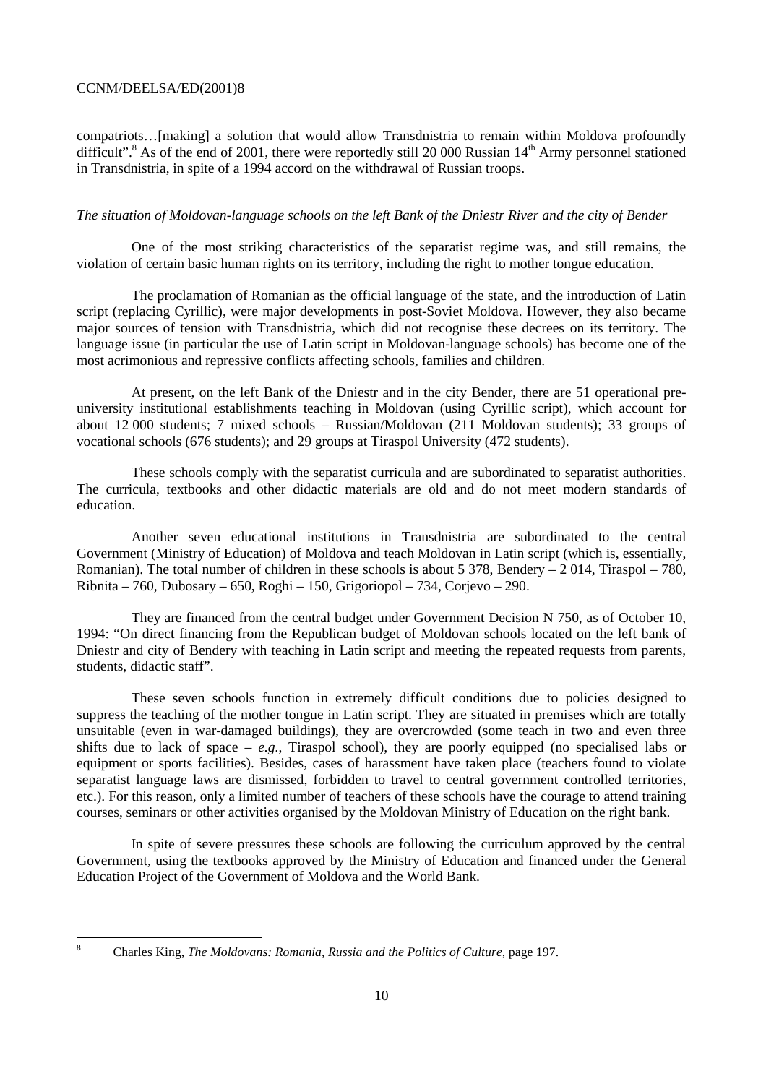compatriots…[making] a solution that would allow Transdnistria to remain within Moldova profoundly difficult".<sup>8</sup> As of the end of 2001, there were reportedly still 20 000 Russian 14<sup>th</sup> Army personnel stationed in Transdnistria, in spite of a 1994 accord on the withdrawal of Russian troops.

#### *The situation of Moldovan-language schools on the left Bank of the Dniestr River and the city of Bender*

One of the most striking characteristics of the separatist regime was, and still remains, the violation of certain basic human rights on its territory, including the right to mother tongue education.

The proclamation of Romanian as the official language of the state, and the introduction of Latin script (replacing Cyrillic), were major developments in post-Soviet Moldova. However, they also became major sources of tension with Transdnistria, which did not recognise these decrees on its territory. The language issue (in particular the use of Latin script in Moldovan-language schools) has become one of the most acrimonious and repressive conflicts affecting schools, families and children.

At present, on the left Bank of the Dniestr and in the city Bender, there are 51 operational preuniversity institutional establishments teaching in Moldovan (using Cyrillic script), which account for about 12 000 students; 7 mixed schools – Russian/Moldovan (211 Moldovan students); 33 groups of vocational schools (676 students); and 29 groups at Tiraspol University (472 students).

These schools comply with the separatist curricula and are subordinated to separatist authorities. The curricula, textbooks and other didactic materials are old and do not meet modern standards of education.

Another seven educational institutions in Transdnistria are subordinated to the central Government (Ministry of Education) of Moldova and teach Moldovan in Latin script (which is, essentially, Romanian). The total number of children in these schools is about 5 378, Bendery – 2 014, Tiraspol – 780, Ribnita – 760, Dubosary – 650, Roghi – 150, Grigoriopol – 734, Corjevo – 290.

They are financed from the central budget under Government Decision N 750, as of October 10, 1994: "On direct financing from the Republican budget of Moldovan schools located on the left bank of Dniestr and city of Bendery with teaching in Latin script and meeting the repeated requests from parents, students, didactic staff".

These seven schools function in extremely difficult conditions due to policies designed to suppress the teaching of the mother tongue in Latin script. They are situated in premises which are totally unsuitable (even in war-damaged buildings), they are overcrowded (some teach in two and even three shifts due to lack of space –  $e.g.,$  Tiraspol school), they are poorly equipped (no specialised labs or equipment or sports facilities). Besides, cases of harassment have taken place (teachers found to violate separatist language laws are dismissed, forbidden to travel to central government controlled territories, etc.). For this reason, only a limited number of teachers of these schools have the courage to attend training courses, seminars or other activities organised by the Moldovan Ministry of Education on the right bank.

In spite of severe pressures these schools are following the curriculum approved by the central Government, using the textbooks approved by the Ministry of Education and financed under the General Education Project of the Government of Moldova and the World Bank.

<sup>8</sup> Charles King, *The Moldovans: Romania, Russia and the Politics of Culture,* page 197.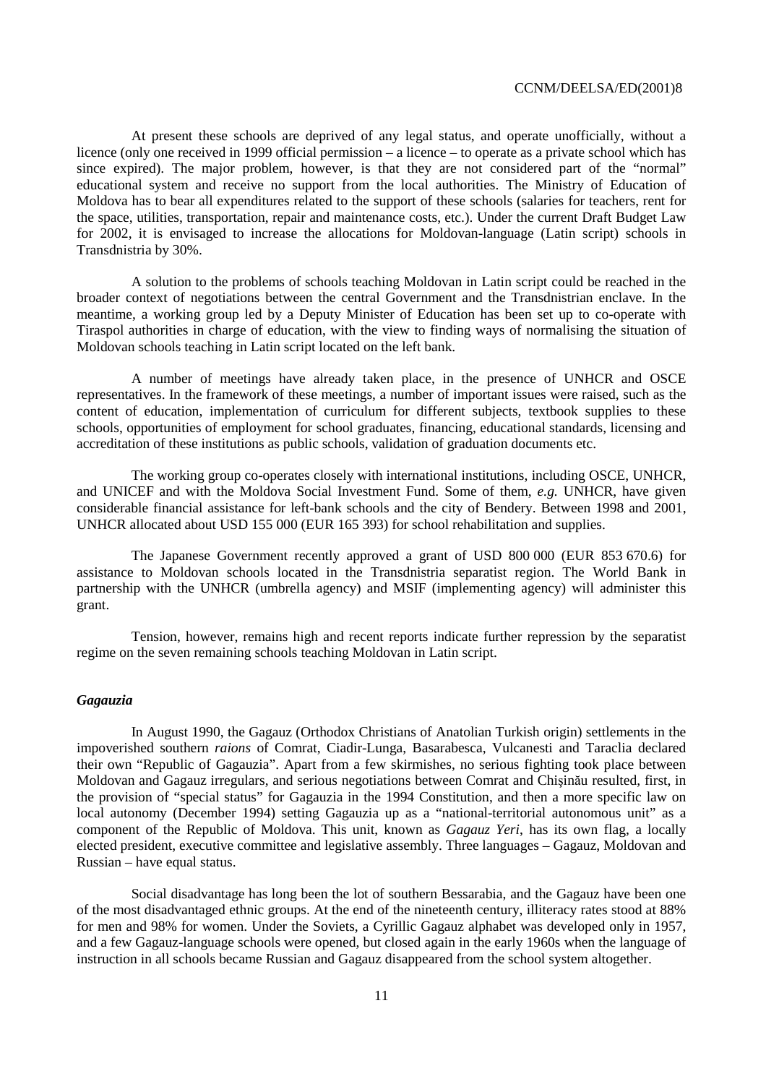At present these schools are deprived of any legal status, and operate unofficially, without a licence (only one received in 1999 official permission – a licence – to operate as a private school which has since expired). The major problem, however, is that they are not considered part of the "normal" educational system and receive no support from the local authorities. The Ministry of Education of Moldova has to bear all expenditures related to the support of these schools (salaries for teachers, rent for the space, utilities, transportation, repair and maintenance costs, etc.). Under the current Draft Budget Law for 2002, it is envisaged to increase the allocations for Moldovan-language (Latin script) schools in Transdnistria by 30%.

A solution to the problems of schools teaching Moldovan in Latin script could be reached in the broader context of negotiations between the central Government and the Transdnistrian enclave. In the meantime, a working group led by a Deputy Minister of Education has been set up to co-operate with Tiraspol authorities in charge of education, with the view to finding ways of normalising the situation of Moldovan schools teaching in Latin script located on the left bank.

A number of meetings have already taken place, in the presence of UNHCR and OSCE representatives. In the framework of these meetings, a number of important issues were raised, such as the content of education, implementation of curriculum for different subjects, textbook supplies to these schools, opportunities of employment for school graduates, financing, educational standards, licensing and accreditation of these institutions as public schools, validation of graduation documents etc.

The working group co-operates closely with international institutions, including OSCE, UNHCR, and UNICEF and with the Moldova Social Investment Fund. Some of them, *e.g.* UNHCR, have given considerable financial assistance for left-bank schools and the city of Bendery. Between 1998 and 2001, UNHCR allocated about USD 155 000 (EUR 165 393) for school rehabilitation and supplies.

The Japanese Government recently approved a grant of USD 800 000 (EUR 853 670.6) for assistance to Moldovan schools located in the Transdnistria separatist region. The World Bank in partnership with the UNHCR (umbrella agency) and MSIF (implementing agency) will administer this grant.

Tension, however, remains high and recent reports indicate further repression by the separatist regime on the seven remaining schools teaching Moldovan in Latin script.

#### *Gagauzia*

In August 1990, the Gagauz (Orthodox Christians of Anatolian Turkish origin) settlements in the impoverished southern *raions* of Comrat, Ciadir-Lunga, Basarabesca, Vulcanesti and Taraclia declared their own "Republic of Gagauzia". Apart from a few skirmishes, no serious fighting took place between Moldovan and Gagauz irregulars, and serious negotiations between Comrat and Chişinău resulted, first, in the provision of "special status" for Gagauzia in the 1994 Constitution, and then a more specific law on local autonomy (December 1994) setting Gagauzia up as a "national-territorial autonomous unit" as a component of the Republic of Moldova. This unit, known as *Gagauz Yeri*, has its own flag, a locally elected president, executive committee and legislative assembly. Three languages – Gagauz, Moldovan and Russian – have equal status.

Social disadvantage has long been the lot of southern Bessarabia, and the Gagauz have been one of the most disadvantaged ethnic groups. At the end of the nineteenth century, illiteracy rates stood at 88% for men and 98% for women. Under the Soviets, a Cyrillic Gagauz alphabet was developed only in 1957, and a few Gagauz-language schools were opened, but closed again in the early 1960s when the language of instruction in all schools became Russian and Gagauz disappeared from the school system altogether.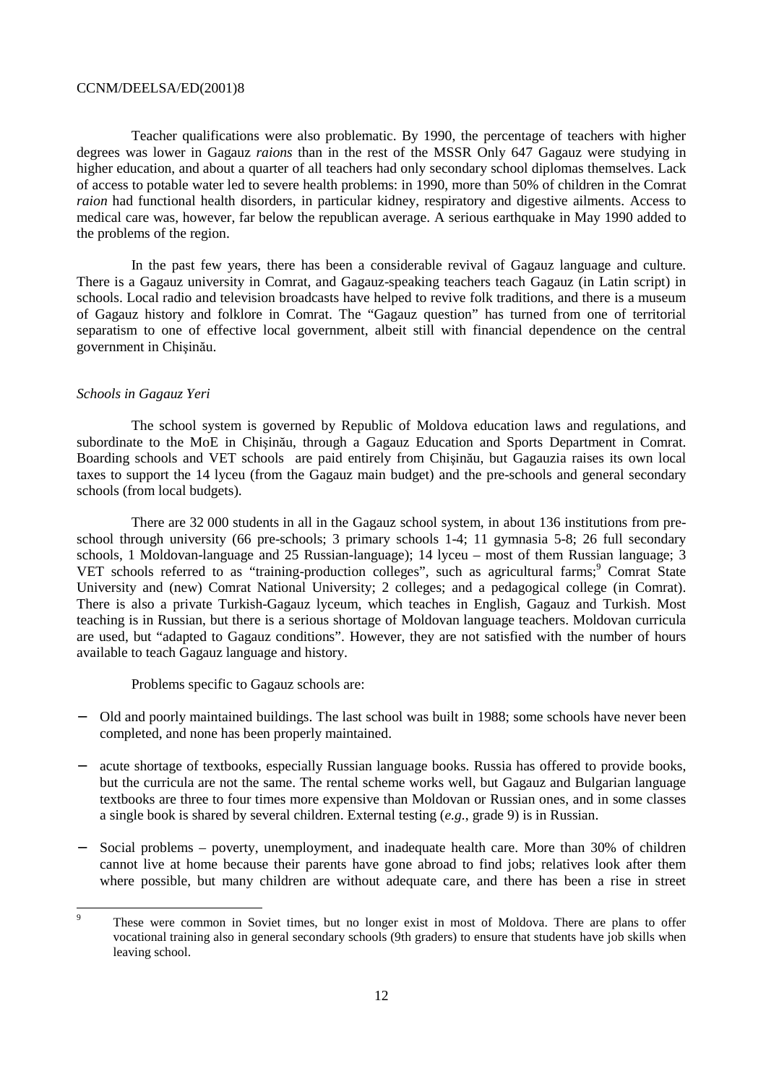Teacher qualifications were also problematic. By 1990, the percentage of teachers with higher degrees was lower in Gagauz *raions* than in the rest of the MSSR Only 647 Gagauz were studying in higher education, and about a quarter of all teachers had only secondary school diplomas themselves. Lack of access to potable water led to severe health problems: in 1990, more than 50% of children in the Comrat *raion* had functional health disorders, in particular kidney, respiratory and digestive ailments. Access to medical care was, however, far below the republican average. A serious earthquake in May 1990 added to the problems of the region.

In the past few years, there has been a considerable revival of Gagauz language and culture. There is a Gagauz university in Comrat, and Gagauz-speaking teachers teach Gagauz (in Latin script) in schools. Local radio and television broadcasts have helped to revive folk traditions, and there is a museum of Gagauz history and folklore in Comrat. The "Gagauz question" has turned from one of territorial separatism to one of effective local government, albeit still with financial dependence on the central government in Chişinău.

#### *Schools in Gagauz Yeri*

The school system is governed by Republic of Moldova education laws and regulations, and subordinate to the MoE in Chişinău, through a Gagauz Education and Sports Department in Comrat. Boarding schools and VET schools are paid entirely from Chişinău, but Gagauzia raises its own local taxes to support the 14 lyceu (from the Gagauz main budget) and the pre-schools and general secondary schools (from local budgets).

There are 32 000 students in all in the Gagauz school system, in about 136 institutions from preschool through university (66 pre-schools; 3 primary schools 1-4; 11 gymnasia 5-8; 26 full secondary schools, 1 Moldovan-language and 25 Russian-language); 14 lyceu – most of them Russian language; 3 VET schools referred to as "training-production colleges", such as agricultural farms;<sup>9</sup> Comrat State University and (new) Comrat National University; 2 colleges; and a pedagogical college (in Comrat). There is also a private Turkish-Gagauz lyceum, which teaches in English, Gagauz and Turkish. Most teaching is in Russian, but there is a serious shortage of Moldovan language teachers. Moldovan curricula are used, but "adapted to Gagauz conditions". However, they are not satisfied with the number of hours available to teach Gagauz language and history.

Problems specific to Gagauz schools are:

- − Old and poorly maintained buildings. The last school was built in 1988; some schools have never been completed, and none has been properly maintained.
- − acute shortage of textbooks, especially Russian language books. Russia has offered to provide books, but the curricula are not the same. The rental scheme works well, but Gagauz and Bulgarian language textbooks are three to four times more expensive than Moldovan or Russian ones, and in some classes a single book is shared by several children. External testing (*e.g.*, grade 9) is in Russian.
- − Social problems poverty, unemployment, and inadequate health care. More than 30% of children cannot live at home because their parents have gone abroad to find jobs; relatives look after them where possible, but many children are without adequate care, and there has been a rise in street

<sup>&</sup>lt;sup>9</sup> These were common in Soviet times, but no longer exist in most of Moldova. There are plans to offer vocational training also in general secondary schools (9th graders) to ensure that students have job skills when leaving school.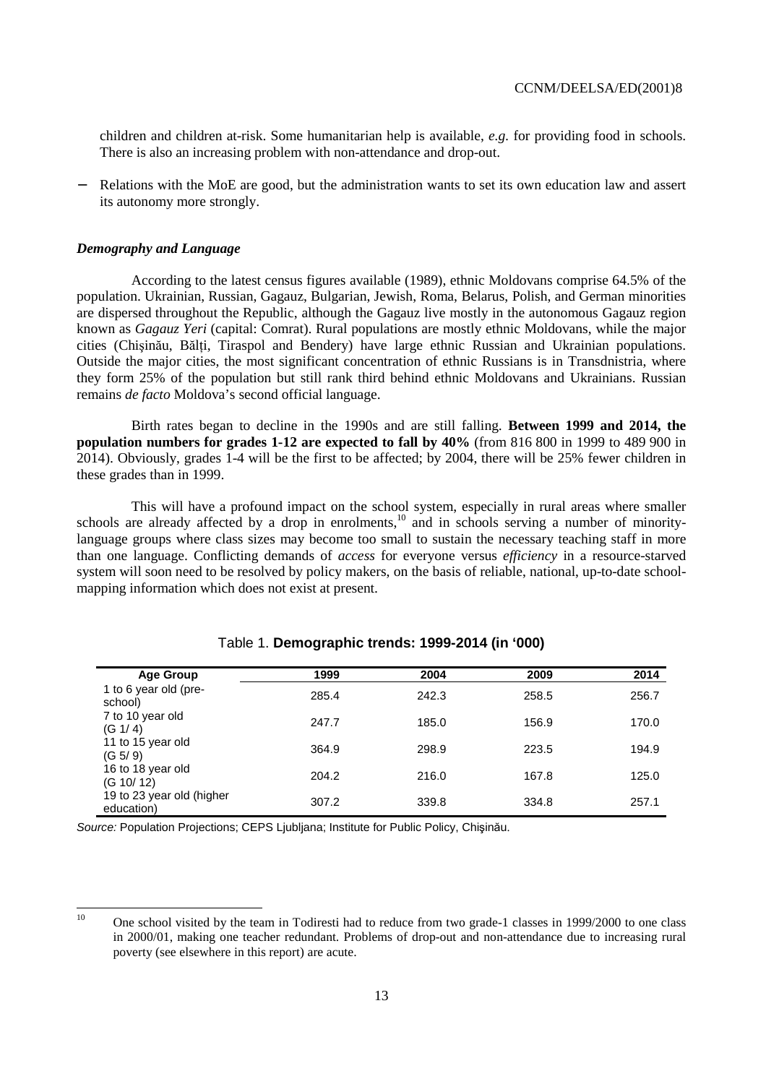children and children at-risk. Some humanitarian help is available, *e.g.* for providing food in schools. There is also an increasing problem with non-attendance and drop-out.

Relations with the MoE are good, but the administration wants to set its own education law and assert its autonomy more strongly.

#### *Demography and Language*

According to the latest census figures available (1989), ethnic Moldovans comprise 64.5% of the population. Ukrainian, Russian, Gagauz, Bulgarian, Jewish, Roma, Belarus, Polish, and German minorities are dispersed throughout the Republic, although the Gagauz live mostly in the autonomous Gagauz region known as *Gagauz Yeri* (capital: Comrat). Rural populations are mostly ethnic Moldovans, while the major cities (Chișinău, Bălți, Tiraspol and Bendery) have large ethnic Russian and Ukrainian populations. Outside the major cities, the most significant concentration of ethnic Russians is in Transdnistria, where they form 25% of the population but still rank third behind ethnic Moldovans and Ukrainians. Russian remains *de facto* Moldova's second official language.

Birth rates began to decline in the 1990s and are still falling. **Between 1999 and 2014, the population numbers for grades 1-12 are expected to fall by 40%** (from 816 800 in 1999 to 489 900 in 2014). Obviously, grades 1-4 will be the first to be affected; by 2004, there will be 25% fewer children in these grades than in 1999.

This will have a profound impact on the school system, especially in rural areas where smaller schools are already affected by a drop in enrolments, $10$  and in schools serving a number of minoritylanguage groups where class sizes may become too small to sustain the necessary teaching staff in more than one language. Conflicting demands of *access* for everyone versus *efficiency* in a resource-starved system will soon need to be resolved by policy makers, on the basis of reliable, national, up-to-date schoolmapping information which does not exist at present.

| <b>Age Group</b>                        | 1999  | 2004  | 2009  | 2014  |
|-----------------------------------------|-------|-------|-------|-------|
| 1 to 6 year old (pre-<br>school)        | 285.4 | 242.3 | 258.5 | 256.7 |
| 7 to 10 year old<br>(G 1/4)             | 247.7 | 185.0 | 156.9 | 170.0 |
| 11 to 15 year old<br>(G 5/9)            | 364.9 | 298.9 | 223.5 | 194.9 |
| 16 to 18 year old<br>(G 10/12)          | 204.2 | 216.0 | 167.8 | 125.0 |
| 19 to 23 year old (higher<br>education) | 307.2 | 339.8 | 334.8 | 257.1 |

#### Table 1. **Demographic trends: 1999-2014 (in '000)**

Source: Population Projections; CEPS Ljubljana; Institute for Public Policy, Chişinău.

<sup>&</sup>lt;sup>10</sup> One school visited by the team in Todiresti had to reduce from two grade-1 classes in 1999/2000 to one class in 2000/01, making one teacher redundant. Problems of drop-out and non-attendance due to increasing rural poverty (see elsewhere in this report) are acute.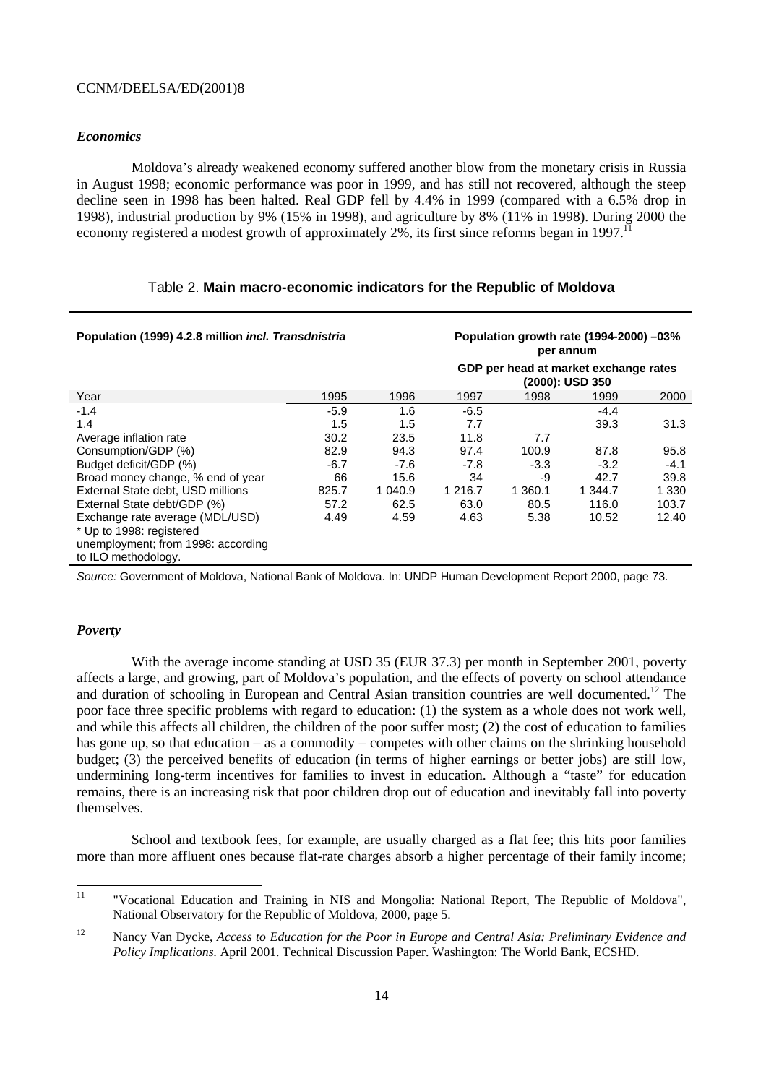#### *Economics*

Moldova's already weakened economy suffered another blow from the monetary crisis in Russia in August 1998; economic performance was poor in 1999, and has still not recovered, although the steep decline seen in 1998 has been halted. Real GDP fell by 4.4% in 1999 (compared with a 6.5% drop in 1998), industrial production by 9% (15% in 1998), and agriculture by 8% (11% in 1998). During 2000 the economy registered a modest growth of approximately 2%, its first since reforms began in 1997.

#### Table 2. **Main macro-economic indicators for the Republic of Moldova**

| Population (1999) 4.2.8 million incl. Transdnistria |        | Population growth rate (1994-2000) -03%<br>per annum     |         |         |         |         |
|-----------------------------------------------------|--------|----------------------------------------------------------|---------|---------|---------|---------|
|                                                     |        | GDP per head at market exchange rates<br>(2000): USD 350 |         |         |         |         |
| Year                                                | 1995   | 1996                                                     | 1997    | 1998    | 1999    | 2000    |
| $-1.4$                                              | $-5.9$ | 1.6                                                      | $-6.5$  |         | $-4.4$  |         |
| 1.4                                                 | 1.5    | 1.5                                                      | 7.7     |         | 39.3    | 31.3    |
| Average inflation rate                              | 30.2   | 23.5                                                     | 11.8    | 7.7     |         |         |
| Consumption/GDP (%)                                 | 82.9   | 94.3                                                     | 97.4    | 100.9   | 87.8    | 95.8    |
| Budget deficit/GDP (%)                              | $-6.7$ | $-7.6$                                                   | $-7.8$  | $-3.3$  | $-3.2$  | $-4.1$  |
| Broad money change, % end of year                   | 66     | 15.6                                                     | 34      | -9      | 42.7    | 39.8    |
| External State debt. USD millions                   | 825.7  | 1 040.9                                                  | 1 216.7 | 1 360.1 | 1 344.7 | 1 3 3 0 |
| External State debt/GDP (%)                         | 57.2   | 62.5                                                     | 63.0    | 80.5    | 116.0   | 103.7   |
| Exchange rate average (MDL/USD)                     | 4.49   | 4.59                                                     | 4.63    | 5.38    | 10.52   | 12.40   |
| * Up to 1998: registered                            |        |                                                          |         |         |         |         |
| unemployment; from 1998: according                  |        |                                                          |         |         |         |         |
| to ILO methodology.                                 |        |                                                          |         |         |         |         |

Source: Government of Moldova, National Bank of Moldova. In: UNDP Human Development Report 2000, page 73.

#### *Poverty*

With the average income standing at USD 35 (EUR 37.3) per month in September 2001, poverty affects a large, and growing, part of Moldova's population, and the effects of poverty on school attendance and duration of schooling in European and Central Asian transition countries are well documented.<sup>12</sup> The poor face three specific problems with regard to education: (1) the system as a whole does not work well, and while this affects all children, the children of the poor suffer most; (2) the cost of education to families has gone up, so that education – as a commodity – competes with other claims on the shrinking household budget; (3) the perceived benefits of education (in terms of higher earnings or better jobs) are still low, undermining long-term incentives for families to invest in education. Although a "taste" for education remains, there is an increasing risk that poor children drop out of education and inevitably fall into poverty themselves.

School and textbook fees, for example, are usually charged as a flat fee; this hits poor families more than more affluent ones because flat-rate charges absorb a higher percentage of their family income;

<sup>&</sup>lt;sup>11</sup> "Vocational Education and Training in NIS and Mongolia: National Report, The Republic of Moldova", National Observatory for the Republic of Moldova, 2000, page 5.

<sup>12</sup> Nancy Van Dycke, *Access to Education for the Poor in Europe and Central Asia: Preliminary Evidence and Policy Implications.* April 2001. Technical Discussion Paper. Washington: The World Bank, ECSHD.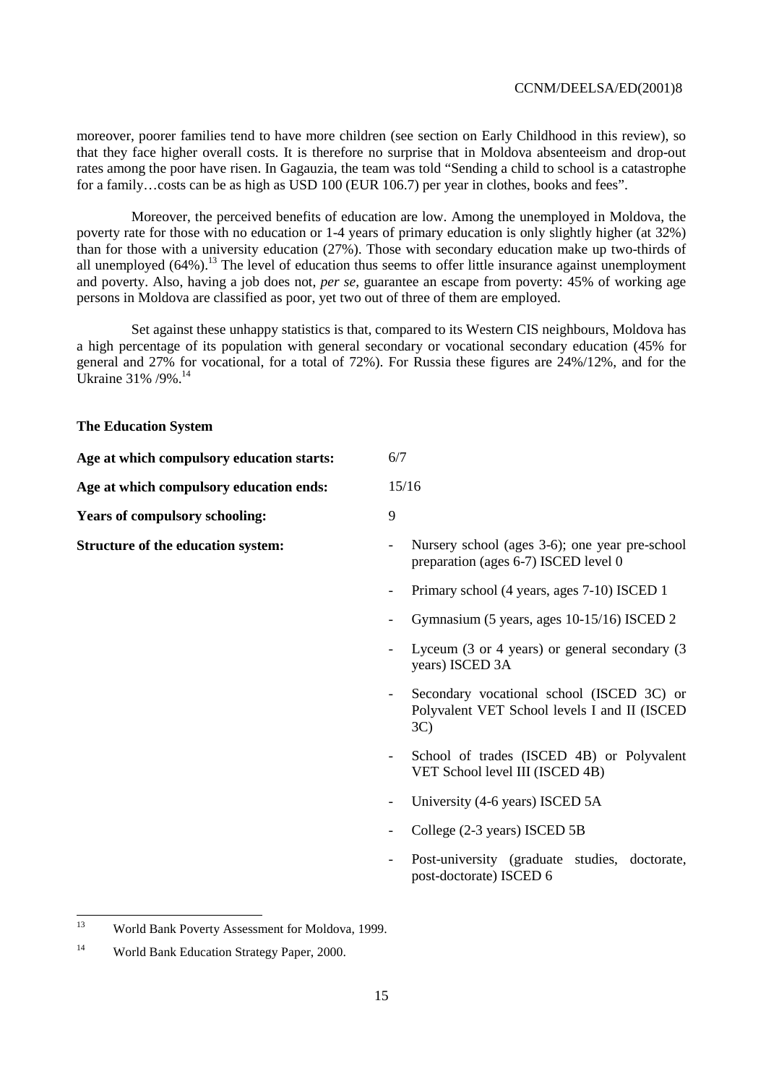moreover, poorer families tend to have more children (see section on Early Childhood in this review), so that they face higher overall costs. It is therefore no surprise that in Moldova absenteeism and drop-out rates among the poor have risen. In Gagauzia, the team was told "Sending a child to school is a catastrophe for a family…costs can be as high as USD 100 (EUR 106.7) per year in clothes, books and fees".

Moreover, the perceived benefits of education are low. Among the unemployed in Moldova, the poverty rate for those with no education or 1-4 years of primary education is only slightly higher (at 32%) than for those with a university education (27%). Those with secondary education make up two-thirds of all unemployed  $(64%)$ .<sup>13</sup> The level of education thus seems to offer little insurance against unemployment and poverty. Also, having a job does not, *per se*, guarantee an escape from poverty: 45% of working age persons in Moldova are classified as poor, yet two out of three of them are employed.

Set against these unhappy statistics is that, compared to its Western CIS neighbours, Moldova has a high percentage of its population with general secondary or vocational secondary education (45% for general and 27% for vocational, for a total of 72%). For Russia these figures are 24%/12%, and for the Ukraine 31% / 9%.<sup>14</sup>

#### **The Education System**

| Age at which compulsory education starts: | 6/7                                                                                                                         |  |  |  |
|-------------------------------------------|-----------------------------------------------------------------------------------------------------------------------------|--|--|--|
| Age at which compulsory education ends:   | 15/16                                                                                                                       |  |  |  |
| <b>Years of compulsory schooling:</b>     | 9                                                                                                                           |  |  |  |
| <b>Structure of the education system:</b> | Nursery school (ages 3-6); one year pre-school<br>$\overline{\phantom{a}}$<br>preparation (ages 6-7) ISCED level 0          |  |  |  |
|                                           | Primary school (4 years, ages 7-10) ISCED 1                                                                                 |  |  |  |
|                                           | Gymnasium (5 years, ages 10-15/16) ISCED 2                                                                                  |  |  |  |
|                                           | Lyceum $(3 \text{ or } 4 \text{ years})$ or general secondary $(3 \text{ or } 4 \text{ years})$<br>years) ISCED 3A          |  |  |  |
|                                           | Secondary vocational school (ISCED 3C) or<br>$\overline{\phantom{0}}$<br>Polyvalent VET School levels I and II (ISCED<br>3C |  |  |  |
|                                           | School of trades (ISCED 4B) or Polyvalent<br>VET School level III (ISCED 4B)                                                |  |  |  |
|                                           | University (4-6 years) ISCED 5A<br>$\overline{\phantom{a}}$                                                                 |  |  |  |
|                                           | College (2-3 years) ISCED 5B                                                                                                |  |  |  |
|                                           | Post-university (graduate studies, doctorate,<br>post-doctorate) ISCED 6                                                    |  |  |  |

<sup>13</sup> World Bank Poverty Assessment for Moldova, 1999.

<sup>&</sup>lt;sup>14</sup> World Bank Education Strategy Paper, 2000.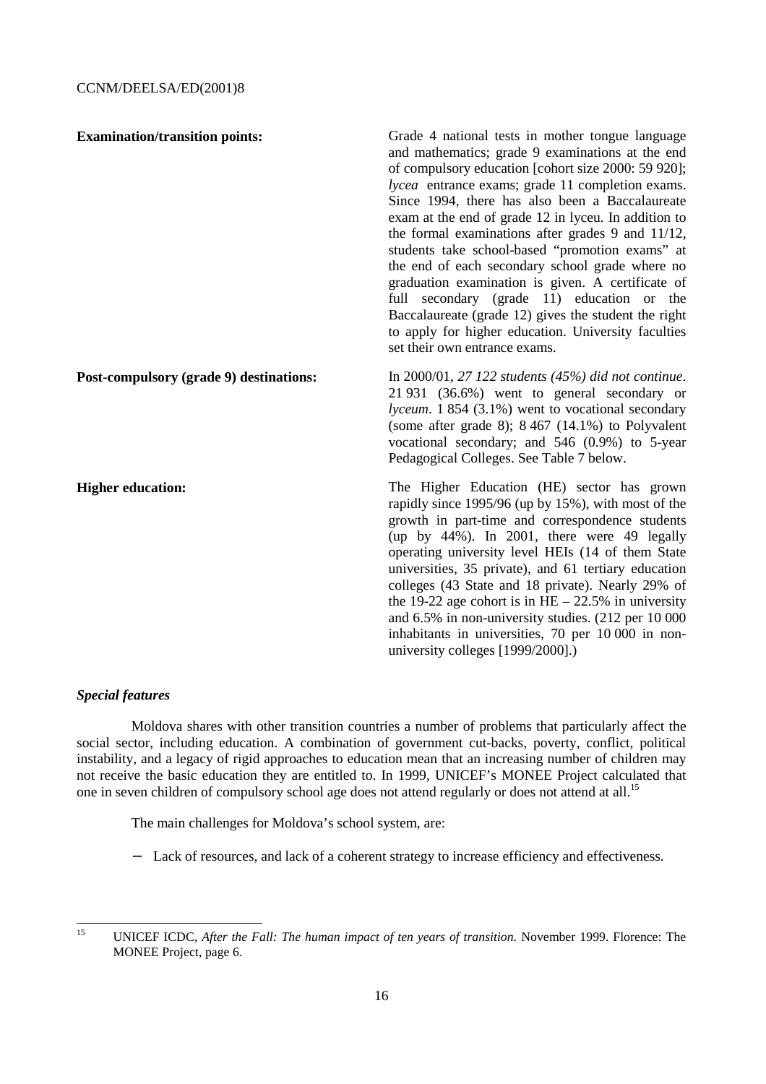| <b>Examination/transition points:</b>   | Grade 4 national tests in mother tongue language<br>and mathematics; grade 9 examinations at the end<br>of compulsory education [cohort size 2000: 59 920];<br>lycea entrance exams; grade 11 completion exams.<br>Since 1994, there has also been a Baccalaureate<br>exam at the end of grade 12 in lyceu. In addition to<br>the formal examinations after grades $9$ and $11/12$ ,<br>students take school-based "promotion exams" at<br>the end of each secondary school grade where no<br>graduation examination is given. A certificate of<br>full secondary (grade 11) education or the<br>Baccalaureate (grade 12) gives the student the right<br>to apply for higher education. University faculties<br>set their own entrance exams. |
|-----------------------------------------|-----------------------------------------------------------------------------------------------------------------------------------------------------------------------------------------------------------------------------------------------------------------------------------------------------------------------------------------------------------------------------------------------------------------------------------------------------------------------------------------------------------------------------------------------------------------------------------------------------------------------------------------------------------------------------------------------------------------------------------------------|
| Post-compulsory (grade 9) destinations: | In $2000/01$ , $27122$ students $(45%)$ did not continue.<br>21 931 (36.6%) went to general secondary or<br><i>lyceum.</i> $1854 (3.1%)$ went to vocational secondary<br>(some after grade 8); $8\,467$ (14.1%) to Polyvalent<br>vocational secondary; and $546$ (0.9%) to $5$ -year<br>Pedagogical Colleges. See Table 7 below.                                                                                                                                                                                                                                                                                                                                                                                                              |
| <b>Higher education:</b>                | The Higher Education (HE) sector has grown<br>rapidly since 1995/96 (up by 15%), with most of the<br>growth in part-time and correspondence students<br>(up by $44\%$ ). In 2001, there were 49 legally<br>operating university level HEIs (14 of them State<br>universities, 35 private), and 61 tertiary education<br>colleges (43 State and 18 private). Nearly 29% of<br>the 19-22 age cohort is in $HE - 22.5\%$ in university<br>and 6.5% in non-university studies. (212 per 10 000<br>inhabitants in universities, 70 per 10 000 in non-<br>university colleges [1999/2000].)                                                                                                                                                         |

## *Special features*

Moldova shares with other transition countries a number of problems that particularly affect the social sector, including education. A combination of government cut-backs, poverty, conflict, political instability, and a legacy of rigid approaches to education mean that an increasing number of children may not receive the basic education they are entitled to. In 1999, UNICEF's MONEE Project calculated that one in seven children of compulsory school age does not attend regularly or does not attend at all.<sup>15</sup>

The main challenges for Moldova's school system, are:

− Lack of resources, and lack of a coherent strategy to increase efficiency and effectiveness*.*

<sup>15</sup> UNICEF ICDC, *After the Fall: The human impact of ten years of transition.* November 1999. Florence: The MONEE Project, page 6.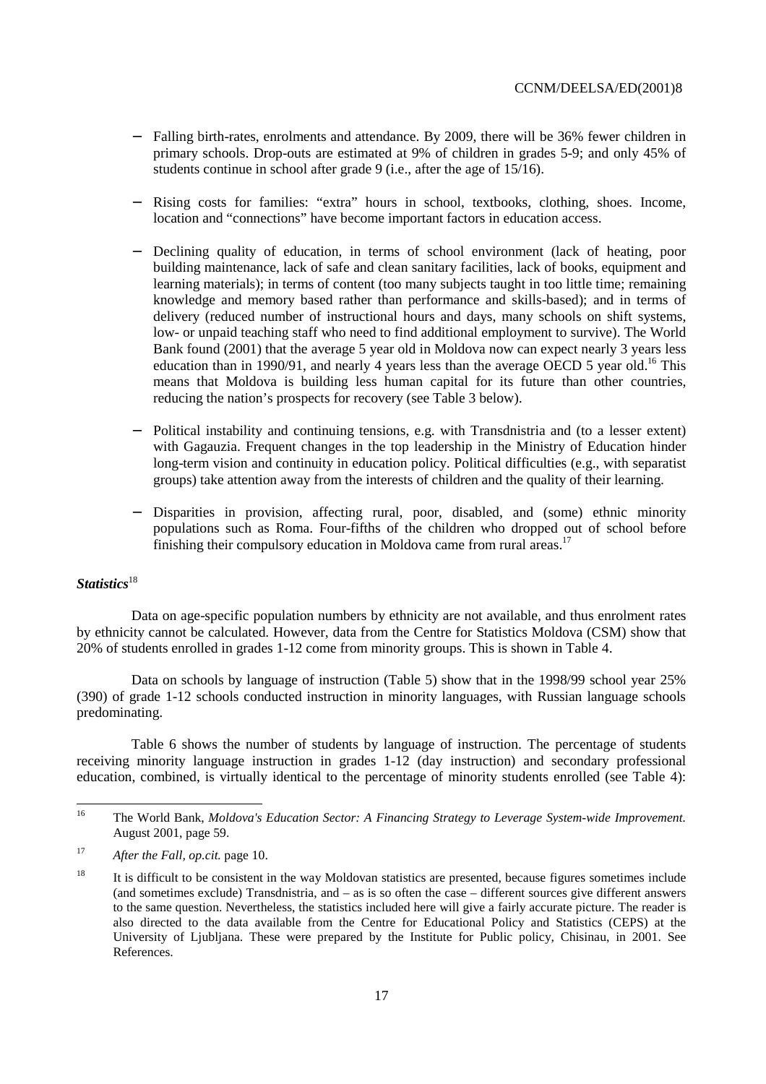- Falling birth-rates, enrolments and attendance. By 2009, there will be 36% fewer children in primary schools. Drop-outs are estimated at 9% of children in grades 5-9; and only 45% of students continue in school after grade 9 (i.e., after the age of 15/16).
- Rising costs for families: "extra" hours in school, textbooks, clothing, shoes. Income, location and "connections" have become important factors in education access.
- − Declining quality of education, in terms of school environment (lack of heating, poor building maintenance, lack of safe and clean sanitary facilities, lack of books, equipment and learning materials); in terms of content (too many subjects taught in too little time; remaining knowledge and memory based rather than performance and skills-based); and in terms of delivery (reduced number of instructional hours and days, many schools on shift systems, low- or unpaid teaching staff who need to find additional employment to survive). The World Bank found (2001) that the average 5 year old in Moldova now can expect nearly 3 years less education than in 1990/91, and nearly 4 years less than the average OECD 5 year old.<sup>16</sup> This means that Moldova is building less human capital for its future than other countries, reducing the nation's prospects for recovery (see Table 3 below).
- − Political instability and continuing tensions, e.g. with Transdnistria and (to a lesser extent) with Gagauzia. Frequent changes in the top leadership in the Ministry of Education hinder long-term vision and continuity in education policy. Political difficulties (e.g., with separatist groups) take attention away from the interests of children and the quality of their learning.
- Disparities in provision, affecting rural, poor, disabled, and (some) ethnic minority populations such as Roma. Four-fifths of the children who dropped out of school before finishing their compulsory education in Moldova came from rural areas.<sup>17</sup>

# *Statistics*<sup>18</sup>

Data on age-specific population numbers by ethnicity are not available, and thus enrolment rates by ethnicity cannot be calculated. However, data from the Centre for Statistics Moldova (CSM) show that 20% of students enrolled in grades 1-12 come from minority groups. This is shown in Table 4.

Data on schools by language of instruction (Table 5) show that in the 1998/99 school year 25% (390) of grade 1-12 schools conducted instruction in minority languages, with Russian language schools predominating.

Table 6 shows the number of students by language of instruction. The percentage of students receiving minority language instruction in grades 1-12 (day instruction) and secondary professional education, combined, is virtually identical to the percentage of minority students enrolled (see Table 4):

<sup>16</sup> The World Bank, *Moldova's Education Sector: A Financing Strategy to Leverage System-wide Improvement.* August 2001, page 59.

<sup>17</sup> *After the Fall, op.cit.* page 10.

<sup>&</sup>lt;sup>18</sup> It is difficult to be consistent in the way Moldovan statistics are presented, because figures sometimes include (and sometimes exclude) Transdnistria, and – as is so often the case – different sources give different answers to the same question. Nevertheless, the statistics included here will give a fairly accurate picture. The reader is also directed to the data available from the Centre for Educational Policy and Statistics (CEPS) at the University of Ljubljana. These were prepared by the Institute for Public policy, Chisinau, in 2001. See References.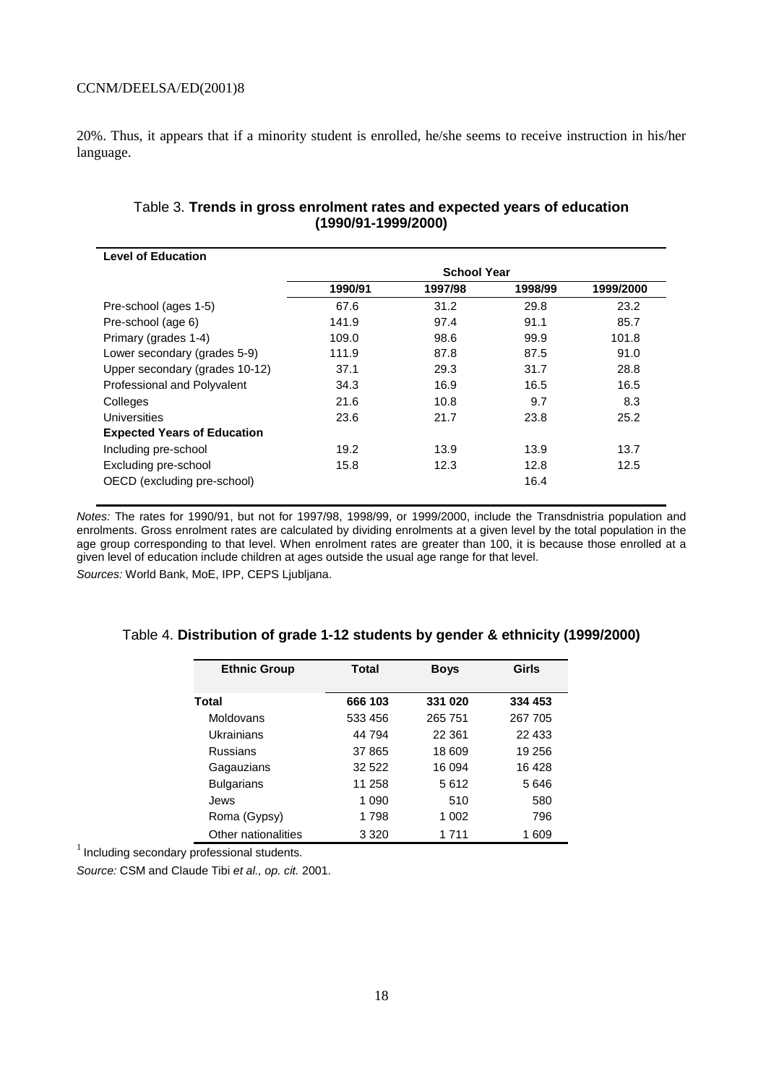20%. Thus, it appears that if a minority student is enrolled, he/she seems to receive instruction in his/her language.

| <b>Level of Education</b>          |         |                    |         |           |
|------------------------------------|---------|--------------------|---------|-----------|
|                                    |         | <b>School Year</b> |         |           |
|                                    | 1990/91 | 1997/98            | 1998/99 | 1999/2000 |
| Pre-school (ages 1-5)              | 67.6    | 31.2               | 29.8    | 23.2      |
| Pre-school (age 6)                 | 141.9   | 97.4               | 91.1    | 85.7      |
| Primary (grades 1-4)               | 109.0   | 98.6               | 99.9    | 101.8     |
| Lower secondary (grades 5-9)       | 111.9   | 87.8               | 87.5    | 91.0      |
| Upper secondary (grades 10-12)     | 37.1    | 29.3               | 31.7    | 28.8      |
| Professional and Polyvalent        | 34.3    | 16.9               | 16.5    | 16.5      |
| Colleges                           | 21.6    | 10.8               | 9.7     | 8.3       |
| Universities                       | 23.6    | 21.7               | 23.8    | 25.2      |
| <b>Expected Years of Education</b> |         |                    |         |           |
| Including pre-school               | 19.2    | 13.9               | 13.9    | 13.7      |
| Excluding pre-school               | 15.8    | 12.3               | 12.8    | 12.5      |
| OECD (excluding pre-school)        |         |                    | 16.4    |           |

#### Table 3. **Trends in gross enrolment rates and expected years of education (1990/91-1999/2000)**

Notes: The rates for 1990/91, but not for 1997/98, 1998/99, or 1999/2000, include the Transdnistria population and enrolments. Gross enrolment rates are calculated by dividing enrolments at a given level by the total population in the age group corresponding to that level. When enrolment rates are greater than 100, it is because those enrolled at a given level of education include children at ages outside the usual age range for that level.

Sources: World Bank, MoE, IPP, CEPS Ljubljana.

## Table 4. **Distribution of grade 1-12 students by gender & ethnicity (1999/2000)**

| <b>Ethnic Group</b> | <b>Total</b> | <b>Boys</b> | <b>Girls</b> |
|---------------------|--------------|-------------|--------------|
| Total               | 666 103      | 331 020     | 334 453      |
| Moldovans           | 533 456      | 265 751     | 267 705      |
| Ukrainians          | 44 794       | 22 361      | 22 433       |
| Russians            | 37 865       | 18 609      | 19 256       |
| Gagauzians          | 32 522       | 16 094      | 16 4 28      |
| <b>Bulgarians</b>   | 11 258       | 5612        | 5646         |
| Jews                | 1 0 9 0      | 510         | 580          |
| Roma (Gypsy)        | 1798         | 1 002       | 796          |
| Other nationalities | 3 3 2 0      | 1 711       | 1 609        |

 $1$  Including secondary professional students.

Source: CSM and Claude Tibi et al., op. cit. 2001.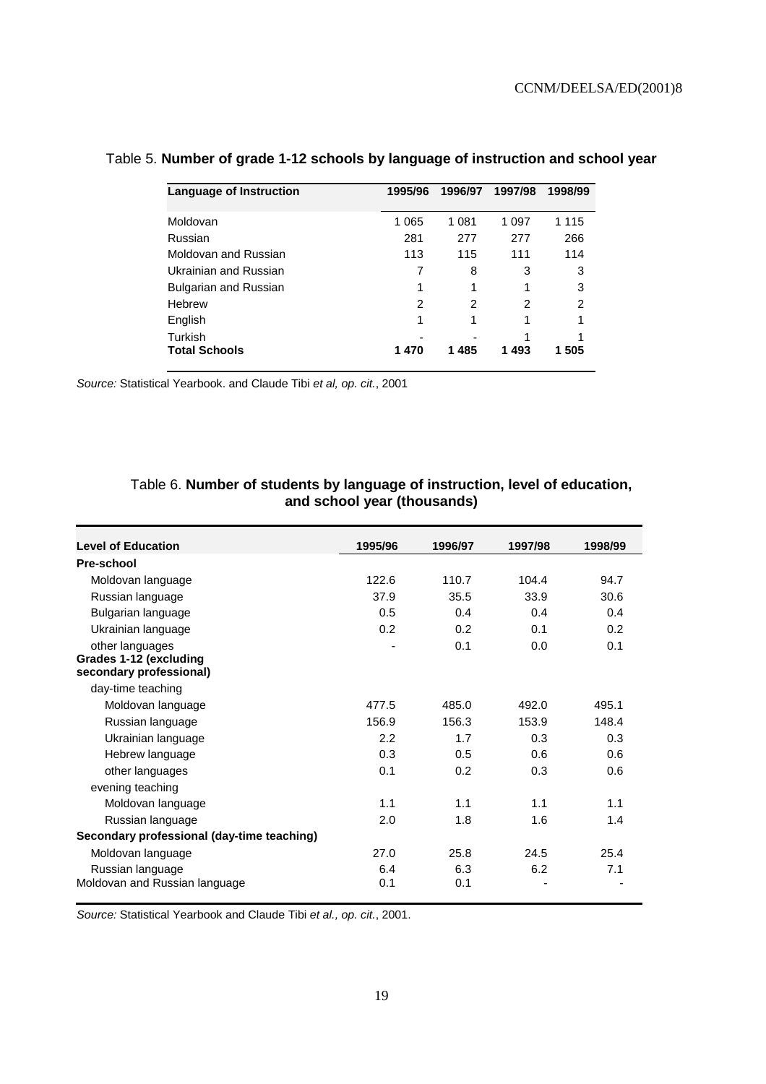| Language of Instruction         | 1995/96 | 1996/97 | 1997/98 | 1998/99 |
|---------------------------------|---------|---------|---------|---------|
| Moldovan                        | 1 0 6 5 | 1 081   | 1 0 9 7 | 1 1 1 5 |
| Russian                         | 281     | 277     | 277     | 266     |
| Moldovan and Russian            | 113     | 115     | 111     | 114     |
| Ukrainian and Russian           | 7       | 8       | 3       | 3       |
| Bulgarian and Russian           | 1       | 1       |         | 3       |
| <b>Hebrew</b>                   | 2       | 2       | 2       | 2       |
| English                         | 1       | 1       |         | 1       |
| Turkish<br><b>Total Schools</b> | 1470    | 1485    | 1493    | 1 505   |

# Table 5. **Number of grade 1-12 schools by language of instruction and school year**

Source: Statistical Yearbook. and Claude Tibi et al, op. cit., 2001

| <b>Level of Education</b>                                            | 1995/96    | 1996/97    | 1997/98 | 1998/99          |
|----------------------------------------------------------------------|------------|------------|---------|------------------|
| Pre-school                                                           |            |            |         |                  |
| Moldovan language                                                    | 122.6      | 110.7      | 104.4   | 94.7             |
| Russian language                                                     | 37.9       | 35.5       | 33.9    | 30.6             |
| Bulgarian language                                                   | 0.5        | 0.4        | 0.4     | 0.4              |
| Ukrainian language                                                   | 0.2        | 0.2        | 0.1     | 0.2 <sub>2</sub> |
| other languages<br>Grades 1-12 (excluding<br>secondary professional) |            | 0.1        | 0.0     | 0.1              |
| day-time teaching                                                    |            |            |         |                  |
| Moldovan language                                                    | 477.5      | 485.0      | 492.0   | 495.1            |
| Russian language                                                     | 156.9      | 156.3      | 153.9   | 148.4            |
| Ukrainian language                                                   | 2.2        | 1.7        | 0.3     | 0.3              |
| Hebrew language                                                      | 0.3        | 0.5        | 0.6     | 0.6              |
| other languages                                                      | 0.1        | 0.2        | 0.3     | 0.6              |
| evening teaching                                                     |            |            |         |                  |
| Moldovan language                                                    | 1.1        | 1.1        | 1.1     | 1.1              |
| Russian language                                                     | 2.0        | 1.8        | 1.6     | 1.4              |
| Secondary professional (day-time teaching)                           |            |            |         |                  |
| Moldovan language                                                    | 27.0       | 25.8       | 24.5    | 25.4             |
| Russian language<br>Moldovan and Russian language                    | 6.4<br>0.1 | 6.3<br>0.1 | 6.2     | 7.1              |

# Table 6. **Number of students by language of instruction, level of education, and school year (thousands)**

Source: Statistical Yearbook and Claude Tibi et al., op. cit., 2001.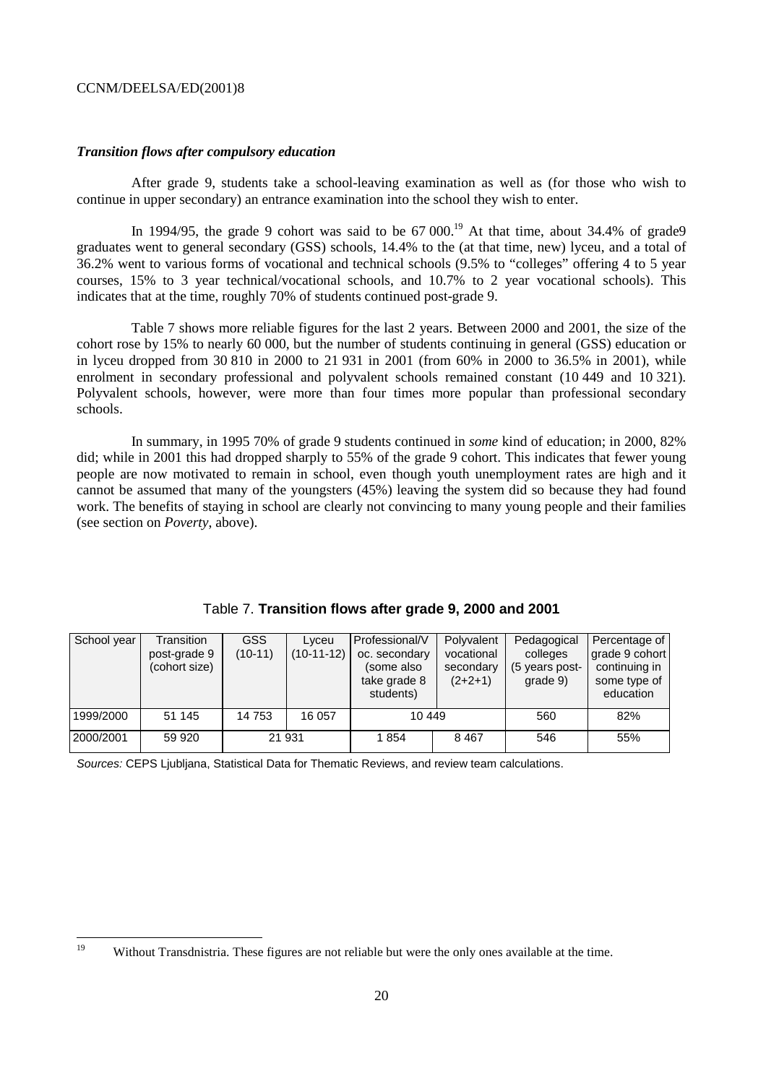#### *Transition flows after compulsory education*

After grade 9, students take a school-leaving examination as well as (for those who wish to continue in upper secondary) an entrance examination into the school they wish to enter.

In 1994/95, the grade 9 cohort was said to be  $67\,000$ .<sup>19</sup> At that time, about 34.4% of grade9 graduates went to general secondary (GSS) schools, 14.4% to the (at that time, new) lyceu, and a total of 36.2% went to various forms of vocational and technical schools (9.5% to "colleges" offering 4 to 5 year courses, 15% to 3 year technical/vocational schools, and 10.7% to 2 year vocational schools). This indicates that at the time, roughly 70% of students continued post-grade 9.

Table 7 shows more reliable figures for the last 2 years. Between 2000 and 2001, the size of the cohort rose by 15% to nearly 60 000, but the number of students continuing in general (GSS) education or in lyceu dropped from 30 810 in 2000 to 21 931 in 2001 (from 60% in 2000 to 36.5% in 2001), while enrolment in secondary professional and polyvalent schools remained constant (10 449 and 10 321). Polyvalent schools, however, were more than four times more popular than professional secondary schools.

In summary, in 1995 70% of grade 9 students continued in *some* kind of education; in 2000, 82% did; while in 2001 this had dropped sharply to 55% of the grade 9 cohort. This indicates that fewer young people are now motivated to remain in school, even though youth unemployment rates are high and it cannot be assumed that many of the youngsters (45%) leaving the system did so because they had found work. The benefits of staying in school are clearly not convincing to many young people and their families (see section on *Poverty*, above).

| School year | Transition<br>post-grade 9<br>(cohort size) | GSS<br>$(10-11)$ | Lyceu<br>$(10-11-12)$ | Professional/V<br>oc. secondary<br>(some also<br>take grade 8<br>students) | Polyvalent<br>vocational<br>secondary<br>$(2+2+1)$ | Pedagogical<br>colleges<br>(5 years post-<br>grade 9) | Percentage of<br>grade 9 cohort<br>continuing in<br>some type of<br>education |
|-------------|---------------------------------------------|------------------|-----------------------|----------------------------------------------------------------------------|----------------------------------------------------|-------------------------------------------------------|-------------------------------------------------------------------------------|
| 1999/2000   | 51 145                                      | 14 753           | 16 057                | 10 449                                                                     |                                                    | 560                                                   | 82%                                                                           |
| 2000/2001   | 59 9 20                                     | 21 931           |                       | 1 854                                                                      | 8467                                               | 546                                                   | 55%                                                                           |

Table 7. **Transition flows after grade 9, 2000 and 2001**

Sources: CEPS Liubliana, Statistical Data for Thematic Reviews, and review team calculations.

<sup>&</sup>lt;sup>19</sup> Without Transdnistria. These figures are not reliable but were the only ones available at the time.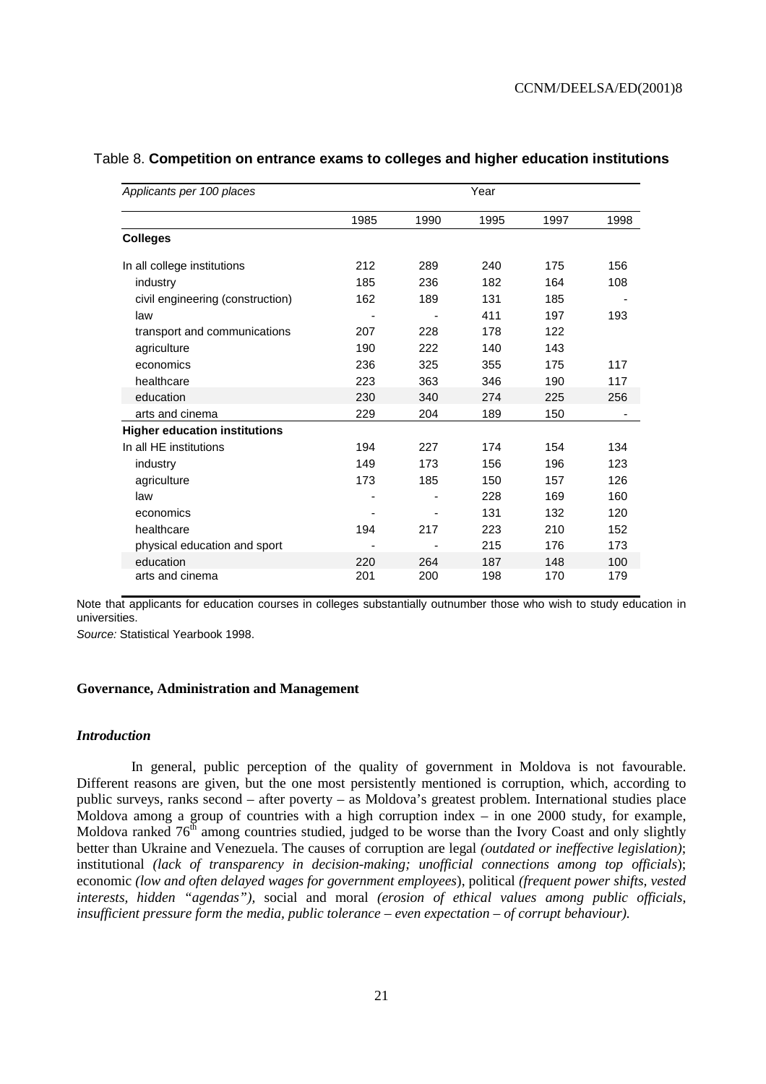| Applicants per 100 places            |      |      | Year |      |      |
|--------------------------------------|------|------|------|------|------|
|                                      | 1985 | 1990 | 1995 | 1997 | 1998 |
| <b>Colleges</b>                      |      |      |      |      |      |
| In all college institutions          | 212  | 289  | 240  | 175  | 156  |
| industry                             | 185  | 236  | 182  | 164  | 108  |
| civil engineering (construction)     | 162  | 189  | 131  | 185  |      |
| law                                  |      |      | 411  | 197  | 193  |
| transport and communications         | 207  | 228  | 178  | 122  |      |
| agriculture                          | 190  | 222  | 140  | 143  |      |
| economics                            | 236  | 325  | 355  | 175  | 117  |
| healthcare                           | 223  | 363  | 346  | 190  | 117  |
| education                            | 230  | 340  | 274  | 225  | 256  |
| arts and cinema                      | 229  | 204  | 189  | 150  |      |
| <b>Higher education institutions</b> |      |      |      |      |      |
| In all HE institutions               | 194  | 227  | 174  | 154  | 134  |
| industry                             | 149  | 173  | 156  | 196  | 123  |
| agriculture                          | 173  | 185  | 150  | 157  | 126  |
| law                                  |      |      | 228  | 169  | 160  |
| economics                            |      |      | 131  | 132  | 120  |
| healthcare                           | 194  | 217  | 223  | 210  | 152  |
| physical education and sport         |      |      | 215  | 176  | 173  |
| education                            | 220  | 264  | 187  | 148  | 100  |
| arts and cinema                      | 201  | 200  | 198  | 170  | 179  |

#### Table 8. **Competition on entrance exams to colleges and higher education institutions**

Note that applicants for education courses in colleges substantially outnumber those who wish to study education in universities.

Source: Statistical Yearbook 1998.

#### **Governance, Administration and Management**

#### *Introduction*

In general, public perception of the quality of government in Moldova is not favourable. Different reasons are given, but the one most persistently mentioned is corruption, which, according to public surveys, ranks second – after poverty – as Moldova's greatest problem. International studies place Moldova among a group of countries with a high corruption index – in one 2000 study, for example, Moldova ranked  $76<sup>th</sup>$  among countries studied, judged to be worse than the Ivory Coast and only slightly better than Ukraine and Venezuela. The causes of corruption are legal *(outdated or ineffective legislation)*; institutional *(lack of transparency in decision-making; unofficial connections among top officials*); economic *(low and often delayed wages for government employees*), political *(frequent power shifts, vested interests, hidden "agendas"),* social and moral *(erosion of ethical values among public officials*, *insufficient pressure form the media, public tolerance – even expectation – of corrupt behaviour).*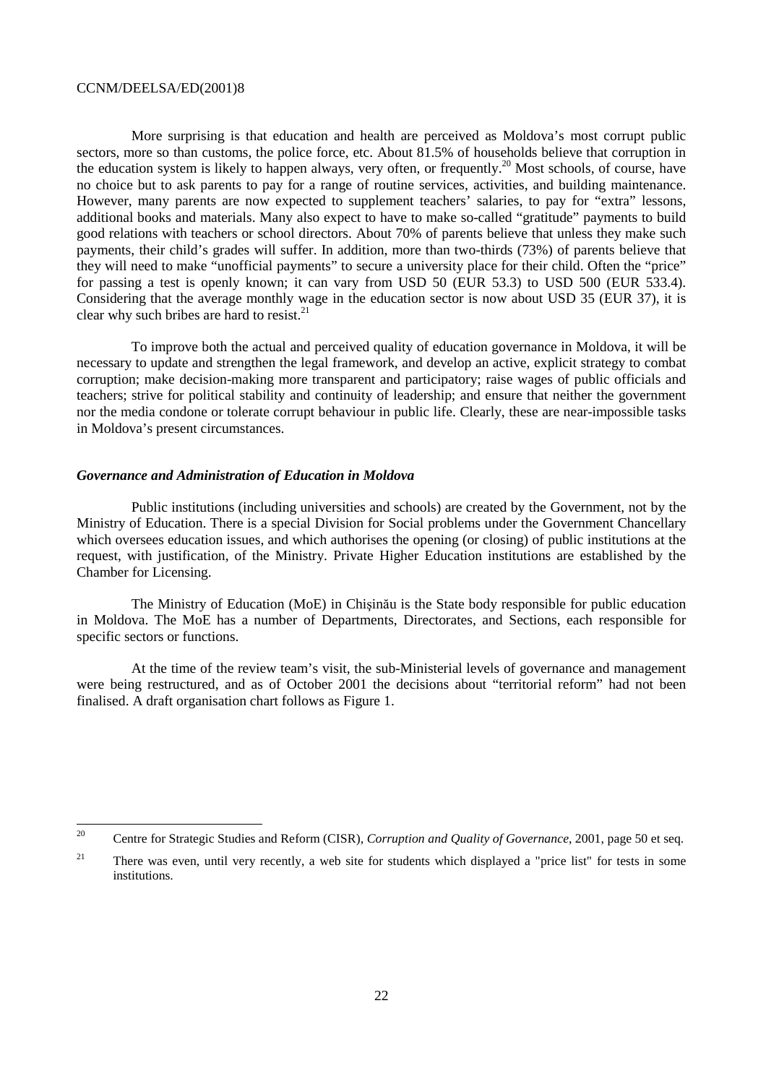More surprising is that education and health are perceived as Moldova's most corrupt public sectors, more so than customs, the police force, etc. About 81.5% of households believe that corruption in the education system is likely to happen always, very often, or frequently.<sup>20</sup> Most schools, of course, have no choice but to ask parents to pay for a range of routine services, activities, and building maintenance. However, many parents are now expected to supplement teachers' salaries, to pay for "extra" lessons, additional books and materials. Many also expect to have to make so-called "gratitude" payments to build good relations with teachers or school directors. About 70% of parents believe that unless they make such payments, their child's grades will suffer. In addition, more than two-thirds (73%) of parents believe that they will need to make "unofficial payments" to secure a university place for their child. Often the "price" for passing a test is openly known; it can vary from USD 50 (EUR 53.3) to USD 500 (EUR 533.4). Considering that the average monthly wage in the education sector is now about USD 35 (EUR 37), it is clear why such bribes are hard to resist. $21$ 

To improve both the actual and perceived quality of education governance in Moldova, it will be necessary to update and strengthen the legal framework, and develop an active, explicit strategy to combat corruption; make decision-making more transparent and participatory; raise wages of public officials and teachers; strive for political stability and continuity of leadership; and ensure that neither the government nor the media condone or tolerate corrupt behaviour in public life. Clearly, these are near-impossible tasks in Moldova's present circumstances.

#### *Governance and Administration of Education in Moldova*

Public institutions (including universities and schools) are created by the Government, not by the Ministry of Education. There is a special Division for Social problems under the Government Chancellary which oversees education issues, and which authorises the opening (or closing) of public institutions at the request, with justification, of the Ministry. Private Higher Education institutions are established by the Chamber for Licensing.

The Ministry of Education (MoE) in Chişinău is the State body responsible for public education in Moldova. The MoE has a number of Departments, Directorates, and Sections, each responsible for specific sectors or functions.

At the time of the review team's visit, the sub-Ministerial levels of governance and management were being restructured, and as of October 2001 the decisions about "territorial reform" had not been finalised. A draft organisation chart follows as Figure 1.

<sup>&</sup>lt;sup>20</sup> Centre for Strategic Studies and Reform (CISR), *Corruption and Quality of Governance*, 2001, page 50 et seq.

<sup>&</sup>lt;sup>21</sup> There was even, until very recently, a web site for students which displayed a "price list" for tests in some institutions.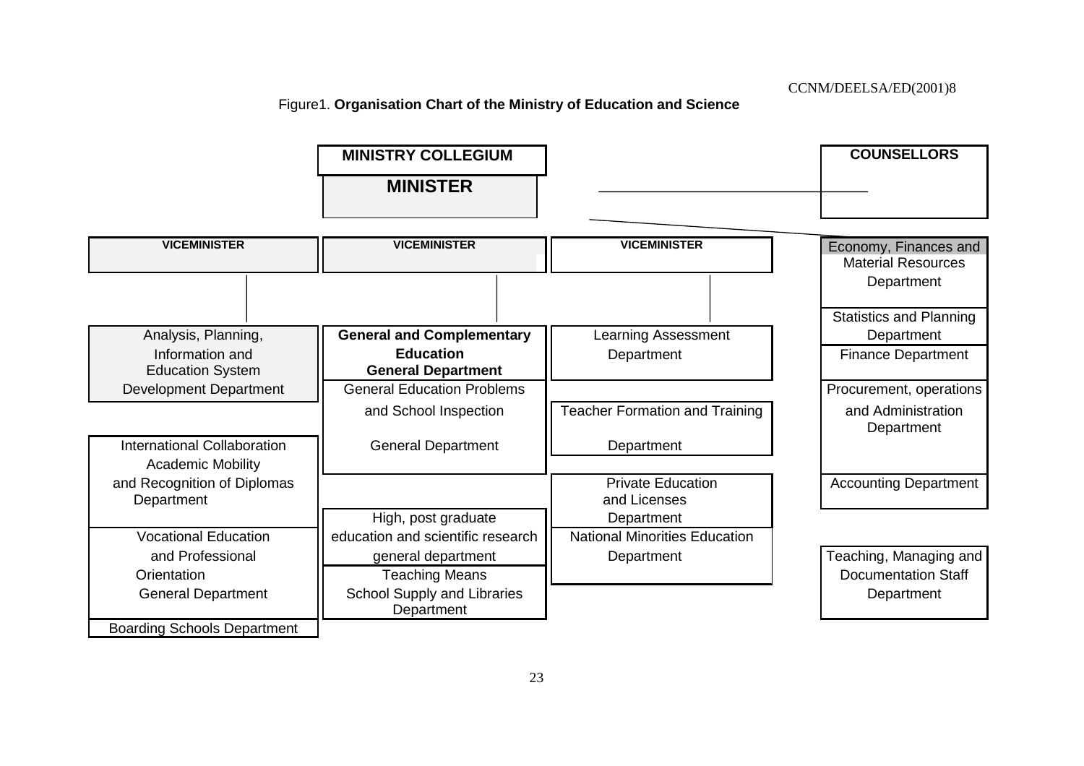# Figure1. **Organisation Chart of the Ministry of Education and Science**

|                                           | <b>MINISTRY COLLEGIUM</b>                 |                                          | <b>COUNSELLORS</b>                                 |
|-------------------------------------------|-------------------------------------------|------------------------------------------|----------------------------------------------------|
|                                           | <b>MINISTER</b>                           |                                          |                                                    |
|                                           |                                           |                                          |                                                    |
| <b>VICEMINISTER</b>                       | <b>VICEMINISTER</b>                       | <b>VICEMINISTER</b>                      | Economy, Finances and<br><b>Material Resources</b> |
|                                           |                                           |                                          | Department                                         |
|                                           |                                           |                                          |                                                    |
|                                           |                                           |                                          | <b>Statistics and Planning</b>                     |
| Analysis, Planning,                       | <b>General and Complementary</b>          | <b>Learning Assessment</b>               | Department                                         |
| Information and                           | <b>Education</b>                          | Department                               | <b>Finance Department</b>                          |
| <b>Education System</b>                   | <b>General Department</b>                 |                                          |                                                    |
| <b>Development Department</b>             | <b>General Education Problems</b>         |                                          | Procurement, operations                            |
|                                           | and School Inspection                     | <b>Teacher Formation and Training</b>    | and Administration<br>Department                   |
| International Collaboration               | <b>General Department</b>                 | Department                               |                                                    |
| <b>Academic Mobility</b>                  |                                           |                                          |                                                    |
| and Recognition of Diplomas<br>Department |                                           | <b>Private Education</b><br>and Licenses | <b>Accounting Department</b>                       |
|                                           | High, post graduate                       | Department                               |                                                    |
| <b>Vocational Education</b>               | education and scientific research         | <b>National Minorities Education</b>     |                                                    |
| and Professional                          | general department                        | Department                               | Teaching, Managing and                             |
| Orientation                               | <b>Teaching Means</b>                     |                                          | <b>Documentation Staff</b>                         |
| <b>General Department</b>                 | School Supply and Libraries<br>Department |                                          | Department                                         |
| <b>Boarding Schools Department</b>        |                                           |                                          |                                                    |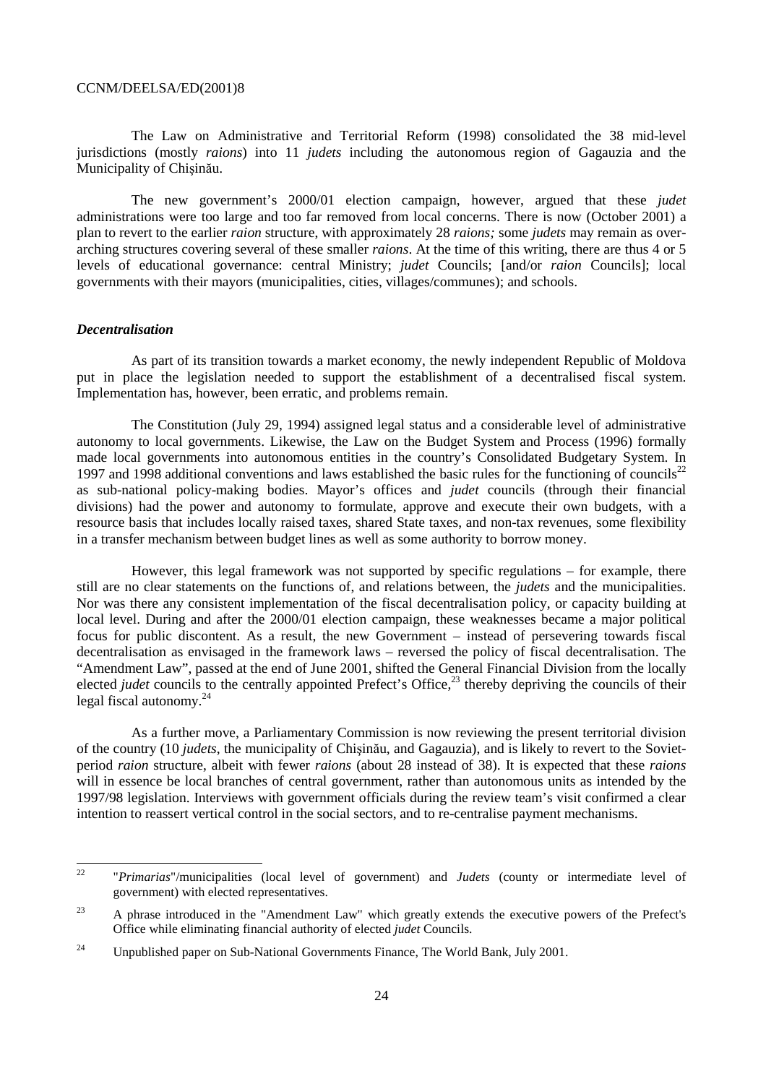The Law on Administrative and Territorial Reform (1998) consolidated the 38 mid-level jurisdictions (mostly *raions*) into 11 *judets* including the autonomous region of Gagauzia and the Municipality of Chişinău.

The new government's 2000/01 election campaign, however, argued that these *judet* administrations were too large and too far removed from local concerns. There is now (October 2001) a plan to revert to the earlier *raion* structure, with approximately 28 *raions;* some *judets* may remain as overarching structures covering several of these smaller *raions*. At the time of this writing, there are thus 4 or 5 levels of educational governance: central Ministry; *judet* Councils; [and/or *raion* Councils]; local governments with their mayors (municipalities, cities, villages/communes); and schools.

#### *Decentralisation*

As part of its transition towards a market economy, the newly independent Republic of Moldova put in place the legislation needed to support the establishment of a decentralised fiscal system. Implementation has, however, been erratic, and problems remain.

The Constitution (July 29, 1994) assigned legal status and a considerable level of administrative autonomy to local governments. Likewise, the Law on the Budget System and Process (1996) formally made local governments into autonomous entities in the country's Consolidated Budgetary System. In 1997 and 1998 additional conventions and laws established the basic rules for the functioning of councils<sup>22</sup> as sub-national policy-making bodies. Mayor's offices and *judet* councils (through their financial divisions) had the power and autonomy to formulate, approve and execute their own budgets, with a resource basis that includes locally raised taxes, shared State taxes, and non-tax revenues, some flexibility in a transfer mechanism between budget lines as well as some authority to borrow money.

However, this legal framework was not supported by specific regulations – for example, there still are no clear statements on the functions of, and relations between, the *judets* and the municipalities. Nor was there any consistent implementation of the fiscal decentralisation policy, or capacity building at local level. During and after the 2000/01 election campaign, these weaknesses became a major political focus for public discontent. As a result, the new Government – instead of persevering towards fiscal decentralisation as envisaged in the framework laws – reversed the policy of fiscal decentralisation. The "Amendment Law", passed at the end of June 2001, shifted the General Financial Division from the locally elected *judet* councils to the centrally appointed Prefect's Office,<sup>23</sup> thereby depriving the councils of their legal fiscal autonomy. $^{24}$ 

As a further move, a Parliamentary Commission is now reviewing the present territorial division of the country (10 *judets*, the municipality of Chişinău, and Gagauzia), and is likely to revert to the Sovietperiod *raion* structure, albeit with fewer *raions* (about 28 instead of 38). It is expected that these *raions* will in essence be local branches of central government, rather than autonomous units as intended by the 1997/98 legislation. Interviews with government officials during the review team's visit confirmed a clear intention to reassert vertical control in the social sectors, and to re-centralise payment mechanisms.

<sup>22</sup> "*Primarias*"/municipalities (local level of government) and *Judets* (county or intermediate level of government) with elected representatives.

 $23$  A phrase introduced in the "Amendment Law" which greatly extends the executive powers of the Prefect's Office while eliminating financial authority of elected *judet* Councils.

<sup>&</sup>lt;sup>24</sup> Unpublished paper on Sub-National Governments Finance, The World Bank, July 2001.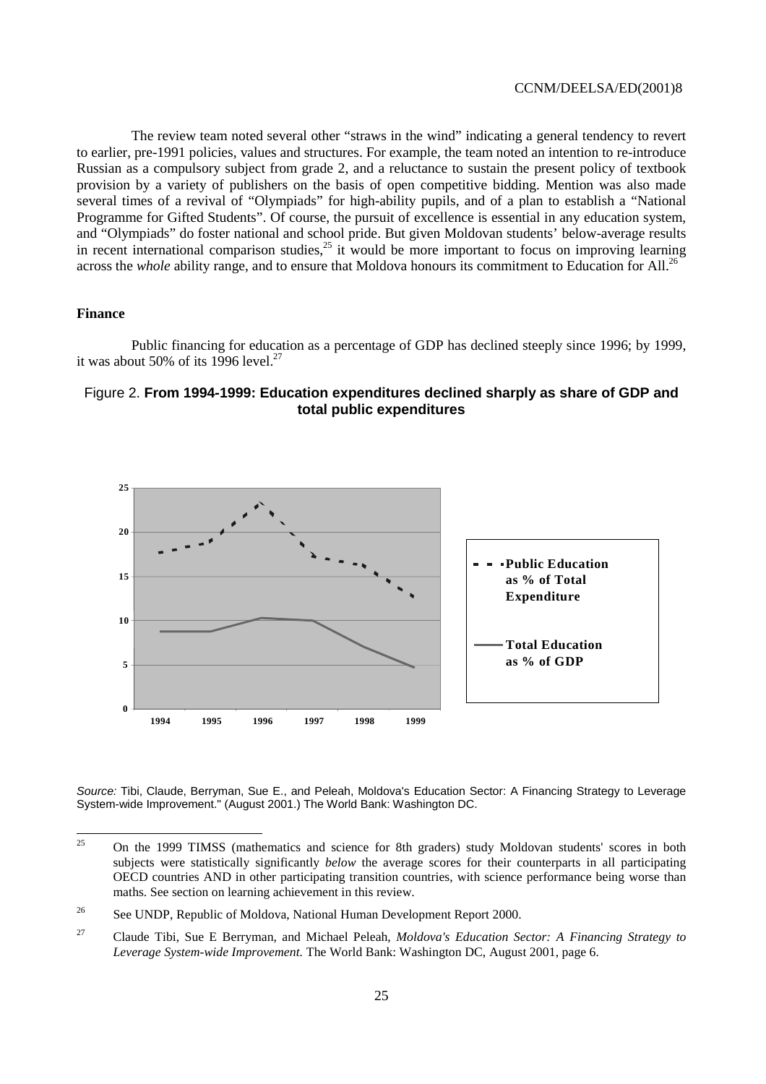The review team noted several other "straws in the wind" indicating a general tendency to revert to earlier, pre-1991 policies, values and structures. For example, the team noted an intention to re-introduce Russian as a compulsory subject from grade 2, and a reluctance to sustain the present policy of textbook provision by a variety of publishers on the basis of open competitive bidding. Mention was also made several times of a revival of "Olympiads" for high-ability pupils, and of a plan to establish a "National Programme for Gifted Students". Of course, the pursuit of excellence is essential in any education system, and "Olympiads" do foster national and school pride. But given Moldovan students' below-average results in recent international comparison studies,<sup>25</sup> it would be more important to focus on improving learning across the *whole* ability range, and to ensure that Moldova honours its commitment to Education for All.<sup>26</sup>

#### **Finance**

Public financing for education as a percentage of GDP has declined steeply since 1996; by 1999, it was about 50% of its 1996 level. $27$ 

# Figure 2. **From 1994-1999: Education expenditures declined sharply as share of GDP and total public expenditures**



Source: Tibi, Claude, Berryman, Sue E., and Peleah, Moldova's Education Sector: A Financing Strategy to Leverage System-wide Improvement." (August 2001.) The World Bank: Washington DC.

<sup>&</sup>lt;sup>25</sup> On the 1999 TIMSS (mathematics and science for 8th graders) study Moldovan students' scores in both subjects were statistically significantly *below* the average scores for their counterparts in all participating OECD countries AND in other participating transition countries, with science performance being worse than maths. See section on learning achievement in this review.

<sup>&</sup>lt;sup>26</sup> See UNDP, Republic of Moldova, National Human Development Report 2000.

<sup>27</sup> Claude Tibi, Sue E Berryman, and Michael Peleah, *Moldova's Education Sector: A Financing Strategy to Leverage System-wide Improvement.* The World Bank: Washington DC, August 2001, page 6.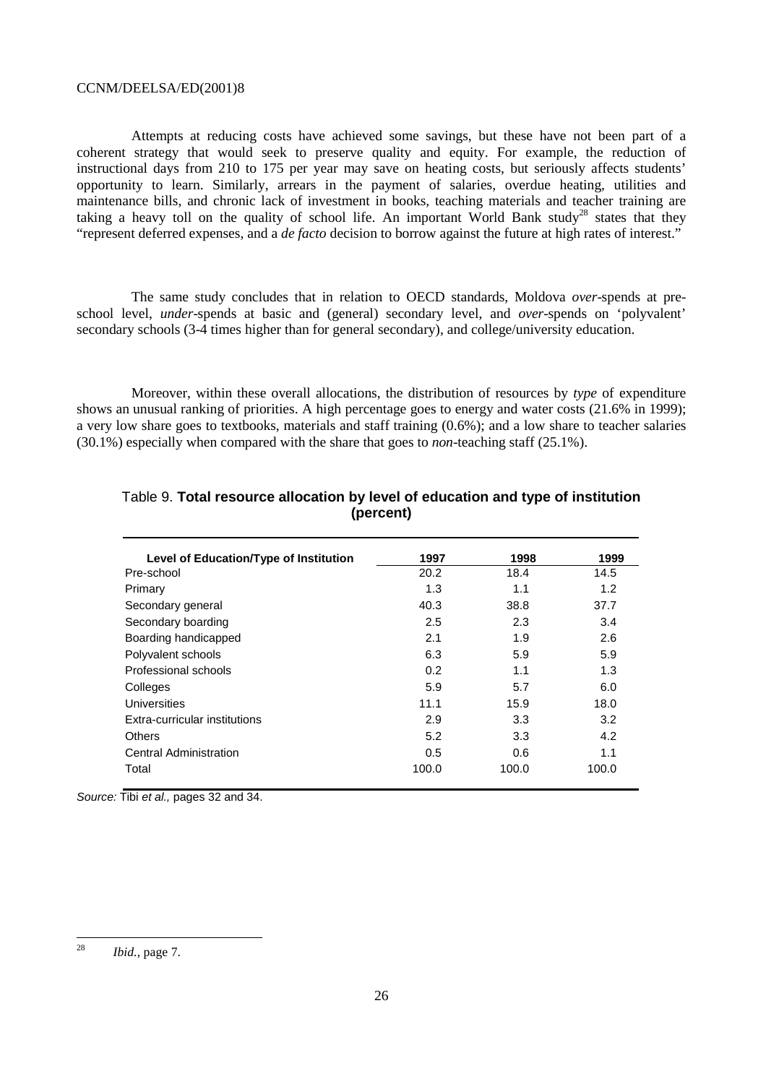Attempts at reducing costs have achieved some savings, but these have not been part of a coherent strategy that would seek to preserve quality and equity. For example, the reduction of instructional days from 210 to 175 per year may save on heating costs, but seriously affects students' opportunity to learn. Similarly, arrears in the payment of salaries, overdue heating, utilities and maintenance bills, and chronic lack of investment in books, teaching materials and teacher training are taking a heavy toll on the quality of school life. An important World Bank study<sup>28</sup> states that they "represent deferred expenses, and a *de facto* decision to borrow against the future at high rates of interest."

The same study concludes that in relation to OECD standards, Moldova *over*-spends at preschool level, *under*-spends at basic and (general) secondary level, and *over*-spends on 'polyvalent' secondary schools (3-4 times higher than for general secondary), and college/university education.

Moreover, within these overall allocations, the distribution of resources by *type* of expenditure shows an unusual ranking of priorities. A high percentage goes to energy and water costs (21.6% in 1999); a very low share goes to textbooks, materials and staff training (0.6%); and a low share to teacher salaries (30.1%) especially when compared with the share that goes to *non*-teaching staff (25.1%).

| Level of Education/Type of Institution | 1997  | 1998  | 1999  |
|----------------------------------------|-------|-------|-------|
| Pre-school                             | 20.2  | 18.4  | 14.5  |
| Primary                                | 1.3   | 1.1   | 1.2   |
| Secondary general                      | 40.3  | 38.8  | 37.7  |
| Secondary boarding                     | 2.5   | 2.3   | 3.4   |
| Boarding handicapped                   | 2.1   | 1.9   | 2.6   |
| Polyvalent schools                     | 6.3   | 5.9   | 5.9   |
| Professional schools                   | 0.2   | 1.1   | 1.3   |
| Colleges                               | 5.9   | 5.7   | 6.0   |
| Universities                           | 11.1  | 15.9  | 18.0  |
| Extra-curricular institutions          | 2.9   | 3.3   | 3.2   |
| <b>Others</b>                          | 5.2   | 3.3   | 4.2   |
| <b>Central Administration</b>          | 0.5   | 0.6   | 1.1   |
| Total                                  | 100.0 | 100.0 | 100.0 |

# Table 9. **Total resource allocation by level of education and type of institution (percent)**

Source: Tibi et al., pages 32 and 34.

<sup>28</sup> *Ibid.,* page 7.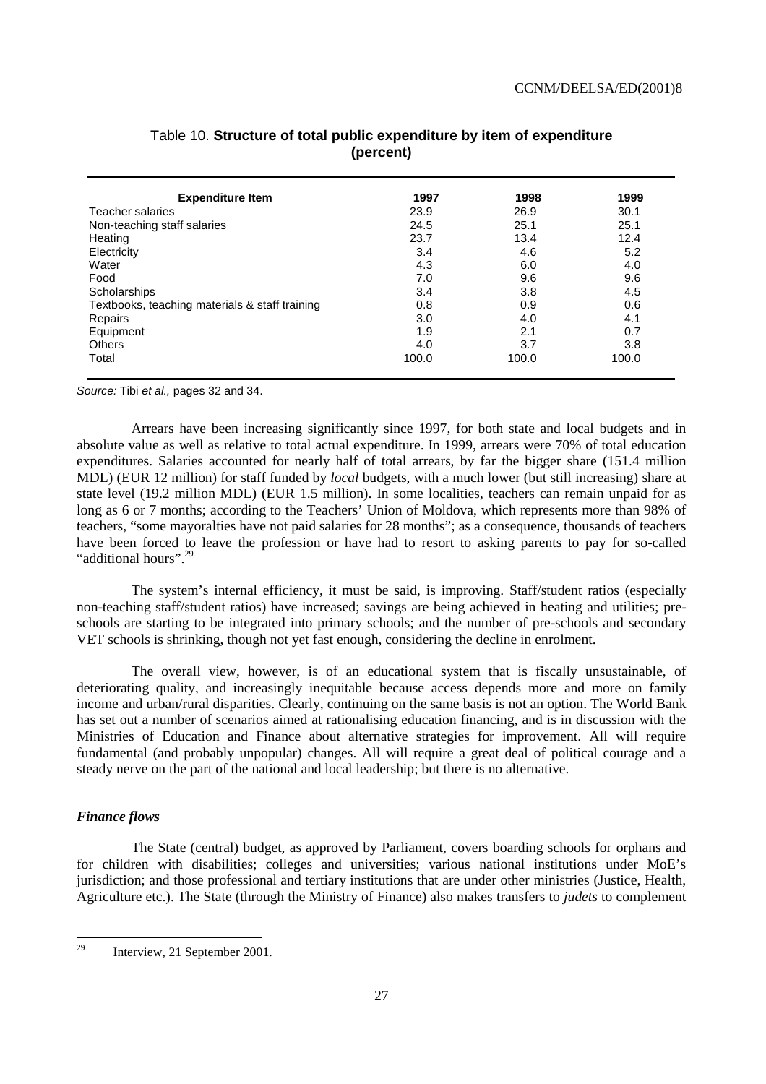| <b>Expenditure Item</b>                        | 1997  | 1998  | 1999  |
|------------------------------------------------|-------|-------|-------|
| Teacher salaries                               | 23.9  | 26.9  | 30.1  |
| Non-teaching staff salaries                    | 24.5  | 25.1  | 25.1  |
| Heating                                        | 23.7  | 13.4  | 12.4  |
| Electricity                                    | 3.4   | 4.6   | 5.2   |
| Water                                          | 4.3   | 6.0   | 4.0   |
| Food                                           | 7.0   | 9.6   | 9.6   |
| Scholarships                                   | 3.4   | 3.8   | 4.5   |
| Textbooks, teaching materials & staff training | 0.8   | 0.9   | 0.6   |
| Repairs                                        | 3.0   | 4.0   | 4.1   |
| Equipment                                      | 1.9   | 2.1   | 0.7   |
| <b>Others</b>                                  | 4.0   | 3.7   | 3.8   |
| Total                                          | 100.0 | 100.0 | 100.0 |

# Table 10. **Structure of total public expenditure by item of expenditure (percent)**

Source: Tibi et al., pages 32 and 34.

Arrears have been increasing significantly since 1997, for both state and local budgets and in absolute value as well as relative to total actual expenditure. In 1999, arrears were 70% of total education expenditures. Salaries accounted for nearly half of total arrears, by far the bigger share (151.4 million MDL) (EUR 12 million) for staff funded by *local* budgets, with a much lower (but still increasing) share at state level (19.2 million MDL) (EUR 1.5 million). In some localities, teachers can remain unpaid for as long as 6 or 7 months; according to the Teachers' Union of Moldova, which represents more than 98% of teachers, "some mayoralties have not paid salaries for 28 months"; as a consequence, thousands of teachers have been forced to leave the profession or have had to resort to asking parents to pay for so-called "additional hours".<sup>29</sup>

The system's internal efficiency, it must be said, is improving. Staff/student ratios (especially non-teaching staff/student ratios) have increased; savings are being achieved in heating and utilities; preschools are starting to be integrated into primary schools; and the number of pre-schools and secondary VET schools is shrinking, though not yet fast enough, considering the decline in enrolment.

The overall view, however, is of an educational system that is fiscally unsustainable, of deteriorating quality, and increasingly inequitable because access depends more and more on family income and urban/rural disparities. Clearly, continuing on the same basis is not an option. The World Bank has set out a number of scenarios aimed at rationalising education financing, and is in discussion with the Ministries of Education and Finance about alternative strategies for improvement. All will require fundamental (and probably unpopular) changes. All will require a great deal of political courage and a steady nerve on the part of the national and local leadership; but there is no alternative.

#### *Finance flows*

The State (central) budget, as approved by Parliament, covers boarding schools for orphans and for children with disabilities; colleges and universities; various national institutions under MoE's jurisdiction; and those professional and tertiary institutions that are under other ministries (Justice, Health, Agriculture etc.). The State (through the Ministry of Finance) also makes transfers to *judets* to complement

<sup>29</sup> Interview, 21 September 2001.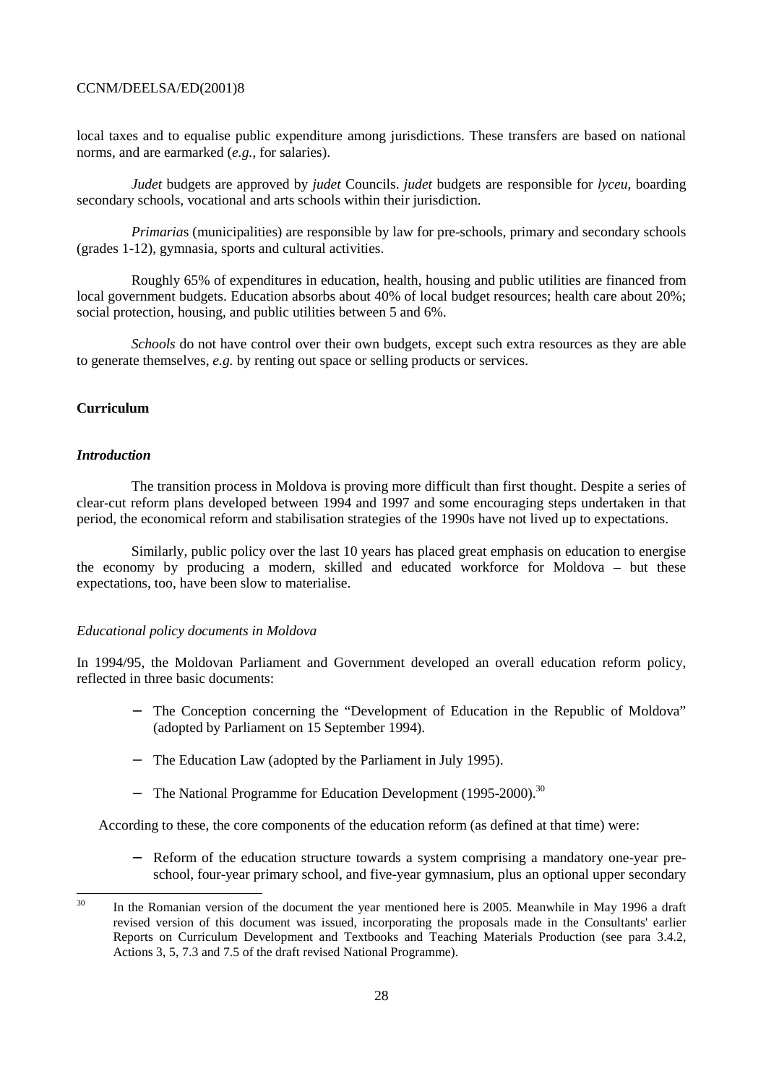local taxes and to equalise public expenditure among jurisdictions. These transfers are based on national norms, and are earmarked (*e.g.*, for salaries).

*Judet* budgets are approved by *judet* Councils. *judet* budgets are responsible for *lyceu*, boarding secondary schools, vocational and arts schools within their jurisdiction.

*Primaria*s (municipalities) are responsible by law for pre-schools, primary and secondary schools (grades 1-12), gymnasia, sports and cultural activities.

Roughly 65% of expenditures in education, health, housing and public utilities are financed from local government budgets. Education absorbs about 40% of local budget resources; health care about 20%; social protection, housing, and public utilities between 5 and 6%.

*Schools* do not have control over their own budgets, except such extra resources as they are able to generate themselves, *e.g.* by renting out space or selling products or services.

### **Curriculum**

#### *Introduction*

The transition process in Moldova is proving more difficult than first thought. Despite a series of clear-cut reform plans developed between 1994 and 1997 and some encouraging steps undertaken in that period, the economical reform and stabilisation strategies of the 1990s have not lived up to expectations.

Similarly, public policy over the last 10 years has placed great emphasis on education to energise the economy by producing a modern, skilled and educated workforce for Moldova – but these expectations, too, have been slow to materialise.

#### *Educational policy documents in Moldova*

In 1994/95, the Moldovan Parliament and Government developed an overall education reform policy, reflected in three basic documents:

- − The Conception concerning the "Development of Education in the Republic of Moldova" (adopted by Parliament on 15 September 1994).
- − The Education Law (adopted by the Parliament in July 1995).
- − The National Programme for Education Development (1995-2000).30

According to these, the core components of the education reform (as defined at that time) were:

− Reform of the education structure towards a system comprising a mandatory one-year preschool, four-year primary school, and five-year gymnasium, plus an optional upper secondary

<sup>&</sup>lt;sup>30</sup> In the Romanian version of the document the year mentioned here is 2005. Meanwhile in May 1996 a draft revised version of this document was issued, incorporating the proposals made in the Consultants' earlier Reports on Curriculum Development and Textbooks and Teaching Materials Production (see para 3.4.2, Actions 3, 5, 7.3 and 7.5 of the draft revised National Programme).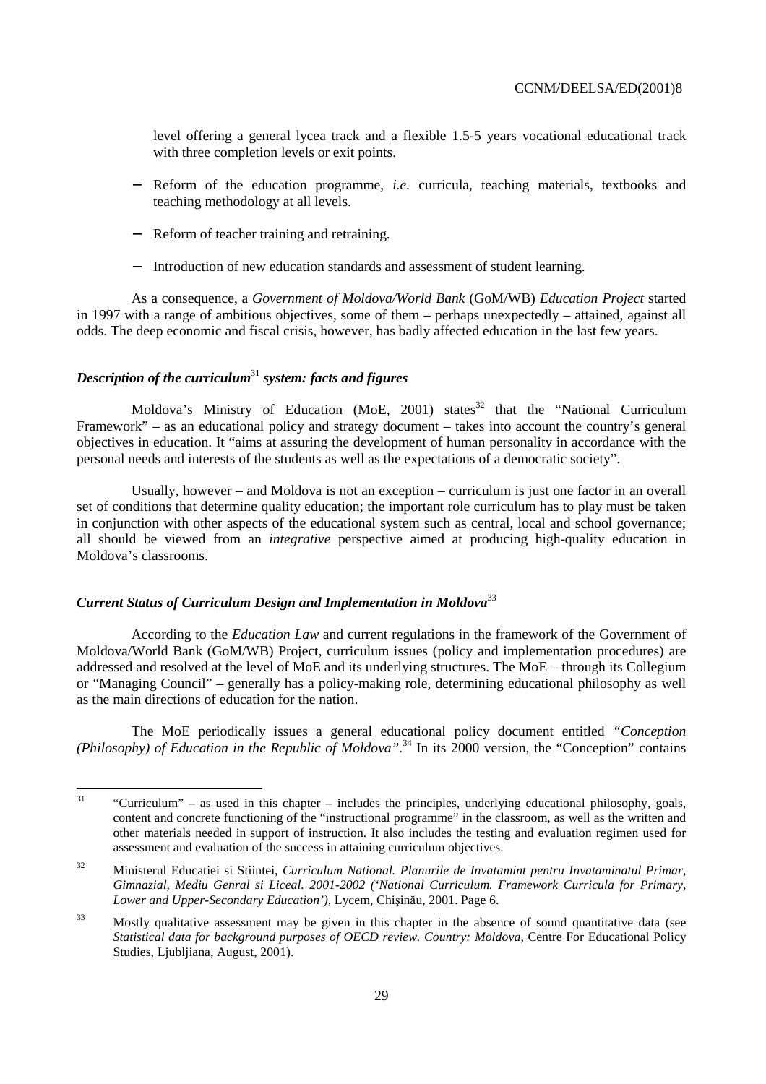level offering a general lycea track and a flexible 1.5-5 years vocational educational track with three completion levels or exit points.

- − Reform of the education programme, *i.e.* curricula, teaching materials, textbooks and teaching methodology at all levels.
- − Reform of teacher training and retraining.
- Introduction of new education standards and assessment of student learning.

As a consequence, a *Government of Moldova/World Bank* (GoM/WB) *Education Project* started in 1997 with a range of ambitious objectives, some of them – perhaps unexpectedly – attained, against all odds. The deep economic and fiscal crisis, however, has badly affected education in the last few years.

# *Description of the curriculum*<sup>31</sup> *system: facts and figures*

Moldova's Ministry of Education (MoE, 2001) states<sup>32</sup> that the "National Curriculum Framework" – as an educational policy and strategy document – takes into account the country's general objectives in education. It "aims at assuring the development of human personality in accordance with the personal needs and interests of the students as well as the expectations of a democratic society".

Usually, however – and Moldova is not an exception – curriculum is just one factor in an overall set of conditions that determine quality education; the important role curriculum has to play must be taken in conjunction with other aspects of the educational system such as central, local and school governance; all should be viewed from an *integrative* perspective aimed at producing high-quality education in Moldova's classrooms.

#### *Current Status of Curriculum Design and Implementation in Moldova*<sup>33</sup>

According to the *Education Law* and current regulations in the framework of the Government of Moldova/World Bank (GoM/WB) Project, curriculum issues (policy and implementation procedures) are addressed and resolved at the level of MoE and its underlying structures. The MoE – through its Collegium or "Managing Council" – generally has a policy-making role, determining educational philosophy as well as the main directions of education for the nation.

The MoE periodically issues a general educational policy document entitled *"Conception (Philosophy) of Education in the Republic of Moldova".*<sup>34</sup> In its 2000 version, the "Conception" contains

 $31$  "Curriculum" – as used in this chapter – includes the principles, underlying educational philosophy, goals, content and concrete functioning of the "instructional programme" in the classroom, as well as the written and other materials needed in support of instruction. It also includes the testing and evaluation regimen used for assessment and evaluation of the success in attaining curriculum objectives.

<sup>32</sup> Ministerul Educatiei si Stiintei, *Curriculum National. Planurile de Invatamint pentru Invataminatul Primar, Gimnazial, Mediu Genral si Liceal. 2001-2002 ('National Curriculum. Framework Curricula for Primary, Lower and Upper-Secondary Education'),* Lycem, Chişinău, 2001. Page 6.

<sup>&</sup>lt;sup>33</sup> Mostly qualitative assessment may be given in this chapter in the absence of sound quantitative data (see *Statistical data for background purposes of OECD review. Country: Moldova,* Centre For Educational Policy Studies, Ljubljiana, August, 2001).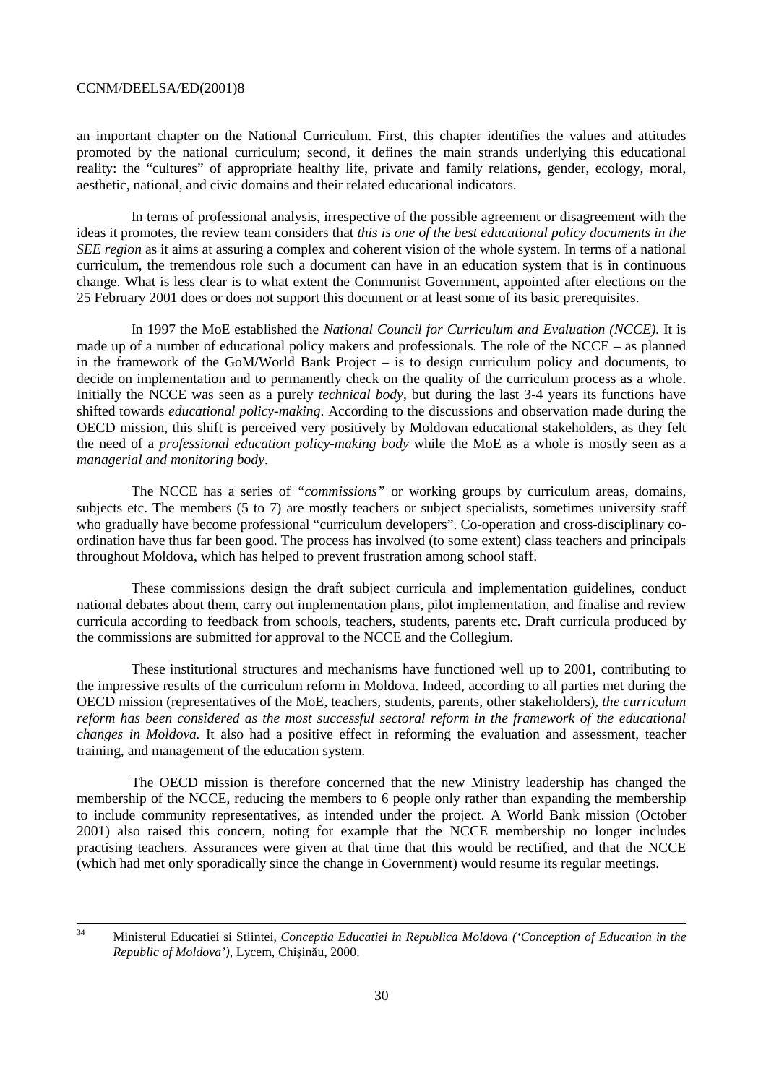an important chapter on the National Curriculum. First, this chapter identifies the values and attitudes promoted by the national curriculum; second, it defines the main strands underlying this educational reality: the "cultures" of appropriate healthy life, private and family relations, gender, ecology, moral, aesthetic, national, and civic domains and their related educational indicators.

In terms of professional analysis, irrespective of the possible agreement or disagreement with the ideas it promotes, the review team considers that *this is one of the best educational policy documents in the SEE region* as it aims at assuring a complex and coherent vision of the whole system. In terms of a national curriculum, the tremendous role such a document can have in an education system that is in continuous change. What is less clear is to what extent the Communist Government, appointed after elections on the 25 February 2001 does or does not support this document or at least some of its basic prerequisites.

In 1997 the MoE established the *National Council for Curriculum and Evaluation (NCCE).* It is made up of a number of educational policy makers and professionals. The role of the NCCE – as planned in the framework of the GoM/World Bank Project – is to design curriculum policy and documents, to decide on implementation and to permanently check on the quality of the curriculum process as a whole. Initially the NCCE was seen as a purely *technical body*, but during the last 3-4 years its functions have shifted towards *educational policy-making*. According to the discussions and observation made during the OECD mission, this shift is perceived very positively by Moldovan educational stakeholders, as they felt the need of a *professional education policy-making body* while the MoE as a whole is mostly seen as a *managerial and monitoring body*.

The NCCE has a series of *"commissions"* or working groups by curriculum areas, domains, subjects etc. The members (5 to 7) are mostly teachers or subject specialists, sometimes university staff who gradually have become professional "curriculum developers". Co-operation and cross-disciplinary coordination have thus far been good. The process has involved (to some extent) class teachers and principals throughout Moldova, which has helped to prevent frustration among school staff.

These commissions design the draft subject curricula and implementation guidelines, conduct national debates about them, carry out implementation plans, pilot implementation, and finalise and review curricula according to feedback from schools, teachers, students, parents etc. Draft curricula produced by the commissions are submitted for approval to the NCCE and the Collegium.

These institutional structures and mechanisms have functioned well up to 2001, contributing to the impressive results of the curriculum reform in Moldova. Indeed, according to all parties met during the OECD mission (representatives of the MoE, teachers, students, parents, other stakeholders), *the curriculum reform has been considered as the most successful sectoral reform in the framework of the educational changes in Moldova.* It also had a positive effect in reforming the evaluation and assessment, teacher training, and management of the education system.

The OECD mission is therefore concerned that the new Ministry leadership has changed the membership of the NCCE, reducing the members to 6 people only rather than expanding the membership to include community representatives, as intended under the project. A World Bank mission (October 2001) also raised this concern, noting for example that the NCCE membership no longer includes practising teachers. Assurances were given at that time that this would be rectified, and that the NCCE (which had met only sporadically since the change in Government) would resume its regular meetings.

<sup>34</sup> Ministerul Educatiei si Stiintei, *Conceptia Educatiei in Republica Moldova ('Conception of Education in the Republic of Moldova'),* Lycem, Chişinău, 2000.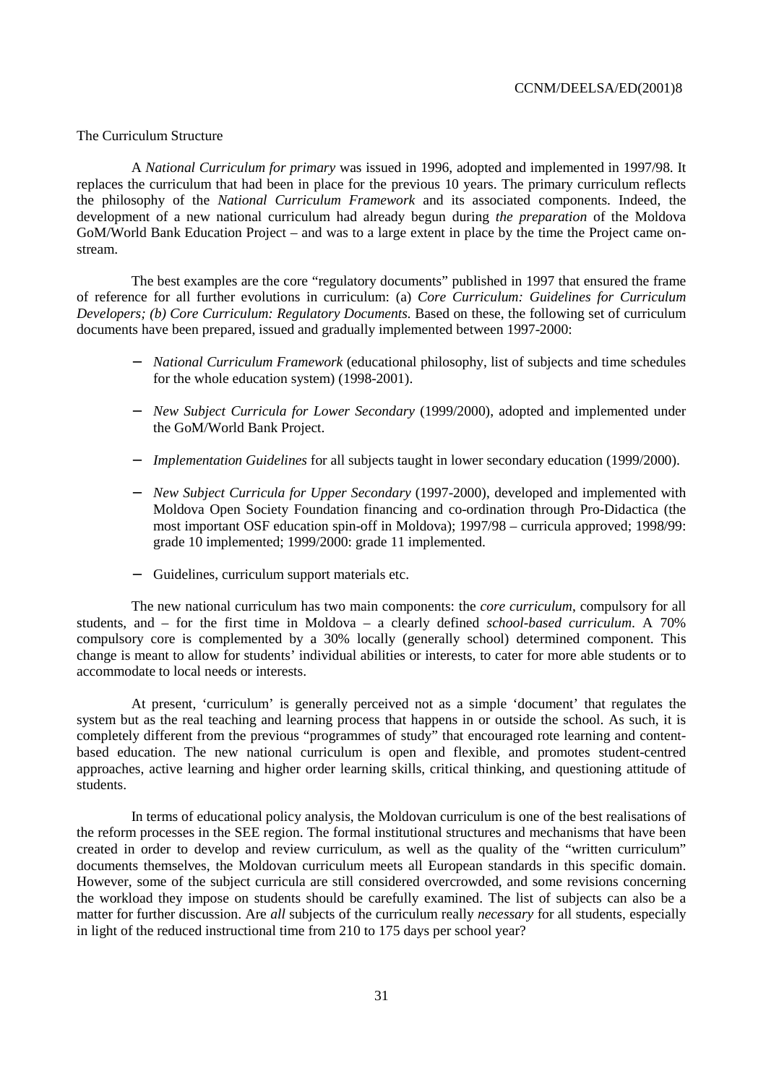#### The Curriculum Structure

A *National Curriculum for primary* was issued in 1996, adopted and implemented in 1997/98. It replaces the curriculum that had been in place for the previous 10 years. The primary curriculum reflects the philosophy of the *National Curriculum Framework* and its associated components. Indeed, the development of a new national curriculum had already begun during *the preparation* of the Moldova GoM/World Bank Education Project – and was to a large extent in place by the time the Project came onstream.

The best examples are the core "regulatory documents" published in 1997 that ensured the frame of reference for all further evolutions in curriculum: (a) *Core Curriculum: Guidelines for Curriculum Developers; (b) Core Curriculum: Regulatory Documents.* Based on these, the following set of curriculum documents have been prepared, issued and gradually implemented between 1997-2000:

- *National Curriculum Framework* (educational philosophy, list of subjects and time schedules for the whole education system) (1998-2001).
- − *New Subject Curricula for Lower Secondary* (1999/2000), adopted and implemented under the GoM/World Bank Project.
- − *Implementation Guidelines* for all subjects taught in lower secondary education (1999/2000).
- − *New Subject Curricula for Upper Secondary* (1997-2000), developed and implemented with Moldova Open Society Foundation financing and co-ordination through Pro-Didactica (the most important OSF education spin-off in Moldova); 1997/98 – curricula approved; 1998/99: grade 10 implemented; 1999/2000: grade 11 implemented.
- − Guidelines, curriculum support materials etc.

The new national curriculum has two main components: the *core curriculum*, compulsory for all students, and – for the first time in Moldova – a clearly defined *school-based curriculum*. A 70% compulsory core is complemented by a 30% locally (generally school) determined component. This change is meant to allow for students' individual abilities or interests, to cater for more able students or to accommodate to local needs or interests.

At present, 'curriculum' is generally perceived not as a simple 'document' that regulates the system but as the real teaching and learning process that happens in or outside the school. As such, it is completely different from the previous "programmes of study" that encouraged rote learning and contentbased education. The new national curriculum is open and flexible, and promotes student-centred approaches, active learning and higher order learning skills, critical thinking, and questioning attitude of students.

In terms of educational policy analysis, the Moldovan curriculum is one of the best realisations of the reform processes in the SEE region. The formal institutional structures and mechanisms that have been created in order to develop and review curriculum, as well as the quality of the "written curriculum" documents themselves, the Moldovan curriculum meets all European standards in this specific domain. However, some of the subject curricula are still considered overcrowded, and some revisions concerning the workload they impose on students should be carefully examined. The list of subjects can also be a matter for further discussion. Are *all* subjects of the curriculum really *necessary* for all students, especially in light of the reduced instructional time from 210 to 175 days per school year?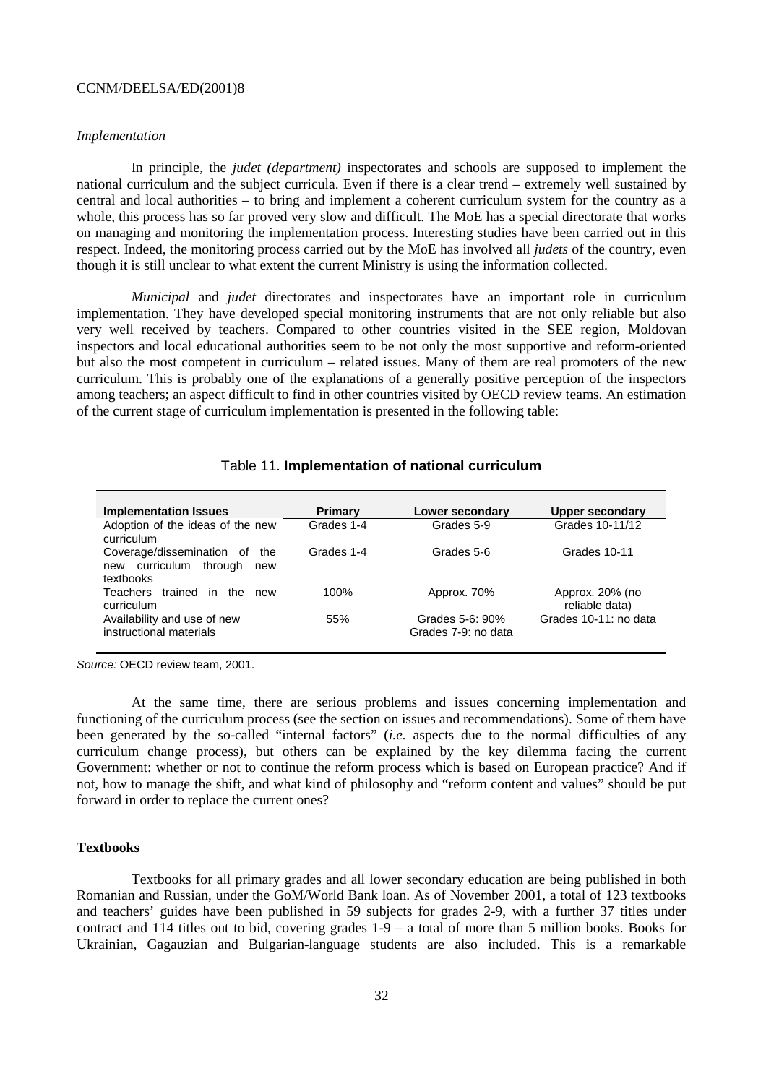#### *Implementation*

In principle, the *judet (department)* inspectorates and schools are supposed to implement the national curriculum and the subject curricula. Even if there is a clear trend – extremely well sustained by central and local authorities – to bring and implement a coherent curriculum system for the country as a whole, this process has so far proved very slow and difficult. The MoE has a special directorate that works on managing and monitoring the implementation process. Interesting studies have been carried out in this respect. Indeed, the monitoring process carried out by the MoE has involved all *judets* of the country, even though it is still unclear to what extent the current Ministry is using the information collected.

*Municipal* and *judet* directorates and inspectorates have an important role in curriculum implementation. They have developed special monitoring instruments that are not only reliable but also very well received by teachers. Compared to other countries visited in the SEE region, Moldovan inspectors and local educational authorities seem to be not only the most supportive and reform-oriented but also the most competent in curriculum – related issues. Many of them are real promoters of the new curriculum. This is probably one of the explanations of a generally positive perception of the inspectors among teachers; an aspect difficult to find in other countries visited by OECD review teams. An estimation of the current stage of curriculum implementation is presented in the following table:

| <b>Implementation Issues</b>                                                      | <b>Primary</b> | Lower secondary                        | <b>Upper secondary</b>            |
|-----------------------------------------------------------------------------------|----------------|----------------------------------------|-----------------------------------|
| Adoption of the ideas of the new<br>curriculum                                    | Grades 1-4     | Grades 5-9                             | Grades 10-11/12                   |
| Coverage/dissemination of<br>the<br>new curriculum<br>through<br>new<br>textbooks | Grades 1-4     | Grades 5-6                             | Grades 10-11                      |
| Teachers trained in the<br>new<br>curriculum                                      | 100%           | Approx. 70%                            | Approx. 20% (no<br>reliable data) |
| Availability and use of new<br>instructional materials                            | 55%            | Grades 5-6: 90%<br>Grades 7-9: no data | Grades 10-11: no data             |

#### Table 11. **Implementation of national curriculum**

Source: OECD review team, 2001.

At the same time, there are serious problems and issues concerning implementation and functioning of the curriculum process (see the section on issues and recommendations). Some of them have been generated by the so-called "internal factors" (*i.e.* aspects due to the normal difficulties of any curriculum change process), but others can be explained by the key dilemma facing the current Government: whether or not to continue the reform process which is based on European practice? And if not, how to manage the shift, and what kind of philosophy and "reform content and values" should be put forward in order to replace the current ones?

#### **Textbooks**

Textbooks for all primary grades and all lower secondary education are being published in both Romanian and Russian, under the GoM/World Bank loan. As of November 2001, a total of 123 textbooks and teachers' guides have been published in 59 subjects for grades 2-9, with a further 37 titles under contract and 114 titles out to bid, covering grades 1-9 – a total of more than 5 million books. Books for Ukrainian, Gagauzian and Bulgarian-language students are also included. This is a remarkable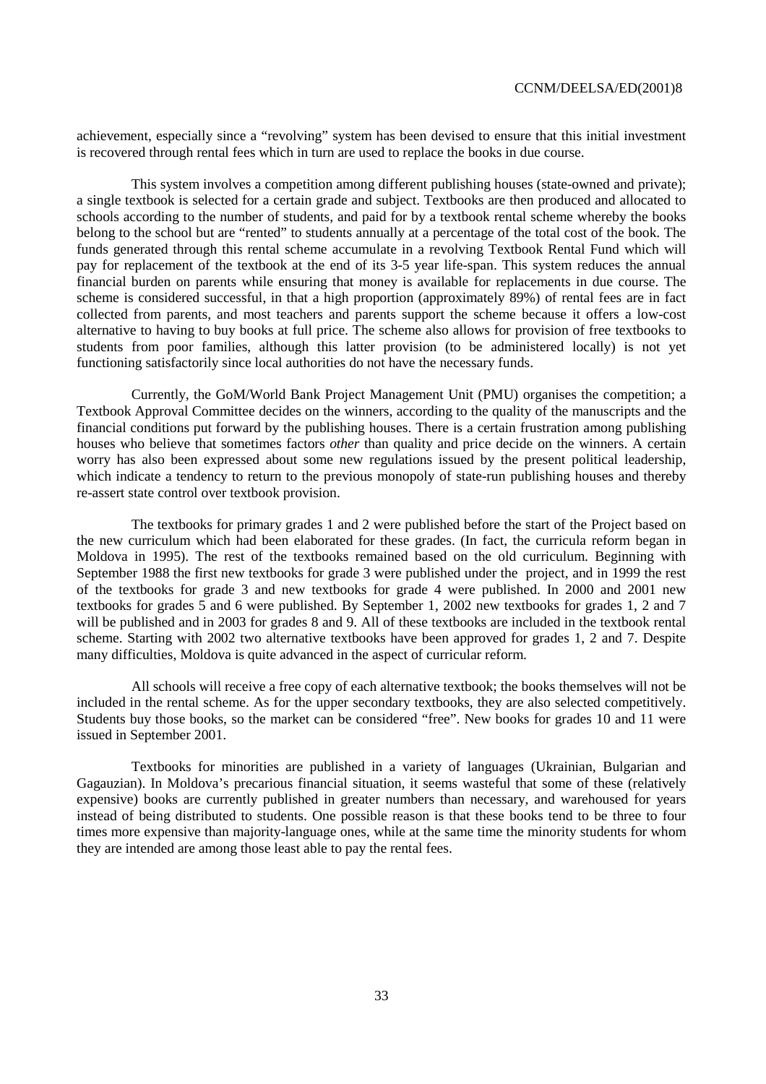achievement, especially since a "revolving" system has been devised to ensure that this initial investment is recovered through rental fees which in turn are used to replace the books in due course.

This system involves a competition among different publishing houses (state-owned and private); a single textbook is selected for a certain grade and subject. Textbooks are then produced and allocated to schools according to the number of students, and paid for by a textbook rental scheme whereby the books belong to the school but are "rented" to students annually at a percentage of the total cost of the book. The funds generated through this rental scheme accumulate in a revolving Textbook Rental Fund which will pay for replacement of the textbook at the end of its 3-5 year life-span. This system reduces the annual financial burden on parents while ensuring that money is available for replacements in due course. The scheme is considered successful, in that a high proportion (approximately 89%) of rental fees are in fact collected from parents, and most teachers and parents support the scheme because it offers a low-cost alternative to having to buy books at full price. The scheme also allows for provision of free textbooks to students from poor families, although this latter provision (to be administered locally) is not yet functioning satisfactorily since local authorities do not have the necessary funds.

Currently, the GoM/World Bank Project Management Unit (PMU) organises the competition; a Textbook Approval Committee decides on the winners, according to the quality of the manuscripts and the financial conditions put forward by the publishing houses. There is a certain frustration among publishing houses who believe that sometimes factors *other* than quality and price decide on the winners. A certain worry has also been expressed about some new regulations issued by the present political leadership, which indicate a tendency to return to the previous monopoly of state-run publishing houses and thereby re-assert state control over textbook provision.

The textbooks for primary grades 1 and 2 were published before the start of the Project based on the new curriculum which had been elaborated for these grades. (In fact, the curricula reform began in Moldova in 1995). The rest of the textbooks remained based on the old curriculum. Beginning with September 1988 the first new textbooks for grade 3 were published under the project, and in 1999 the rest of the textbooks for grade 3 and new textbooks for grade 4 were published. In 2000 and 2001 new textbooks for grades 5 and 6 were published. By September 1, 2002 new textbooks for grades 1, 2 and 7 will be published and in 2003 for grades 8 and 9. All of these textbooks are included in the textbook rental scheme. Starting with 2002 two alternative textbooks have been approved for grades 1, 2 and 7. Despite many difficulties, Moldova is quite advanced in the aspect of curricular reform.

All schools will receive a free copy of each alternative textbook; the books themselves will not be included in the rental scheme. As for the upper secondary textbooks, they are also selected competitively. Students buy those books, so the market can be considered "free". New books for grades 10 and 11 were issued in September 2001.

Textbooks for minorities are published in a variety of languages (Ukrainian, Bulgarian and Gagauzian). In Moldova's precarious financial situation, it seems wasteful that some of these (relatively expensive) books are currently published in greater numbers than necessary, and warehoused for years instead of being distributed to students. One possible reason is that these books tend to be three to four times more expensive than majority-language ones, while at the same time the minority students for whom they are intended are among those least able to pay the rental fees.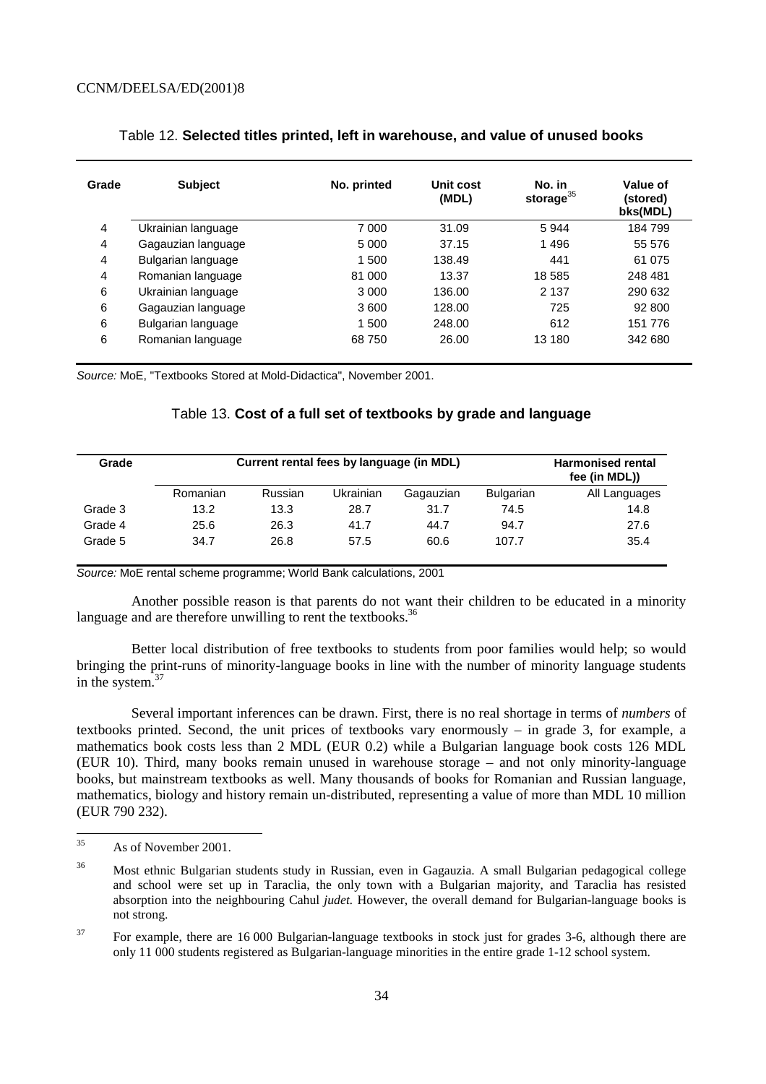| Grade | <b>Subject</b>     | No. printed | Unit cost<br>(MDL) | No. in<br>storage $35$ | Value of<br>(stored)<br>bks(MDL) |
|-------|--------------------|-------------|--------------------|------------------------|----------------------------------|
| 4     | Ukrainian language | 7 000       | 31.09              | 5944                   | 184 799                          |
| 4     | Gagauzian language | 5 0 0 0     | 37.15              | 1496                   | 55 576                           |
| 4     | Bulgarian language | 1 500       | 138.49             | 441                    | 61 075                           |
| 4     | Romanian language  | 81 000      | 13.37              | 18 585                 | 248 481                          |
| 6     | Ukrainian language | 3 0 0 0     | 136.00             | 2 1 3 7                | 290 632                          |
| 6     | Gagauzian language | 3600        | 128.00             | 725                    | 92 800                           |
| 6     | Bulgarian language | 1 500       | 248.00             | 612                    | 151 776                          |
| 6     | Romanian language  | 68 750      | 26.00              | 13 180                 | 342 680                          |

#### Table 12. **Selected titles printed, left in warehouse, and value of unused books**

Source: MoE, "Textbooks Stored at Mold-Didactica", November 2001.

### Table 13. **Cost of a full set of textbooks by grade and language**

| Grade   | Current rental fees by language (in MDL) |         |           |           |                  | <b>Harmonised rental</b><br>fee (in MDL)) |
|---------|------------------------------------------|---------|-----------|-----------|------------------|-------------------------------------------|
|         | Romanian                                 | Russian | Ukrainian | Gagauzian | <b>Bulgarian</b> | All Languages                             |
| Grade 3 | 13.2                                     | 13.3    | 28.7      | 31.7      | 74.5             | 14.8                                      |
| Grade 4 | 25.6                                     | 26.3    | 41.7      | 44.7      | 94.7             | 27.6                                      |
| Grade 5 | 34.7                                     | 26.8    | 57.5      | 60.6      | 107.7            | 35.4                                      |

Source: MoE rental scheme programme; World Bank calculations, 2001

Another possible reason is that parents do not want their children to be educated in a minority language and are therefore unwilling to rent the textbooks.<sup>36</sup>

Better local distribution of free textbooks to students from poor families would help; so would bringing the print-runs of minority-language books in line with the number of minority language students in the system.<sup>37</sup>

Several important inferences can be drawn. First, there is no real shortage in terms of *numbers* of textbooks printed. Second, the unit prices of textbooks vary enormously – in grade 3, for example, a mathematics book costs less than 2 MDL (EUR 0.2) while a Bulgarian language book costs 126 MDL (EUR 10). Third, many books remain unused in warehouse storage – and not only minority-language books, but mainstream textbooks as well. Many thousands of books for Romanian and Russian language, mathematics, biology and history remain un-distributed, representing a value of more than MDL 10 million (EUR 790 232).

<sup>&</sup>lt;sup>35</sup> As of November 2001.

<sup>36</sup> Most ethnic Bulgarian students study in Russian, even in Gagauzia. A small Bulgarian pedagogical college and school were set up in Taraclia, the only town with a Bulgarian majority, and Taraclia has resisted absorption into the neighbouring Cahul *judet.* However, the overall demand for Bulgarian-language books is not strong.

<sup>&</sup>lt;sup>37</sup> For example, there are 16 000 Bulgarian-language textbooks in stock just for grades 3-6, although there are only 11 000 students registered as Bulgarian-language minorities in the entire grade 1-12 school system.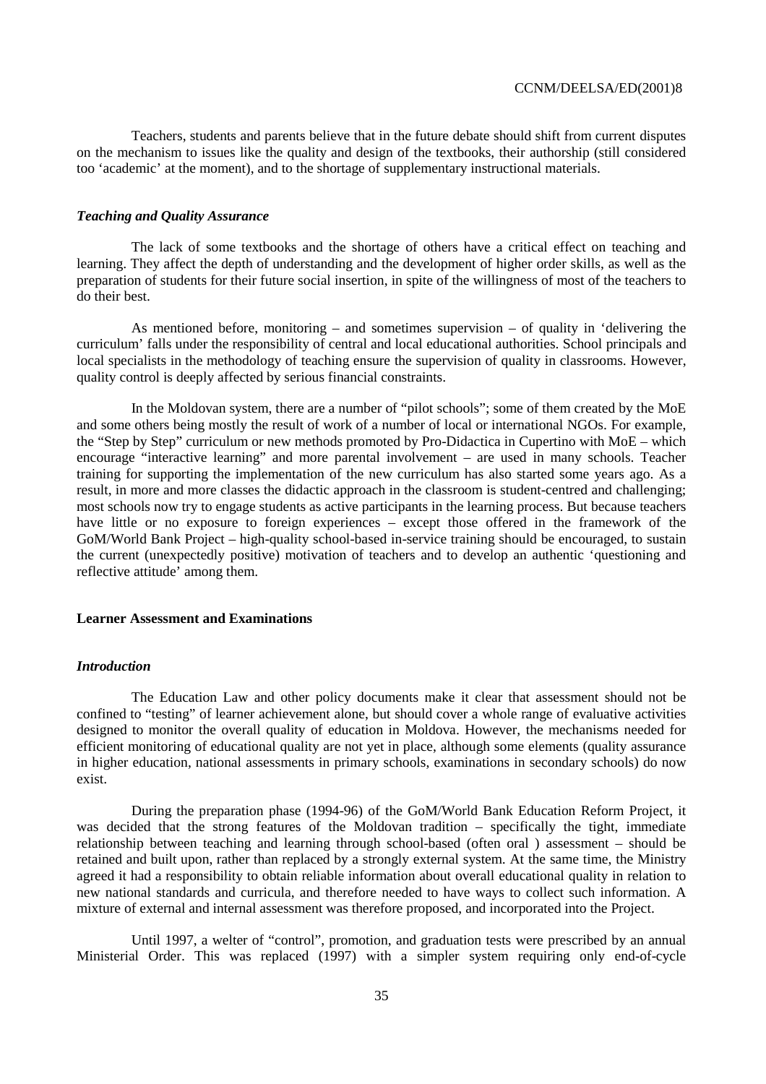Teachers, students and parents believe that in the future debate should shift from current disputes on the mechanism to issues like the quality and design of the textbooks, their authorship (still considered too 'academic' at the moment), and to the shortage of supplementary instructional materials.

#### *Teaching and Quality Assurance*

The lack of some textbooks and the shortage of others have a critical effect on teaching and learning. They affect the depth of understanding and the development of higher order skills, as well as the preparation of students for their future social insertion, in spite of the willingness of most of the teachers to do their best.

As mentioned before, monitoring – and sometimes supervision – of quality in 'delivering the curriculum' falls under the responsibility of central and local educational authorities. School principals and local specialists in the methodology of teaching ensure the supervision of quality in classrooms. However, quality control is deeply affected by serious financial constraints.

In the Moldovan system, there are a number of "pilot schools"; some of them created by the MoE and some others being mostly the result of work of a number of local or international NGOs. For example, the "Step by Step" curriculum or new methods promoted by Pro-Didactica in Cupertino with MoE – which encourage "interactive learning" and more parental involvement – are used in many schools. Teacher training for supporting the implementation of the new curriculum has also started some years ago. As a result, in more and more classes the didactic approach in the classroom is student-centred and challenging; most schools now try to engage students as active participants in the learning process. But because teachers have little or no exposure to foreign experiences – except those offered in the framework of the GoM/World Bank Project – high-quality school-based in-service training should be encouraged, to sustain the current (unexpectedly positive) motivation of teachers and to develop an authentic 'questioning and reflective attitude' among them.

#### **Learner Assessment and Examinations**

#### *Introduction*

The Education Law and other policy documents make it clear that assessment should not be confined to "testing" of learner achievement alone, but should cover a whole range of evaluative activities designed to monitor the overall quality of education in Moldova. However, the mechanisms needed for efficient monitoring of educational quality are not yet in place, although some elements (quality assurance in higher education, national assessments in primary schools, examinations in secondary schools) do now exist.

During the preparation phase (1994-96) of the GoM/World Bank Education Reform Project, it was decided that the strong features of the Moldovan tradition – specifically the tight, immediate relationship between teaching and learning through school-based (often oral ) assessment – should be retained and built upon, rather than replaced by a strongly external system. At the same time, the Ministry agreed it had a responsibility to obtain reliable information about overall educational quality in relation to new national standards and curricula, and therefore needed to have ways to collect such information. A mixture of external and internal assessment was therefore proposed, and incorporated into the Project.

Until 1997, a welter of "control", promotion, and graduation tests were prescribed by an annual Ministerial Order. This was replaced (1997) with a simpler system requiring only end-of-cycle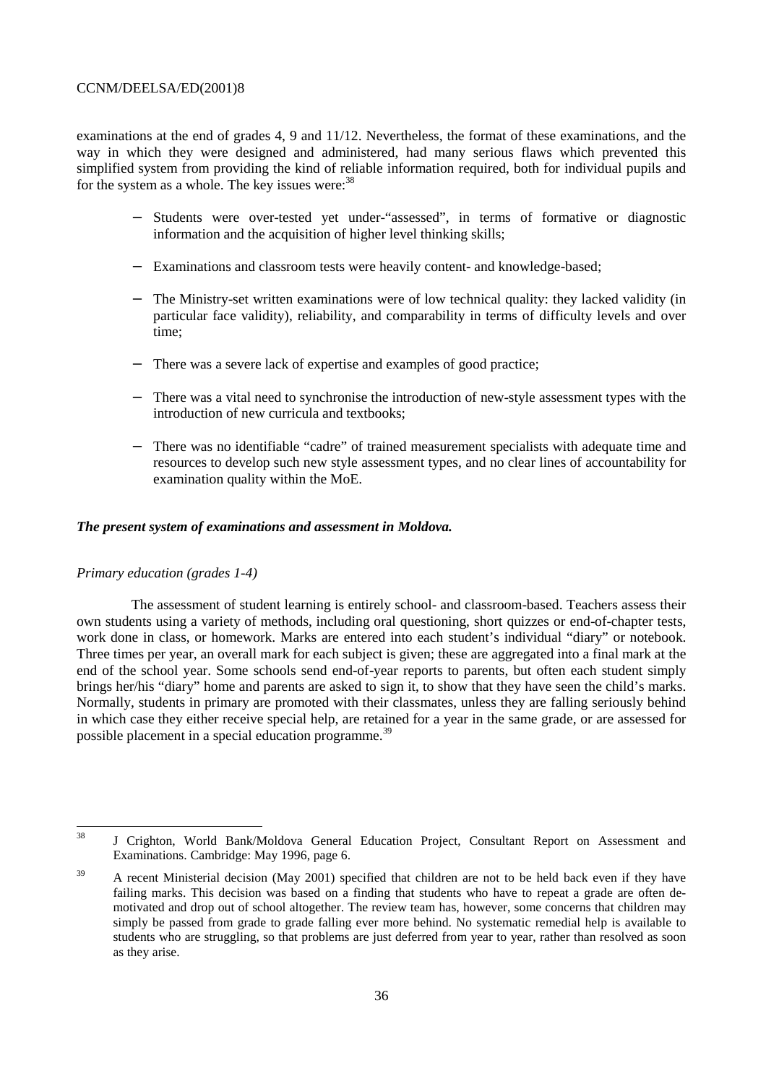examinations at the end of grades 4, 9 and 11/12. Nevertheless, the format of these examinations, and the way in which they were designed and administered, had many serious flaws which prevented this simplified system from providing the kind of reliable information required, both for individual pupils and for the system as a whole. The key issues were:  $38$ 

- Students were over-tested yet under-"assessed", in terms of formative or diagnostic information and the acquisition of higher level thinking skills;
- − Examinations and classroom tests were heavily content- and knowledge-based;
- The Ministry-set written examinations were of low technical quality: they lacked validity (in particular face validity), reliability, and comparability in terms of difficulty levels and over time;
- There was a severe lack of expertise and examples of good practice;
- − There was a vital need to synchronise the introduction of new-style assessment types with the introduction of new curricula and textbooks;
- There was no identifiable "cadre" of trained measurement specialists with adequate time and resources to develop such new style assessment types, and no clear lines of accountability for examination quality within the MoE.

#### *The present system of examinations and assessment in Moldova.*

#### *Primary education (grades 1-4)*

The assessment of student learning is entirely school- and classroom-based. Teachers assess their own students using a variety of methods, including oral questioning, short quizzes or end-of-chapter tests, work done in class, or homework. Marks are entered into each student's individual "diary" or notebook. Three times per year, an overall mark for each subject is given; these are aggregated into a final mark at the end of the school year. Some schools send end-of-year reports to parents, but often each student simply brings her/his "diary" home and parents are asked to sign it, to show that they have seen the child's marks. Normally, students in primary are promoted with their classmates, unless they are falling seriously behind in which case they either receive special help, are retained for a year in the same grade, or are assessed for possible placement in a special education programme.<sup>39</sup>

<sup>&</sup>lt;sup>38</sup> J Crighton, World Bank/Moldova General Education Project, Consultant Report on Assessment and Examinations. Cambridge: May 1996, page 6.

<sup>&</sup>lt;sup>39</sup> A recent Ministerial decision (May 2001) specified that children are not to be held back even if they have failing marks. This decision was based on a finding that students who have to repeat a grade are often demotivated and drop out of school altogether. The review team has, however, some concerns that children may simply be passed from grade to grade falling ever more behind. No systematic remedial help is available to students who are struggling, so that problems are just deferred from year to year, rather than resolved as soon as they arise.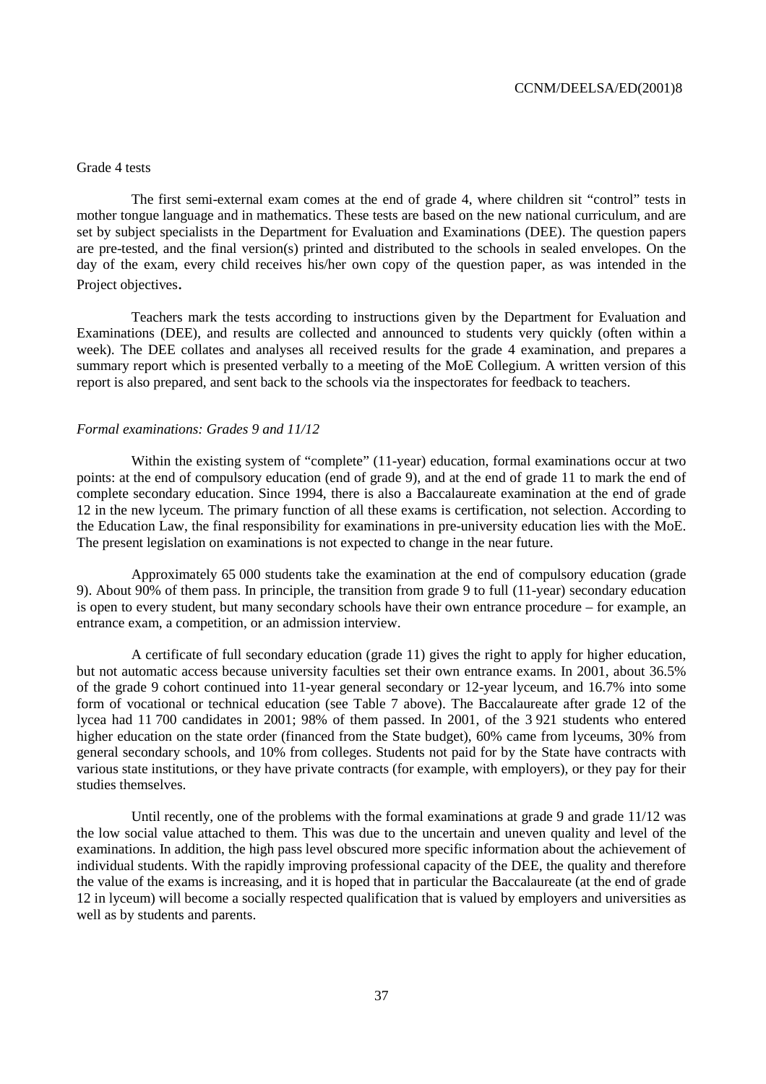# Grade 4 tests

The first semi-external exam comes at the end of grade 4, where children sit "control" tests in mother tongue language and in mathematics. These tests are based on the new national curriculum, and are set by subject specialists in the Department for Evaluation and Examinations (DEE). The question papers are pre-tested, and the final version(s) printed and distributed to the schools in sealed envelopes. On the day of the exam, every child receives his/her own copy of the question paper, as was intended in the Project objectives.

Teachers mark the tests according to instructions given by the Department for Evaluation and Examinations (DEE), and results are collected and announced to students very quickly (often within a week). The DEE collates and analyses all received results for the grade 4 examination, and prepares a summary report which is presented verbally to a meeting of the MoE Collegium. A written version of this report is also prepared, and sent back to the schools via the inspectorates for feedback to teachers.

# *Formal examinations: Grades 9 and 11/12*

Within the existing system of "complete" (11-year) education, formal examinations occur at two points: at the end of compulsory education (end of grade 9), and at the end of grade 11 to mark the end of complete secondary education. Since 1994, there is also a Baccalaureate examination at the end of grade 12 in the new lyceum. The primary function of all these exams is certification, not selection. According to the Education Law, the final responsibility for examinations in pre-university education lies with the MoE. The present legislation on examinations is not expected to change in the near future.

Approximately 65 000 students take the examination at the end of compulsory education (grade 9). About 90% of them pass. In principle, the transition from grade 9 to full (11-year) secondary education is open to every student, but many secondary schools have their own entrance procedure – for example, an entrance exam, a competition, or an admission interview.

A certificate of full secondary education (grade 11) gives the right to apply for higher education, but not automatic access because university faculties set their own entrance exams. In 2001, about 36.5% of the grade 9 cohort continued into 11-year general secondary or 12-year lyceum, and 16.7% into some form of vocational or technical education (see Table 7 above). The Baccalaureate after grade 12 of the lycea had 11 700 candidates in 2001; 98% of them passed. In 2001, of the 3 921 students who entered higher education on the state order (financed from the State budget), 60% came from lyceums, 30% from general secondary schools, and 10% from colleges. Students not paid for by the State have contracts with various state institutions, or they have private contracts (for example, with employers), or they pay for their studies themselves.

Until recently, one of the problems with the formal examinations at grade 9 and grade 11/12 was the low social value attached to them. This was due to the uncertain and uneven quality and level of the examinations. In addition, the high pass level obscured more specific information about the achievement of individual students. With the rapidly improving professional capacity of the DEE, the quality and therefore the value of the exams is increasing, and it is hoped that in particular the Baccalaureate (at the end of grade 12 in lyceum) will become a socially respected qualification that is valued by employers and universities as well as by students and parents.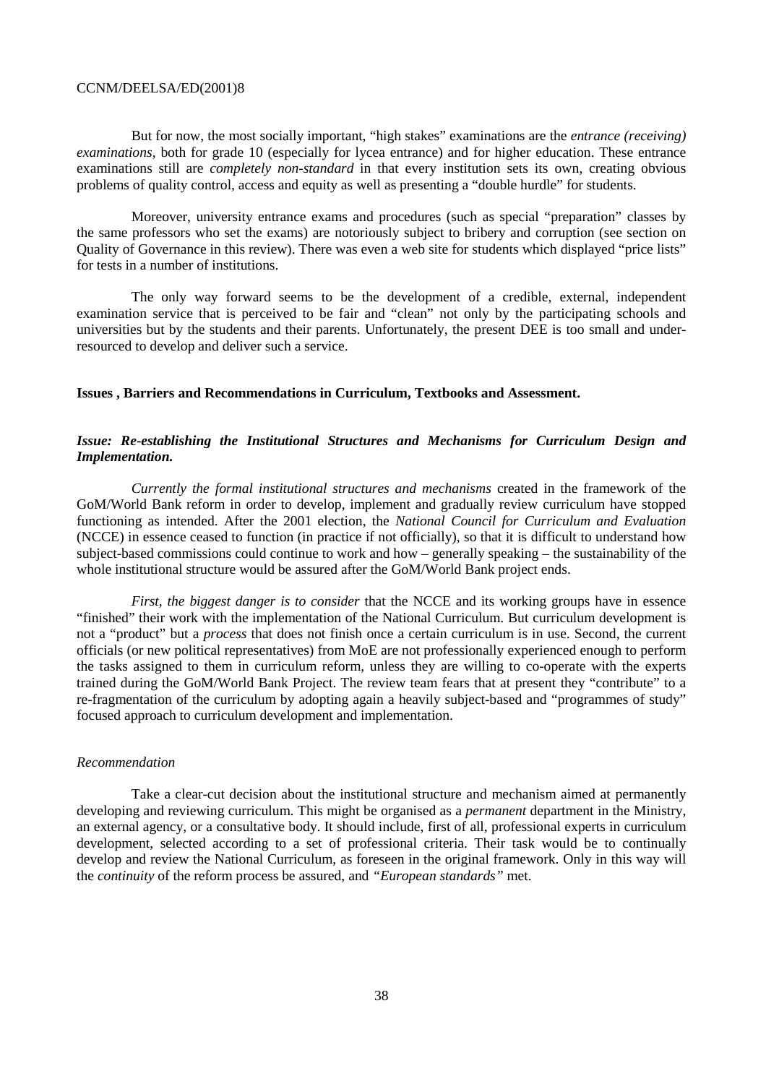But for now, the most socially important, "high stakes" examinations are the *entrance (receiving) examinations,* both for grade 10 (especially for lycea entrance) and for higher education. These entrance examinations still are *completely non-standard* in that every institution sets its own, creating obvious problems of quality control, access and equity as well as presenting a "double hurdle" for students.

Moreover, university entrance exams and procedures (such as special "preparation" classes by the same professors who set the exams) are notoriously subject to bribery and corruption (see section on Quality of Governance in this review). There was even a web site for students which displayed "price lists" for tests in a number of institutions.

The only way forward seems to be the development of a credible, external, independent examination service that is perceived to be fair and "clean" not only by the participating schools and universities but by the students and their parents. Unfortunately, the present DEE is too small and underresourced to develop and deliver such a service.

# **Issues , Barriers and Recommendations in Curriculum, Textbooks and Assessment.**

# *Issue: Re-establishing the Institutional Structures and Mechanisms for Curriculum Design and Implementation.*

*Currently the formal institutional structures and mechanisms* created in the framework of the GoM/World Bank reform in order to develop, implement and gradually review curriculum have stopped functioning as intended. After the 2001 election, the *National Council for Curriculum and Evaluation* (NCCE) in essence ceased to function (in practice if not officially), so that it is difficult to understand how subject-based commissions could continue to work and how – generally speaking – the sustainability of the whole institutional structure would be assured after the GoM/World Bank project ends.

*First, the biggest danger is to consider* that the NCCE and its working groups have in essence "finished" their work with the implementation of the National Curriculum. But curriculum development is not a "product" but a *process* that does not finish once a certain curriculum is in use. Second, the current officials (or new political representatives) from MoE are not professionally experienced enough to perform the tasks assigned to them in curriculum reform, unless they are willing to co-operate with the experts trained during the GoM/World Bank Project. The review team fears that at present they "contribute" to a re-fragmentation of the curriculum by adopting again a heavily subject-based and "programmes of study" focused approach to curriculum development and implementation.

#### *Recommendation*

Take a clear-cut decision about the institutional structure and mechanism aimed at permanently developing and reviewing curriculum. This might be organised as a *permanent* department in the Ministry, an external agency, or a consultative body. It should include, first of all, professional experts in curriculum development, selected according to a set of professional criteria. Their task would be to continually develop and review the National Curriculum, as foreseen in the original framework. Only in this way will the *continuity* of the reform process be assured, and *"European standards"* met.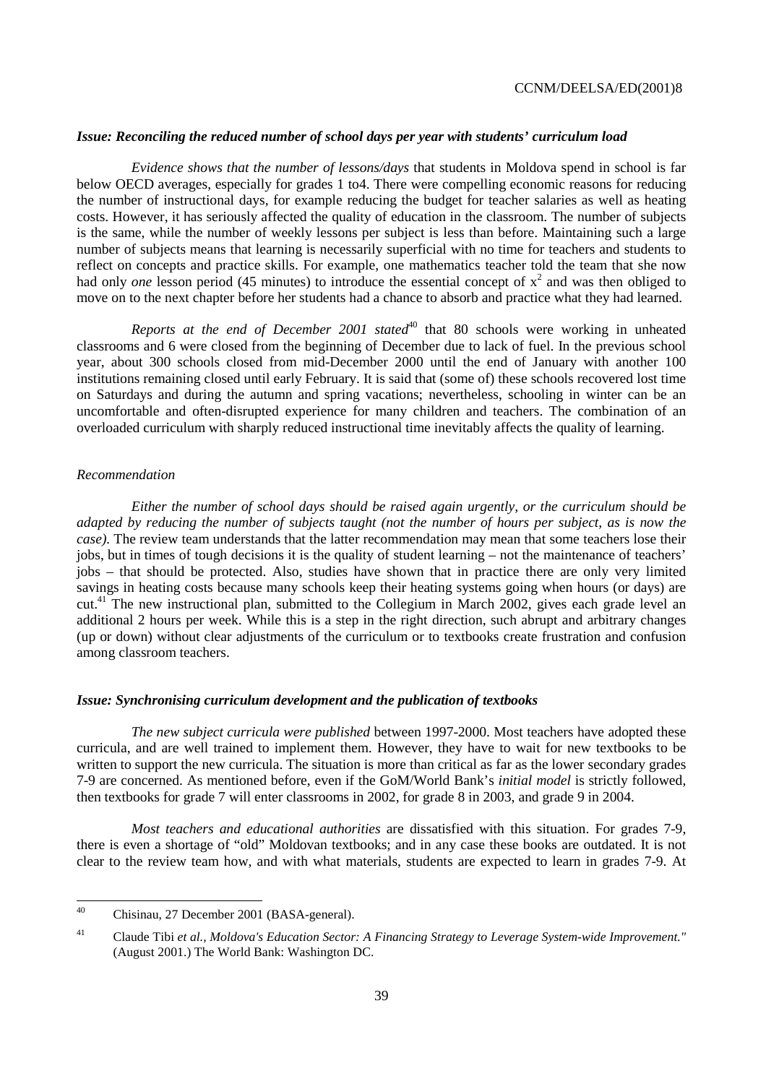#### *Issue: Reconciling the reduced number of school days per year with students' curriculum load*

*Evidence shows that the number of lessons/days* that students in Moldova spend in school is far below OECD averages, especially for grades 1 to4. There were compelling economic reasons for reducing the number of instructional days, for example reducing the budget for teacher salaries as well as heating costs. However, it has seriously affected the quality of education in the classroom. The number of subjects is the same, while the number of weekly lessons per subject is less than before. Maintaining such a large number of subjects means that learning is necessarily superficial with no time for teachers and students to reflect on concepts and practice skills. For example, one mathematics teacher told the team that she now had only *one* lesson period (45 minutes) to introduce the essential concept of  $x^2$  and was then obliged to move on to the next chapter before her students had a chance to absorb and practice what they had learned.

*Reports at the end of December 2001 stated*<sup>40</sup> that 80 schools were working in unheated classrooms and 6 were closed from the beginning of December due to lack of fuel. In the previous school year, about 300 schools closed from mid-December 2000 until the end of January with another 100 institutions remaining closed until early February. It is said that (some of) these schools recovered lost time on Saturdays and during the autumn and spring vacations; nevertheless, schooling in winter can be an uncomfortable and often-disrupted experience for many children and teachers. The combination of an overloaded curriculum with sharply reduced instructional time inevitably affects the quality of learning.

# *Recommendation*

*Either the number of school days should be raised again urgently, or the curriculum should be adapted by reducing the number of subjects taught (not the number of hours per subject, as is now the case).* The review team understands that the latter recommendation may mean that some teachers lose their jobs, but in times of tough decisions it is the quality of student learning – not the maintenance of teachers' jobs – that should be protected. Also, studies have shown that in practice there are only very limited savings in heating costs because many schools keep their heating systems going when hours (or days) are cut.41 The new instructional plan, submitted to the Collegium in March 2002, gives each grade level an additional 2 hours per week. While this is a step in the right direction, such abrupt and arbitrary changes (up or down) without clear adjustments of the curriculum or to textbooks create frustration and confusion among classroom teachers.

#### *Issue: Synchronising curriculum development and the publication of textbooks*

*The new subject curricula were published* between 1997-2000. Most teachers have adopted these curricula, and are well trained to implement them. However, they have to wait for new textbooks to be written to support the new curricula. The situation is more than critical as far as the lower secondary grades 7-9 are concerned. As mentioned before, even if the GoM/World Bank's *initial model* is strictly followed, then textbooks for grade 7 will enter classrooms in 2002, for grade 8 in 2003, and grade 9 in 2004.

*Most teachers and educational authorities* are dissatisfied with this situation. For grades 7-9, there is even a shortage of "old" Moldovan textbooks; and in any case these books are outdated. It is not clear to the review team how, and with what materials, students are expected to learn in grades 7-9. At

<sup>40</sup> Chisinau, 27 December 2001 (BASA-general).

<sup>41</sup> Claude Tibi *et al., Moldova's Education Sector: A Financing Strategy to Leverage System-wide Improvement."* (August 2001.) The World Bank: Washington DC.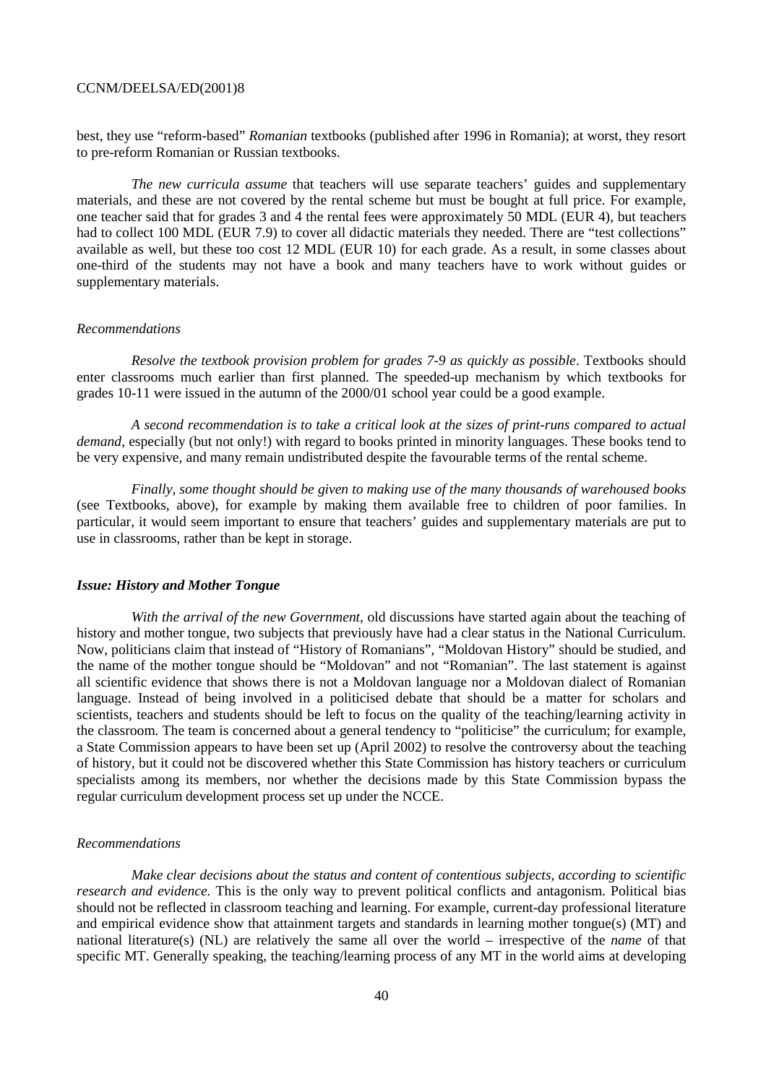best, they use "reform-based" *Romanian* textbooks (published after 1996 in Romania); at worst, they resort to pre-reform Romanian or Russian textbooks.

*The new curricula assume* that teachers will use separate teachers' guides and supplementary materials, and these are not covered by the rental scheme but must be bought at full price. For example, one teacher said that for grades 3 and 4 the rental fees were approximately 50 MDL (EUR 4), but teachers had to collect 100 MDL (EUR 7.9) to cover all didactic materials they needed. There are "test collections" available as well, but these too cost 12 MDL (EUR 10) for each grade. As a result, in some classes about one-third of the students may not have a book and many teachers have to work without guides or supplementary materials.

## *Recommendations*

*Resolve the textbook provision problem for grades 7-9 as quickly as possible*. Textbooks should enter classrooms much earlier than first planned. The speeded-up mechanism by which textbooks for grades 10-11 were issued in the autumn of the 2000/01 school year could be a good example.

*A second recommendation is to take a critical look at the sizes of print-runs compared to actual demand*, especially (but not only!) with regard to books printed in minority languages. These books tend to be very expensive, and many remain undistributed despite the favourable terms of the rental scheme.

*Finally, some thought should be given to making use of the many thousands of warehoused books* (see Textbooks, above), for example by making them available free to children of poor families. In particular, it would seem important to ensure that teachers' guides and supplementary materials are put to use in classrooms, rather than be kept in storage.

### *Issue: History and Mother Tongue*

*With the arrival of the new Government*, old discussions have started again about the teaching of history and mother tongue, two subjects that previously have had a clear status in the National Curriculum. Now, politicians claim that instead of "History of Romanians", "Moldovan History" should be studied, and the name of the mother tongue should be "Moldovan" and not "Romanian". The last statement is against all scientific evidence that shows there is not a Moldovan language nor a Moldovan dialect of Romanian language. Instead of being involved in a politicised debate that should be a matter for scholars and scientists, teachers and students should be left to focus on the quality of the teaching/learning activity in the classroom. The team is concerned about a general tendency to "politicise" the curriculum; for example, a State Commission appears to have been set up (April 2002) to resolve the controversy about the teaching of history, but it could not be discovered whether this State Commission has history teachers or curriculum specialists among its members, nor whether the decisions made by this State Commission bypass the regular curriculum development process set up under the NCCE.

# *Recommendations*

*Make clear decisions about the status and content of contentious subjects, according to scientific research and evidence.* This is the only way to prevent political conflicts and antagonism. Political bias should not be reflected in classroom teaching and learning. For example, current-day professional literature and empirical evidence show that attainment targets and standards in learning mother tongue(s) (MT) and national literature(s) (NL) are relatively the same all over the world – irrespective of the *name* of that specific MT. Generally speaking, the teaching/learning process of any MT in the world aims at developing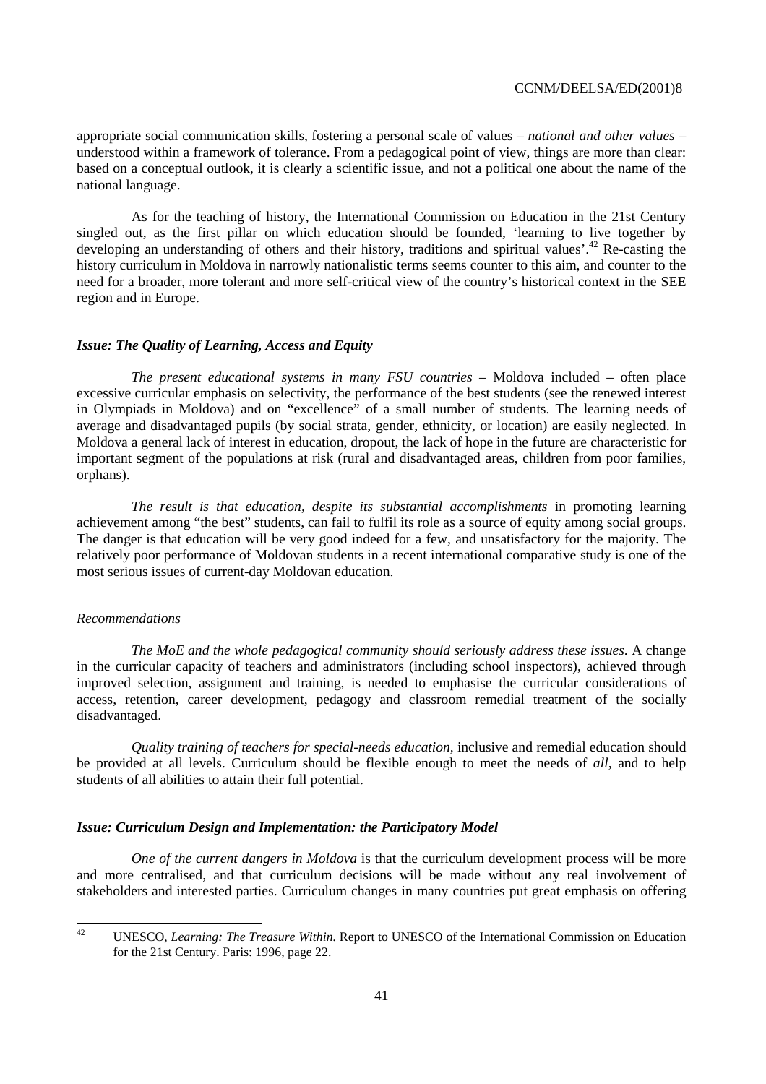appropriate social communication skills, fostering a personal scale of values – *national and other values –* understood within a framework of tolerance. From a pedagogical point of view, things are more than clear: based on a conceptual outlook, it is clearly a scientific issue, and not a political one about the name of the national language.

As for the teaching of history, the International Commission on Education in the 21st Century singled out, as the first pillar on which education should be founded, 'learning to live together by developing an understanding of others and their history, traditions and spiritual values'.42 Re-casting the history curriculum in Moldova in narrowly nationalistic terms seems counter to this aim, and counter to the need for a broader, more tolerant and more self-critical view of the country's historical context in the SEE region and in Europe.

# *Issue: The Quality of Learning, Access and Equity*

*The present educational systems in many FSU countries* – Moldova included – often place excessive curricular emphasis on selectivity, the performance of the best students (see the renewed interest in Olympiads in Moldova) and on "excellence" of a small number of students. The learning needs of average and disadvantaged pupils (by social strata, gender, ethnicity, or location) are easily neglected. In Moldova a general lack of interest in education, dropout, the lack of hope in the future are characteristic for important segment of the populations at risk (rural and disadvantaged areas, children from poor families, orphans).

*The result is that education, despite its substantial accomplishments* in promoting learning achievement among "the best" students, can fail to fulfil its role as a source of equity among social groups. The danger is that education will be very good indeed for a few, and unsatisfactory for the majority. The relatively poor performance of Moldovan students in a recent international comparative study is one of the most serious issues of current-day Moldovan education.

# *Recommendations*

*The MoE and the whole pedagogical community should seriously address these issues*. A change in the curricular capacity of teachers and administrators (including school inspectors), achieved through improved selection, assignment and training, is needed to emphasise the curricular considerations of access, retention, career development, pedagogy and classroom remedial treatment of the socially disadvantaged.

*Quality training of teachers for special-needs education,* inclusive and remedial education should be provided at all levels. Curriculum should be flexible enough to meet the needs of *all*, and to help students of all abilities to attain their full potential.

### *Issue: Curriculum Design and Implementation: the Participatory Model*

*One of the current dangers in Moldova* is that the curriculum development process will be more and more centralised, and that curriculum decisions will be made without any real involvement of stakeholders and interested parties. Curriculum changes in many countries put great emphasis on offering

<sup>42</sup> UNESCO, *Learning: The Treasure Within.* Report to UNESCO of the International Commission on Education for the 21st Century. Paris: 1996, page 22.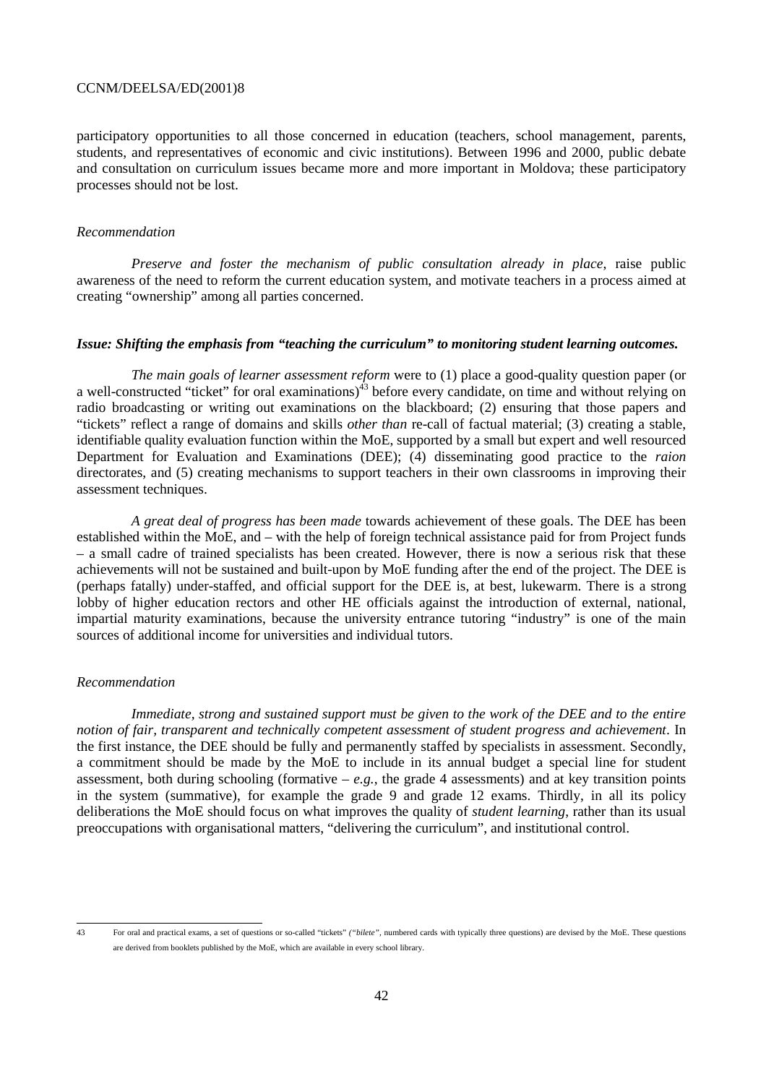participatory opportunities to all those concerned in education (teachers, school management, parents, students, and representatives of economic and civic institutions). Between 1996 and 2000, public debate and consultation on curriculum issues became more and more important in Moldova; these participatory processes should not be lost.

#### *Recommendation*

*Preserve and foster the mechanism of public consultation already in place*, raise public awareness of the need to reform the current education system, and motivate teachers in a process aimed at creating "ownership" among all parties concerned.

### *Issue: Shifting the emphasis from "teaching the curriculum" to monitoring student learning outcomes.*

*The main goals of learner assessment reform* were to (1) place a good-quality question paper (or a well-constructed "ticket" for oral examinations)<sup>43</sup> before every candidate, on time and without relying on radio broadcasting or writing out examinations on the blackboard; (2) ensuring that those papers and "tickets" reflect a range of domains and skills *other than* re-call of factual material; (3) creating a stable, identifiable quality evaluation function within the MoE, supported by a small but expert and well resourced Department for Evaluation and Examinations (DEE); (4) disseminating good practice to the *raion* directorates, and (5) creating mechanisms to support teachers in their own classrooms in improving their assessment techniques.

*A great deal of progress has been made* towards achievement of these goals. The DEE has been established within the MoE, and – with the help of foreign technical assistance paid for from Project funds – a small cadre of trained specialists has been created. However, there is now a serious risk that these achievements will not be sustained and built-upon by MoE funding after the end of the project. The DEE is (perhaps fatally) under-staffed, and official support for the DEE is, at best, lukewarm. There is a strong lobby of higher education rectors and other HE officials against the introduction of external, national, impartial maturity examinations, because the university entrance tutoring "industry" is one of the main sources of additional income for universities and individual tutors.

#### *Recommendation*

*Immediate, strong and sustained support must be given to the work of the DEE and to the entire notion of fair, transparent and technically competent assessment of student progress and achievement*. In the first instance, the DEE should be fully and permanently staffed by specialists in assessment. Secondly, a commitment should be made by the MoE to include in its annual budget a special line for student assessment, both during schooling (formative  $-e.g.,$  the grade 4 assessments) and at key transition points in the system (summative), for example the grade 9 and grade 12 exams. Thirdly, in all its policy deliberations the MoE should focus on what improves the quality of *student learning*, rather than its usual preoccupations with organisational matters, "delivering the curriculum", and institutional control.

<sup>43</sup> For oral and practical exams, a set of questions or so-called "tickets" *("bilete",* numbered cards with typically three questions) are devised by the MoE. These questions are derived from booklets published by the MoE, which are available in every school library.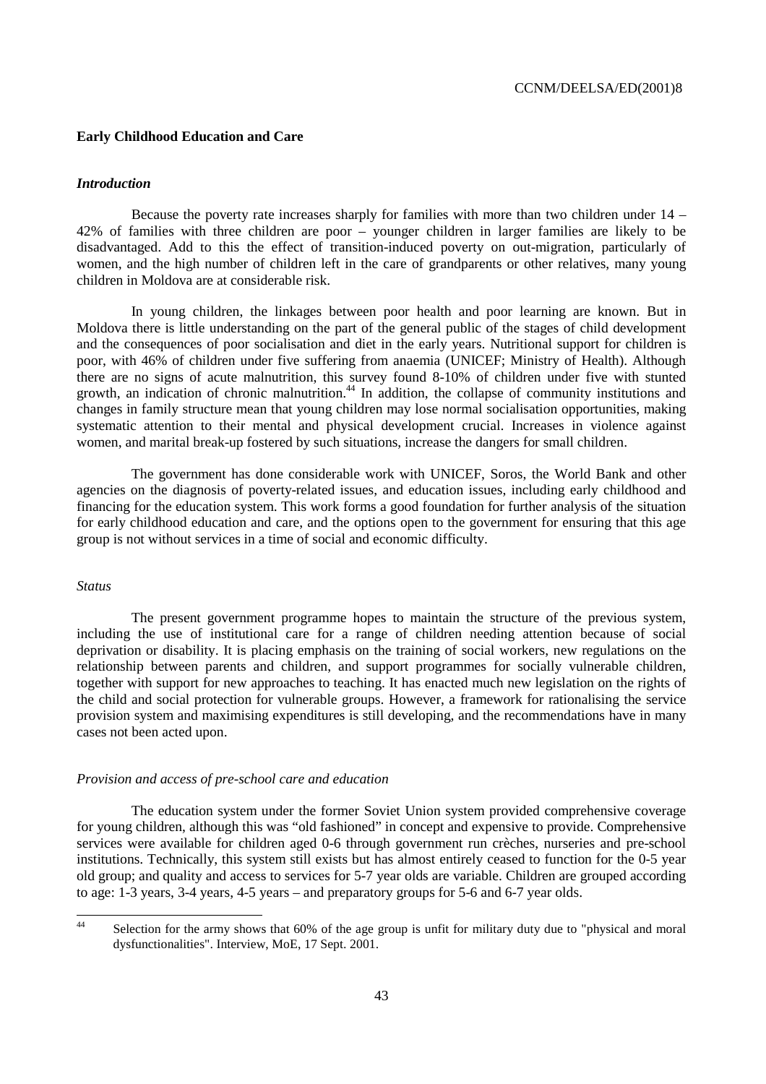### **Early Childhood Education and Care**

#### *Introduction*

Because the poverty rate increases sharply for families with more than two children under 14 – 42% of families with three children are poor – younger children in larger families are likely to be disadvantaged. Add to this the effect of transition-induced poverty on out-migration, particularly of women, and the high number of children left in the care of grandparents or other relatives, many young children in Moldova are at considerable risk.

In young children, the linkages between poor health and poor learning are known. But in Moldova there is little understanding on the part of the general public of the stages of child development and the consequences of poor socialisation and diet in the early years. Nutritional support for children is poor, with 46% of children under five suffering from anaemia (UNICEF; Ministry of Health). Although there are no signs of acute malnutrition, this survey found 8-10% of children under five with stunted growth, an indication of chronic malnutrition.<sup>44</sup> In addition, the collapse of community institutions and changes in family structure mean that young children may lose normal socialisation opportunities, making systematic attention to their mental and physical development crucial. Increases in violence against women, and marital break-up fostered by such situations, increase the dangers for small children.

The government has done considerable work with UNICEF, Soros, the World Bank and other agencies on the diagnosis of poverty-related issues, and education issues, including early childhood and financing for the education system. This work forms a good foundation for further analysis of the situation for early childhood education and care, and the options open to the government for ensuring that this age group is not without services in a time of social and economic difficulty.

# *Status*

The present government programme hopes to maintain the structure of the previous system, including the use of institutional care for a range of children needing attention because of social deprivation or disability. It is placing emphasis on the training of social workers, new regulations on the relationship between parents and children, and support programmes for socially vulnerable children, together with support for new approaches to teaching. It has enacted much new legislation on the rights of the child and social protection for vulnerable groups. However, a framework for rationalising the service provision system and maximising expenditures is still developing, and the recommendations have in many cases not been acted upon.

#### *Provision and access of pre-school care and education*

The education system under the former Soviet Union system provided comprehensive coverage for young children, although this was "old fashioned" in concept and expensive to provide. Comprehensive services were available for children aged 0-6 through government run crèches, nurseries and pre-school institutions. Technically, this system still exists but has almost entirely ceased to function for the 0-5 year old group; and quality and access to services for 5-7 year olds are variable. Children are grouped according to age: 1-3 years, 3-4 years, 4-5 years – and preparatory groups for 5-6 and 6-7 year olds.

<sup>&</sup>lt;sup>44</sup> Selection for the army shows that 60% of the age group is unfit for military duty due to "physical and moral" dysfunctionalities". Interview, MoE, 17 Sept. 2001.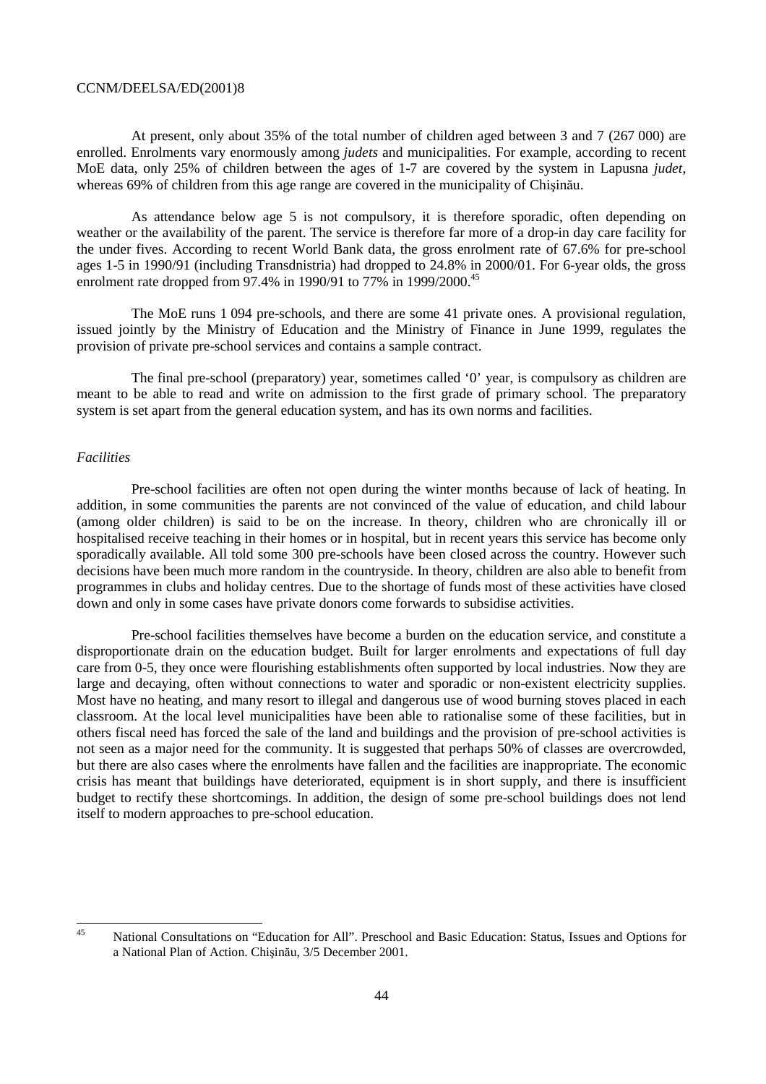At present, only about 35% of the total number of children aged between 3 and 7 (267 000) are enrolled. Enrolments vary enormously among *judets* and municipalities. For example, according to recent MoE data, only 25% of children between the ages of 1-7 are covered by the system in Lapusna *judet*, whereas 69% of children from this age range are covered in the municipality of Chişinău.

As attendance below age 5 is not compulsory, it is therefore sporadic, often depending on weather or the availability of the parent. The service is therefore far more of a drop-in day care facility for the under fives. According to recent World Bank data, the gross enrolment rate of 67.6% for pre-school ages 1-5 in 1990/91 (including Transdnistria) had dropped to 24.8% in 2000/01. For 6-year olds, the gross enrolment rate dropped from 97.4% in 1990/91 to 77% in 1999/2000.<sup>45</sup>

The MoE runs 1 094 pre-schools, and there are some 41 private ones. A provisional regulation, issued jointly by the Ministry of Education and the Ministry of Finance in June 1999, regulates the provision of private pre-school services and contains a sample contract.

The final pre-school (preparatory) year, sometimes called '0' year, is compulsory as children are meant to be able to read and write on admission to the first grade of primary school. The preparatory system is set apart from the general education system, and has its own norms and facilities.

# *Facilities*

Pre-school facilities are often not open during the winter months because of lack of heating. In addition, in some communities the parents are not convinced of the value of education, and child labour (among older children) is said to be on the increase. In theory, children who are chronically ill or hospitalised receive teaching in their homes or in hospital, but in recent years this service has become only sporadically available. All told some 300 pre-schools have been closed across the country. However such decisions have been much more random in the countryside. In theory, children are also able to benefit from programmes in clubs and holiday centres. Due to the shortage of funds most of these activities have closed down and only in some cases have private donors come forwards to subsidise activities.

Pre-school facilities themselves have become a burden on the education service, and constitute a disproportionate drain on the education budget. Built for larger enrolments and expectations of full day care from 0-5, they once were flourishing establishments often supported by local industries. Now they are large and decaying, often without connections to water and sporadic or non-existent electricity supplies. Most have no heating, and many resort to illegal and dangerous use of wood burning stoves placed in each classroom. At the local level municipalities have been able to rationalise some of these facilities, but in others fiscal need has forced the sale of the land and buildings and the provision of pre-school activities is not seen as a major need for the community. It is suggested that perhaps 50% of classes are overcrowded, but there are also cases where the enrolments have fallen and the facilities are inappropriate. The economic crisis has meant that buildings have deteriorated, equipment is in short supply, and there is insufficient budget to rectify these shortcomings. In addition, the design of some pre-school buildings does not lend itself to modern approaches to pre-school education.

<sup>45</sup> National Consultations on "Education for All". Preschool and Basic Education: Status, Issues and Options for a National Plan of Action. Chişinău, 3/5 December 2001.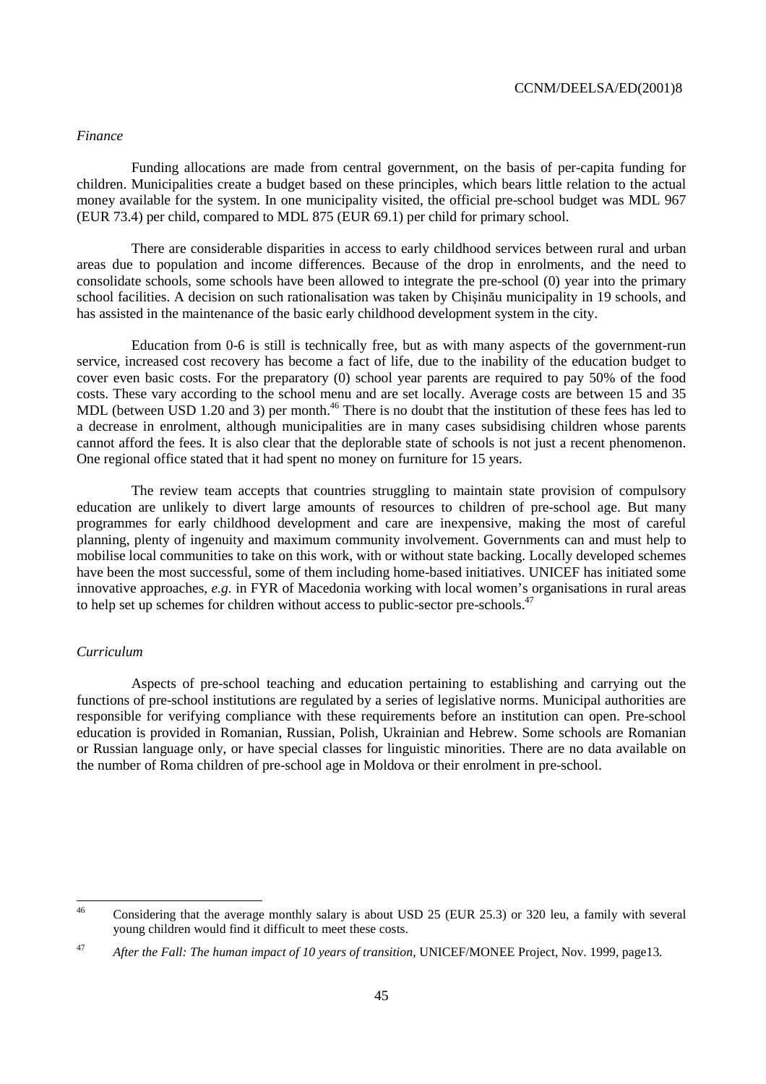# *Finance*

Funding allocations are made from central government, on the basis of per-capita funding for children. Municipalities create a budget based on these principles, which bears little relation to the actual money available for the system. In one municipality visited, the official pre-school budget was MDL 967 (EUR 73.4) per child, compared to MDL 875 (EUR 69.1) per child for primary school.

There are considerable disparities in access to early childhood services between rural and urban areas due to population and income differences. Because of the drop in enrolments, and the need to consolidate schools, some schools have been allowed to integrate the pre-school (0) year into the primary school facilities. A decision on such rationalisation was taken by Chişinău municipality in 19 schools, and has assisted in the maintenance of the basic early childhood development system in the city.

Education from 0-6 is still is technically free, but as with many aspects of the government-run service, increased cost recovery has become a fact of life, due to the inability of the education budget to cover even basic costs. For the preparatory (0) school year parents are required to pay 50% of the food costs. These vary according to the school menu and are set locally. Average costs are between 15 and 35 MDL (between USD 1.20 and 3) per month.<sup>46</sup> There is no doubt that the institution of these fees has led to a decrease in enrolment, although municipalities are in many cases subsidising children whose parents cannot afford the fees. It is also clear that the deplorable state of schools is not just a recent phenomenon. One regional office stated that it had spent no money on furniture for 15 years.

The review team accepts that countries struggling to maintain state provision of compulsory education are unlikely to divert large amounts of resources to children of pre-school age. But many programmes for early childhood development and care are inexpensive, making the most of careful planning, plenty of ingenuity and maximum community involvement. Governments can and must help to mobilise local communities to take on this work, with or without state backing. Locally developed schemes have been the most successful, some of them including home-based initiatives. UNICEF has initiated some innovative approaches, *e.g.* in FYR of Macedonia working with local women's organisations in rural areas to help set up schemes for children without access to public-sector pre-schools.<sup>47</sup>

# *Curriculum*

Aspects of pre-school teaching and education pertaining to establishing and carrying out the functions of pre-school institutions are regulated by a series of legislative norms. Municipal authorities are responsible for verifying compliance with these requirements before an institution can open. Pre-school education is provided in Romanian, Russian, Polish, Ukrainian and Hebrew. Some schools are Romanian or Russian language only, or have special classes for linguistic minorities. There are no data available on the number of Roma children of pre-school age in Moldova or their enrolment in pre-school.

<sup>&</sup>lt;sup>46</sup> Considering that the average monthly salary is about USD 25 (EUR 25.3) or 320 leu, a family with several young children would find it difficult to meet these costs.

<sup>47</sup> *After the Fall: The human impact of 10 years of transition,* UNICEF/MONEE Project, Nov. 1999, page13*.*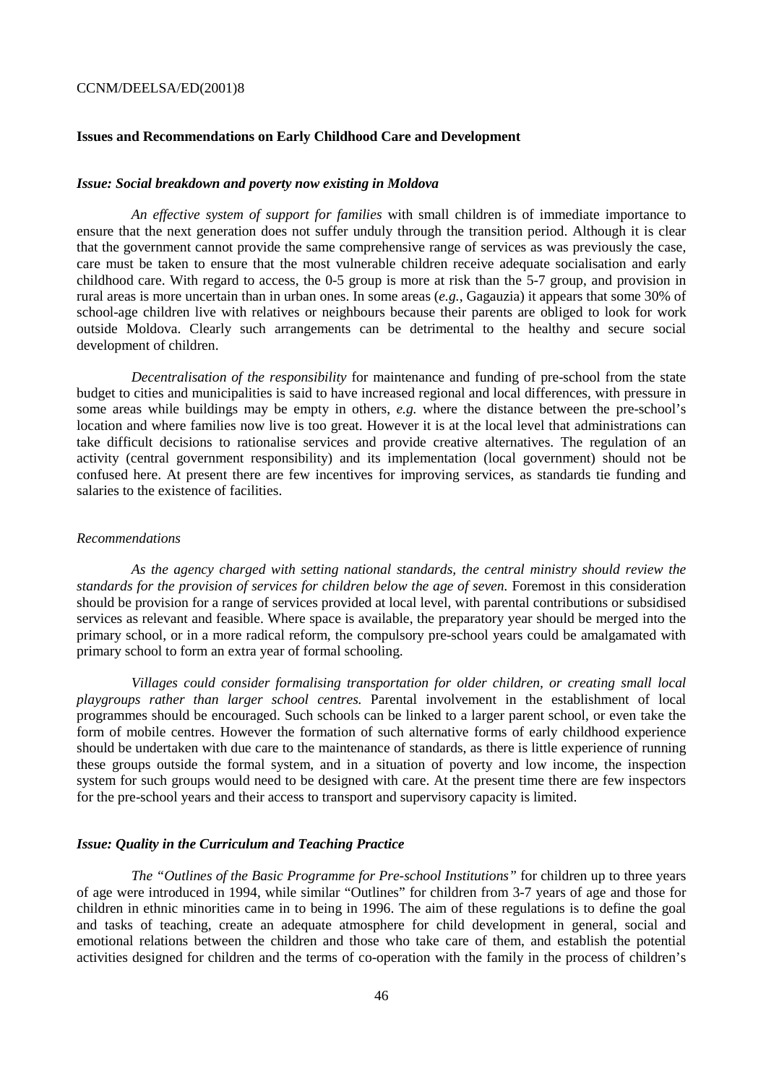## **Issues and Recommendations on Early Childhood Care and Development**

#### *Issue: Social breakdown and poverty now existing in Moldova*

*An effective system of support for families* with small children is of immediate importance to ensure that the next generation does not suffer unduly through the transition period. Although it is clear that the government cannot provide the same comprehensive range of services as was previously the case, care must be taken to ensure that the most vulnerable children receive adequate socialisation and early childhood care. With regard to access, the 0-5 group is more at risk than the 5-7 group, and provision in rural areas is more uncertain than in urban ones. In some areas (*e.g.*, Gagauzia) it appears that some 30% of school-age children live with relatives or neighbours because their parents are obliged to look for work outside Moldova. Clearly such arrangements can be detrimental to the healthy and secure social development of children.

*Decentralisation of the responsibility* for maintenance and funding of pre-school from the state budget to cities and municipalities is said to have increased regional and local differences, with pressure in some areas while buildings may be empty in others, *e.g.* where the distance between the pre-school's location and where families now live is too great. However it is at the local level that administrations can take difficult decisions to rationalise services and provide creative alternatives. The regulation of an activity (central government responsibility) and its implementation (local government) should not be confused here. At present there are few incentives for improving services, as standards tie funding and salaries to the existence of facilities.

#### *Recommendations*

*As the agency charged with setting national standards, the central ministry should review the standards for the provision of services for children below the age of seven.* Foremost in this consideration should be provision for a range of services provided at local level, with parental contributions or subsidised services as relevant and feasible. Where space is available, the preparatory year should be merged into the primary school, or in a more radical reform, the compulsory pre-school years could be amalgamated with primary school to form an extra year of formal schooling.

*Villages could consider formalising transportation for older children, or creating small local playgroups rather than larger school centres.* Parental involvement in the establishment of local programmes should be encouraged. Such schools can be linked to a larger parent school, or even take the form of mobile centres. However the formation of such alternative forms of early childhood experience should be undertaken with due care to the maintenance of standards, as there is little experience of running these groups outside the formal system, and in a situation of poverty and low income, the inspection system for such groups would need to be designed with care. At the present time there are few inspectors for the pre-school years and their access to transport and supervisory capacity is limited.

# *Issue: Quality in the Curriculum and Teaching Practice*

*The "Outlines of the Basic Programme for Pre-school Institutions"* for children up to three years of age were introduced in 1994, while similar "Outlines" for children from 3-7 years of age and those for children in ethnic minorities came in to being in 1996. The aim of these regulations is to define the goal and tasks of teaching, create an adequate atmosphere for child development in general, social and emotional relations between the children and those who take care of them, and establish the potential activities designed for children and the terms of co-operation with the family in the process of children's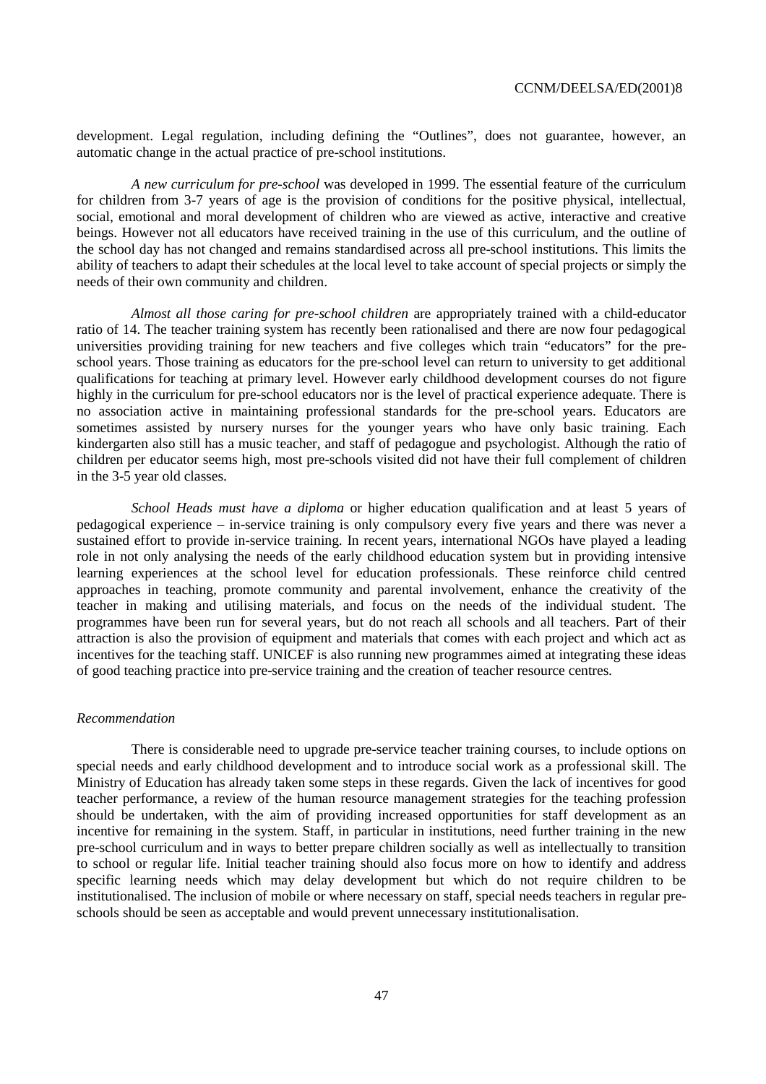development. Legal regulation, including defining the "Outlines", does not guarantee, however, an automatic change in the actual practice of pre-school institutions.

*A new curriculum for pre-school* was developed in 1999. The essential feature of the curriculum for children from 3-7 years of age is the provision of conditions for the positive physical, intellectual, social, emotional and moral development of children who are viewed as active, interactive and creative beings. However not all educators have received training in the use of this curriculum, and the outline of the school day has not changed and remains standardised across all pre-school institutions. This limits the ability of teachers to adapt their schedules at the local level to take account of special projects or simply the needs of their own community and children.

*Almost all those caring for pre-school children* are appropriately trained with a child-educator ratio of 14. The teacher training system has recently been rationalised and there are now four pedagogical universities providing training for new teachers and five colleges which train "educators" for the preschool years. Those training as educators for the pre-school level can return to university to get additional qualifications for teaching at primary level. However early childhood development courses do not figure highly in the curriculum for pre-school educators nor is the level of practical experience adequate. There is no association active in maintaining professional standards for the pre-school years. Educators are sometimes assisted by nursery nurses for the younger years who have only basic training. Each kindergarten also still has a music teacher, and staff of pedagogue and psychologist. Although the ratio of children per educator seems high, most pre-schools visited did not have their full complement of children in the 3-5 year old classes.

*School Heads must have a diploma* or higher education qualification and at least 5 years of pedagogical experience – in-service training is only compulsory every five years and there was never a sustained effort to provide in-service training. In recent years, international NGOs have played a leading role in not only analysing the needs of the early childhood education system but in providing intensive learning experiences at the school level for education professionals. These reinforce child centred approaches in teaching, promote community and parental involvement, enhance the creativity of the teacher in making and utilising materials, and focus on the needs of the individual student. The programmes have been run for several years, but do not reach all schools and all teachers. Part of their attraction is also the provision of equipment and materials that comes with each project and which act as incentives for the teaching staff. UNICEF is also running new programmes aimed at integrating these ideas of good teaching practice into pre-service training and the creation of teacher resource centres*.*

### *Recommendation*

There is considerable need to upgrade pre-service teacher training courses, to include options on special needs and early childhood development and to introduce social work as a professional skill. The Ministry of Education has already taken some steps in these regards. Given the lack of incentives for good teacher performance, a review of the human resource management strategies for the teaching profession should be undertaken, with the aim of providing increased opportunities for staff development as an incentive for remaining in the system. Staff, in particular in institutions, need further training in the new pre-school curriculum and in ways to better prepare children socially as well as intellectually to transition to school or regular life. Initial teacher training should also focus more on how to identify and address specific learning needs which may delay development but which do not require children to be institutionalised. The inclusion of mobile or where necessary on staff, special needs teachers in regular preschools should be seen as acceptable and would prevent unnecessary institutionalisation.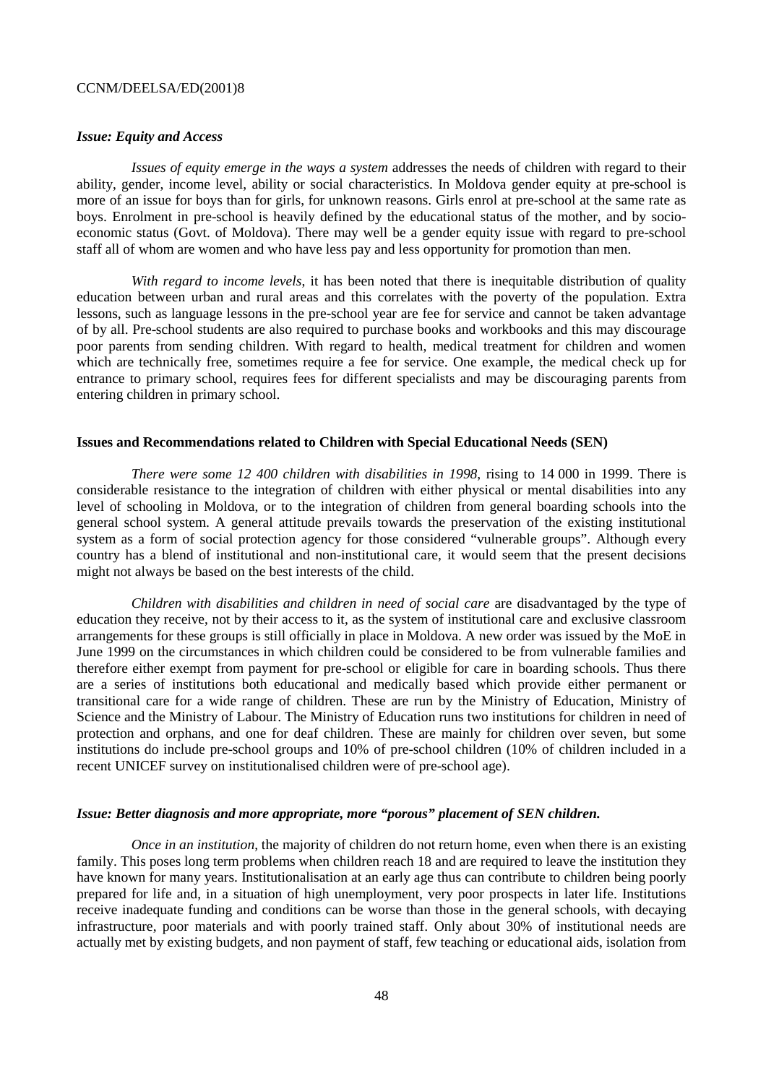## *Issue: Equity and Access*

*Issues of equity emerge in the ways a system* addresses the needs of children with regard to their ability, gender, income level, ability or social characteristics. In Moldova gender equity at pre-school is more of an issue for boys than for girls, for unknown reasons. Girls enrol at pre-school at the same rate as boys. Enrolment in pre-school is heavily defined by the educational status of the mother, and by socioeconomic status (Govt. of Moldova). There may well be a gender equity issue with regard to pre-school staff all of whom are women and who have less pay and less opportunity for promotion than men.

*With regard to income levels*, it has been noted that there is inequitable distribution of quality education between urban and rural areas and this correlates with the poverty of the population. Extra lessons, such as language lessons in the pre-school year are fee for service and cannot be taken advantage of by all. Pre-school students are also required to purchase books and workbooks and this may discourage poor parents from sending children. With regard to health, medical treatment for children and women which are technically free, sometimes require a fee for service. One example, the medical check up for entrance to primary school, requires fees for different specialists and may be discouraging parents from entering children in primary school.

# **Issues and Recommendations related to Children with Special Educational Needs (SEN)**

*There were some 12 400 children with disabilities in 1998*, rising to 14 000 in 1999. There is considerable resistance to the integration of children with either physical or mental disabilities into any level of schooling in Moldova, or to the integration of children from general boarding schools into the general school system. A general attitude prevails towards the preservation of the existing institutional system as a form of social protection agency for those considered "vulnerable groups". Although every country has a blend of institutional and non-institutional care, it would seem that the present decisions might not always be based on the best interests of the child.

*Children with disabilities and children in need of social care* are disadvantaged by the type of education they receive, not by their access to it, as the system of institutional care and exclusive classroom arrangements for these groups is still officially in place in Moldova. A new order was issued by the MoE in June 1999 on the circumstances in which children could be considered to be from vulnerable families and therefore either exempt from payment for pre-school or eligible for care in boarding schools. Thus there are a series of institutions both educational and medically based which provide either permanent or transitional care for a wide range of children. These are run by the Ministry of Education, Ministry of Science and the Ministry of Labour. The Ministry of Education runs two institutions for children in need of protection and orphans, and one for deaf children. These are mainly for children over seven, but some institutions do include pre-school groups and 10% of pre-school children (10% of children included in a recent UNICEF survey on institutionalised children were of pre-school age).

# *Issue: Better diagnosis and more appropriate, more "porous" placement of SEN children.*

*Once in an institution*, the majority of children do not return home, even when there is an existing family. This poses long term problems when children reach 18 and are required to leave the institution they have known for many years. Institutionalisation at an early age thus can contribute to children being poorly prepared for life and, in a situation of high unemployment, very poor prospects in later life. Institutions receive inadequate funding and conditions can be worse than those in the general schools, with decaying infrastructure, poor materials and with poorly trained staff. Only about 30% of institutional needs are actually met by existing budgets, and non payment of staff, few teaching or educational aids, isolation from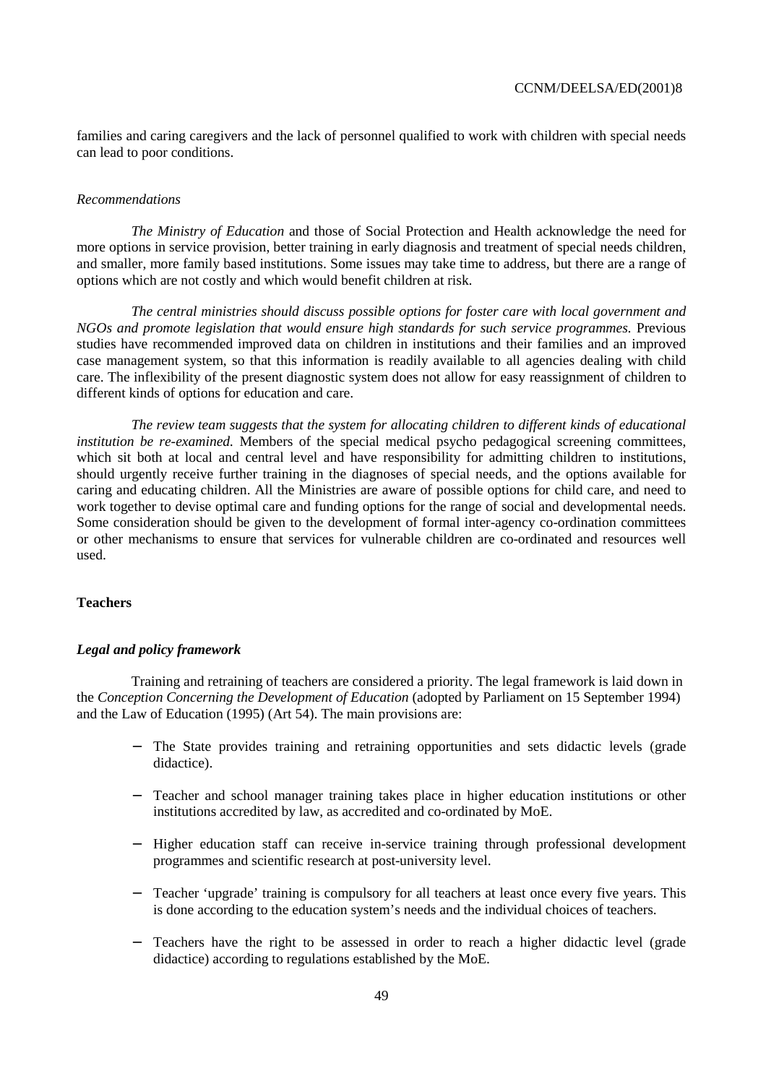families and caring caregivers and the lack of personnel qualified to work with children with special needs can lead to poor conditions.

### *Recommendations*

*The Ministry of Education* and those of Social Protection and Health acknowledge the need for more options in service provision, better training in early diagnosis and treatment of special needs children, and smaller, more family based institutions. Some issues may take time to address, but there are a range of options which are not costly and which would benefit children at risk.

*The central ministries should discuss possible options for foster care with local government and NGOs and promote legislation that would ensure high standards for such service programmes.* Previous studies have recommended improved data on children in institutions and their families and an improved case management system, so that this information is readily available to all agencies dealing with child care. The inflexibility of the present diagnostic system does not allow for easy reassignment of children to different kinds of options for education and care.

*The review team suggests that the system for allocating children to different kinds of educational institution be re-examined.* Members of the special medical psycho pedagogical screening committees, which sit both at local and central level and have responsibility for admitting children to institutions, should urgently receive further training in the diagnoses of special needs, and the options available for caring and educating children. All the Ministries are aware of possible options for child care, and need to work together to devise optimal care and funding options for the range of social and developmental needs. Some consideration should be given to the development of formal inter-agency co-ordination committees or other mechanisms to ensure that services for vulnerable children are co-ordinated and resources well used.

# **Teachers**

### *Legal and policy framework*

Training and retraining of teachers are considered a priority. The legal framework is laid down in the *Conception Concerning the Development of Education* (adopted by Parliament on 15 September 1994) and the Law of Education (1995) (Art 54). The main provisions are:

- − The State provides training and retraining opportunities and sets didactic levels (grade didactice).
- − Teacher and school manager training takes place in higher education institutions or other institutions accredited by law, as accredited and co-ordinated by MoE.
- − Higher education staff can receive in-service training through professional development programmes and scientific research at post-university level.
- Teacher 'upgrade' training is compulsory for all teachers at least once every five years. This is done according to the education system's needs and the individual choices of teachers.
- Teachers have the right to be assessed in order to reach a higher didactic level (grade didactice) according to regulations established by the MoE.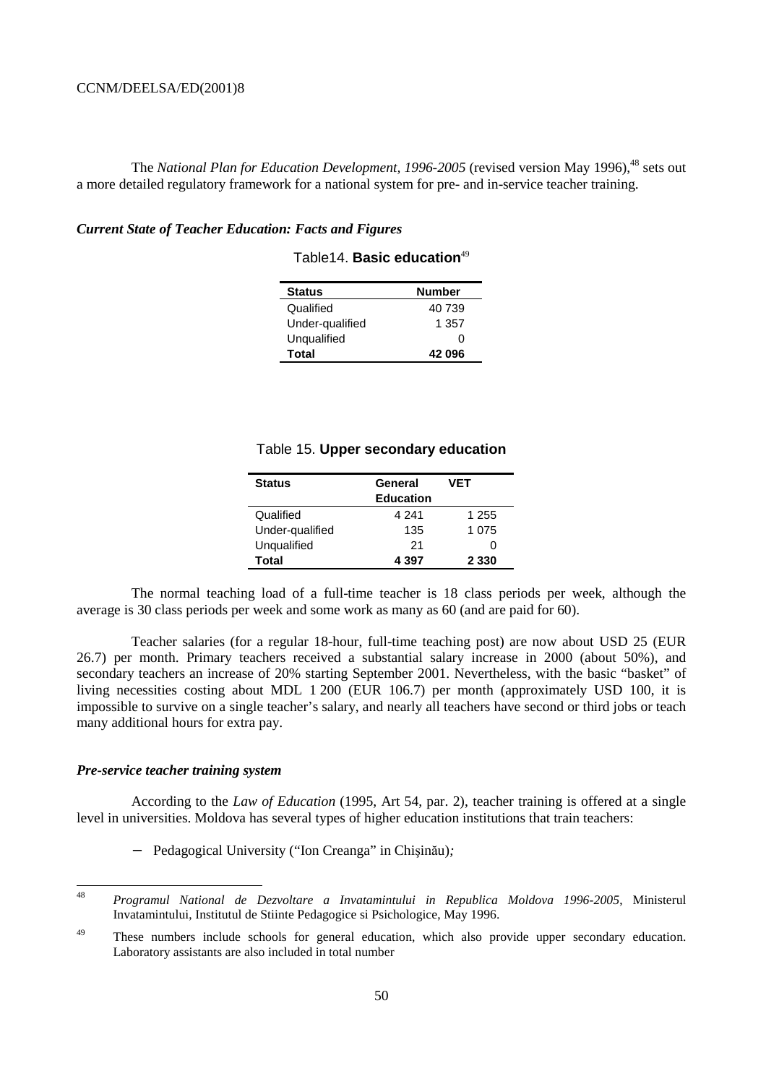The *National Plan for Education Development, 1996-2005* (revised version May 1996),<sup>48</sup> sets out a more detailed regulatory framework for a national system for pre- and in-service teacher training.

# *Current State of Teacher Education: Facts and Figures*

| <b>Status</b>   | <b>Number</b> |
|-----------------|---------------|
| Qualified       | 40 739        |
| Under-qualified | 1 357         |
| Unqualified     | 0             |
| Total           | 42 096        |

## Table14. **Basic education**<sup>49</sup>

### Table 15. **Upper secondary education**

| <b>Status</b>   | General<br>VET<br><b>Education</b> |         |
|-----------------|------------------------------------|---------|
|                 |                                    |         |
| Qualified       | 4 241                              | 1 255   |
| Under-qualified | 135                                | 1 0 7 5 |
| Unqualified     | 21                                 |         |
| Total           | 4 397                              | 2 3 3 0 |

The normal teaching load of a full-time teacher is 18 class periods per week, although the average is 30 class periods per week and some work as many as 60 (and are paid for 60).

Teacher salaries (for a regular 18-hour, full-time teaching post) are now about USD 25 (EUR 26.7) per month. Primary teachers received a substantial salary increase in 2000 (about 50%), and secondary teachers an increase of 20% starting September 2001. Nevertheless, with the basic "basket" of living necessities costing about MDL 1 200 (EUR 106.7) per month (approximately USD 100, it is impossible to survive on a single teacher's salary, and nearly all teachers have second or third jobs or teach many additional hours for extra pay.

## *Pre-service teacher training system*

According to the *Law of Education* (1995, Art 54, par. 2), teacher training is offered at a single level in universities. Moldova has several types of higher education institutions that train teachers:

− Pedagogical University ("Ion Creanga" in Chişinău)*;*

<sup>48</sup> *Programul National de Dezvoltare a Invatamintului in Republica Moldova 1996-2005*, Ministerul Invatamintului, Institutul de Stiinte Pedagogice si Psichologice, May 1996.

<sup>&</sup>lt;sup>49</sup> These numbers include schools for general education, which also provide upper secondary education. Laboratory assistants are also included in total number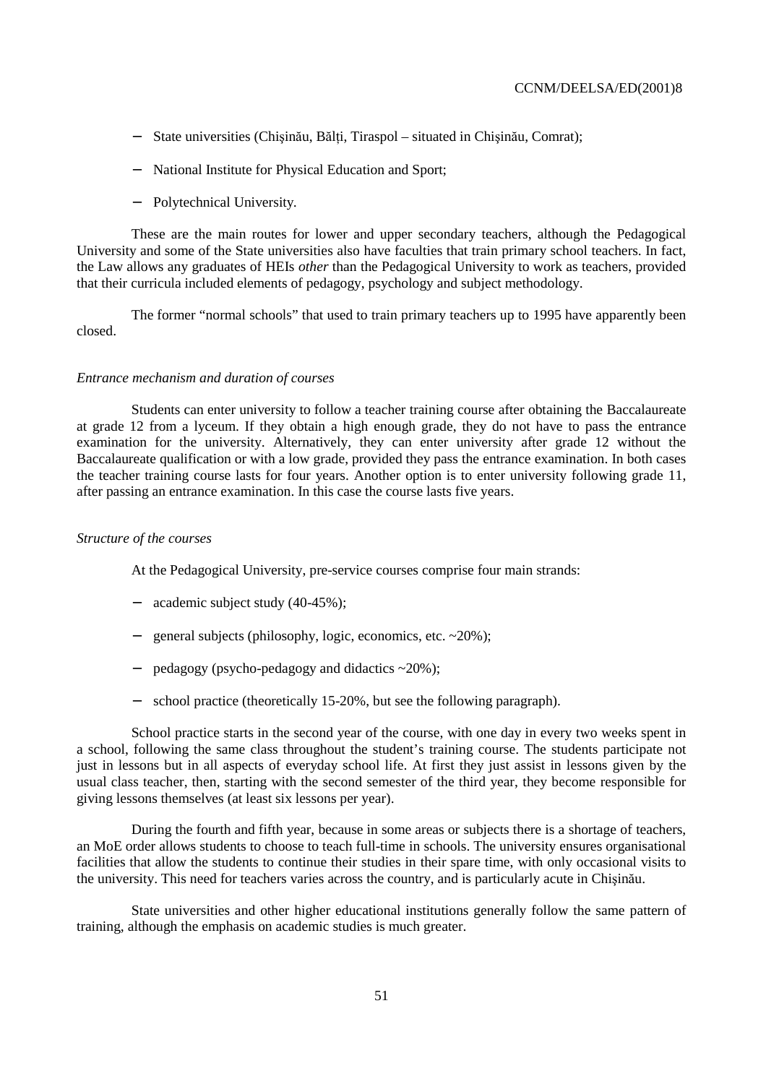- − State universities (Chişinău, Bălţi, Tiraspol situated in Chişinău, Comrat);
- − National Institute for Physical Education and Sport;
- − Polytechnical University*.*

These are the main routes for lower and upper secondary teachers, although the Pedagogical University and some of the State universities also have faculties that train primary school teachers. In fact, the Law allows any graduates of HEIs *other* than the Pedagogical University to work as teachers, provided that their curricula included elements of pedagogy, psychology and subject methodology.

The former "normal schools" that used to train primary teachers up to 1995 have apparently been closed.

### *Entrance mechanism and duration of courses*

Students can enter university to follow a teacher training course after obtaining the Baccalaureate at grade 12 from a lyceum. If they obtain a high enough grade, they do not have to pass the entrance examination for the university. Alternatively, they can enter university after grade 12 without the Baccalaureate qualification or with a low grade, provided they pass the entrance examination. In both cases the teacher training course lasts for four years. Another option is to enter university following grade 11, after passing an entrance examination. In this case the course lasts five years.

#### *Structure of the courses*

At the Pedagogical University, pre-service courses comprise four main strands:

- $\alpha$  academic subject study (40-45%);
- general subjects (philosophy, logic, economics, etc. ~20%);
- $pedagogy (psycho-pedagogy and didactics ~20%);$
- school practice (theoretically 15-20%, but see the following paragraph).

School practice starts in the second year of the course, with one day in every two weeks spent in a school, following the same class throughout the student's training course. The students participate not just in lessons but in all aspects of everyday school life. At first they just assist in lessons given by the usual class teacher, then, starting with the second semester of the third year, they become responsible for giving lessons themselves (at least six lessons per year).

During the fourth and fifth year, because in some areas or subjects there is a shortage of teachers, an MoE order allows students to choose to teach full-time in schools. The university ensures organisational facilities that allow the students to continue their studies in their spare time, with only occasional visits to the university. This need for teachers varies across the country, and is particularly acute in Chişinău.

State universities and other higher educational institutions generally follow the same pattern of training, although the emphasis on academic studies is much greater.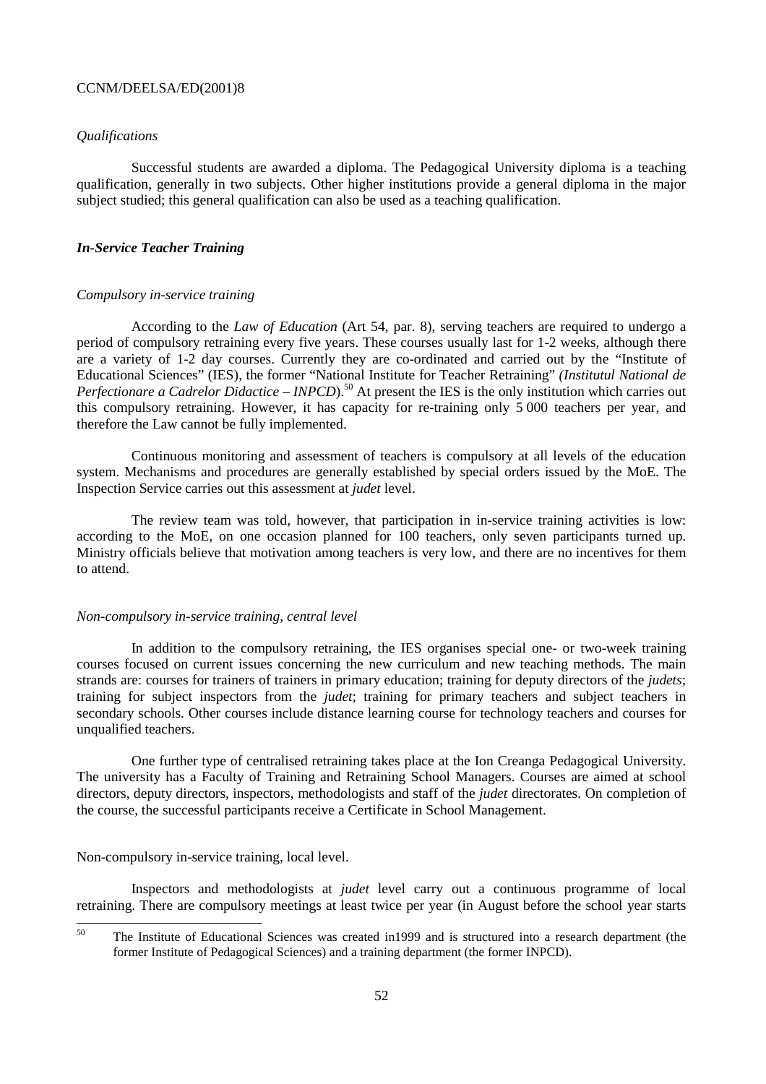# *Qualifications*

Successful students are awarded a diploma. The Pedagogical University diploma is a teaching qualification, generally in two subjects. Other higher institutions provide a general diploma in the major subject studied; this general qualification can also be used as a teaching qualification.

## *In-Service Teacher Training*

### *Compulsory in-service training*

According to the *Law of Education* (Art 54, par. 8), serving teachers are required to undergo a period of compulsory retraining every five years. These courses usually last for 1-2 weeks, although there are a variety of 1-2 day courses. Currently they are co-ordinated and carried out by the "Institute of Educational Sciences" (IES), the former "National Institute for Teacher Retraining" *(Institutul National de Perfectionare a Cadrelor Didactice – INPCD*).<sup>50</sup> At present the IES is the only institution which carries out this compulsory retraining. However, it has capacity for re-training only 5 000 teachers per year, and therefore the Law cannot be fully implemented.

Continuous monitoring and assessment of teachers is compulsory at all levels of the education system. Mechanisms and procedures are generally established by special orders issued by the MoE. The Inspection Service carries out this assessment at *judet* level.

The review team was told, however, that participation in in-service training activities is low: according to the MoE, on one occasion planned for 100 teachers, only seven participants turned up. Ministry officials believe that motivation among teachers is very low, and there are no incentives for them to attend.

## *Non-compulsory in-service training, central level*

In addition to the compulsory retraining, the IES organises special one- or two-week training courses focused on current issues concerning the new curriculum and new teaching methods. The main strands are: courses for trainers of trainers in primary education; training for deputy directors of the *judets*; training for subject inspectors from the *judet*; training for primary teachers and subject teachers in secondary schools. Other courses include distance learning course for technology teachers and courses for unqualified teachers.

One further type of centralised retraining takes place at the Ion Creanga Pedagogical University. The university has a Faculty of Training and Retraining School Managers. Courses are aimed at school directors, deputy directors, inspectors, methodologists and staff of the *judet* directorates. On completion of the course, the successful participants receive a Certificate in School Management.

Non-compulsory in-service training, local level.

Inspectors and methodologists at *judet* level carry out a continuous programme of local retraining. There are compulsory meetings at least twice per year (in August before the school year starts

<sup>&</sup>lt;sup>50</sup> The Institute of Educational Sciences was created in1999 and is structured into a research department (the former Institute of Pedagogical Sciences) and a training department (the former INPCD).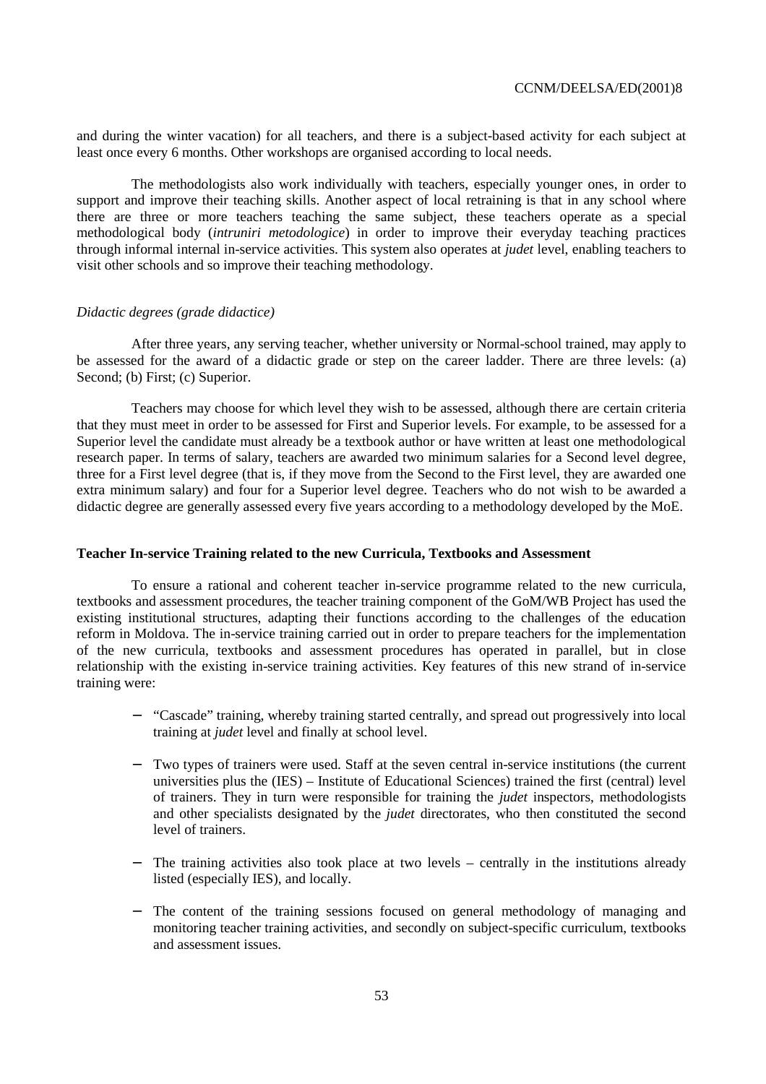and during the winter vacation) for all teachers, and there is a subject-based activity for each subject at least once every 6 months. Other workshops are organised according to local needs.

The methodologists also work individually with teachers, especially younger ones, in order to support and improve their teaching skills. Another aspect of local retraining is that in any school where there are three or more teachers teaching the same subject, these teachers operate as a special methodological body (*intruniri metodologice*) in order to improve their everyday teaching practices through informal internal in-service activities. This system also operates at *judet* level, enabling teachers to visit other schools and so improve their teaching methodology.

#### *Didactic degrees (grade didactice)*

After three years, any serving teacher, whether university or Normal-school trained, may apply to be assessed for the award of a didactic grade or step on the career ladder. There are three levels: (a) Second; (b) First; (c) Superior.

Teachers may choose for which level they wish to be assessed, although there are certain criteria that they must meet in order to be assessed for First and Superior levels. For example, to be assessed for a Superior level the candidate must already be a textbook author or have written at least one methodological research paper. In terms of salary, teachers are awarded two minimum salaries for a Second level degree, three for a First level degree (that is, if they move from the Second to the First level, they are awarded one extra minimum salary) and four for a Superior level degree. Teachers who do not wish to be awarded a didactic degree are generally assessed every five years according to a methodology developed by the MoE.

### **Teacher In-service Training related to the new Curricula, Textbooks and Assessment**

To ensure a rational and coherent teacher in-service programme related to the new curricula, textbooks and assessment procedures, the teacher training component of the GoM/WB Project has used the existing institutional structures, adapting their functions according to the challenges of the education reform in Moldova. The in-service training carried out in order to prepare teachers for the implementation of the new curricula, textbooks and assessment procedures has operated in parallel, but in close relationship with the existing in-service training activities. Key features of this new strand of in-service training were:

- − "Cascade" training, whereby training started centrally, and spread out progressively into local training at *judet* level and finally at school level.
- Two types of trainers were used. Staff at the seven central in-service institutions (the current universities plus the (IES) – Institute of Educational Sciences) trained the first (central) level of trainers. They in turn were responsible for training the *judet* inspectors, methodologists and other specialists designated by the *judet* directorates, who then constituted the second level of trainers.
- The training activities also took place at two levels centrally in the institutions already listed (especially IES), and locally.
- The content of the training sessions focused on general methodology of managing and monitoring teacher training activities, and secondly on subject-specific curriculum, textbooks and assessment issues.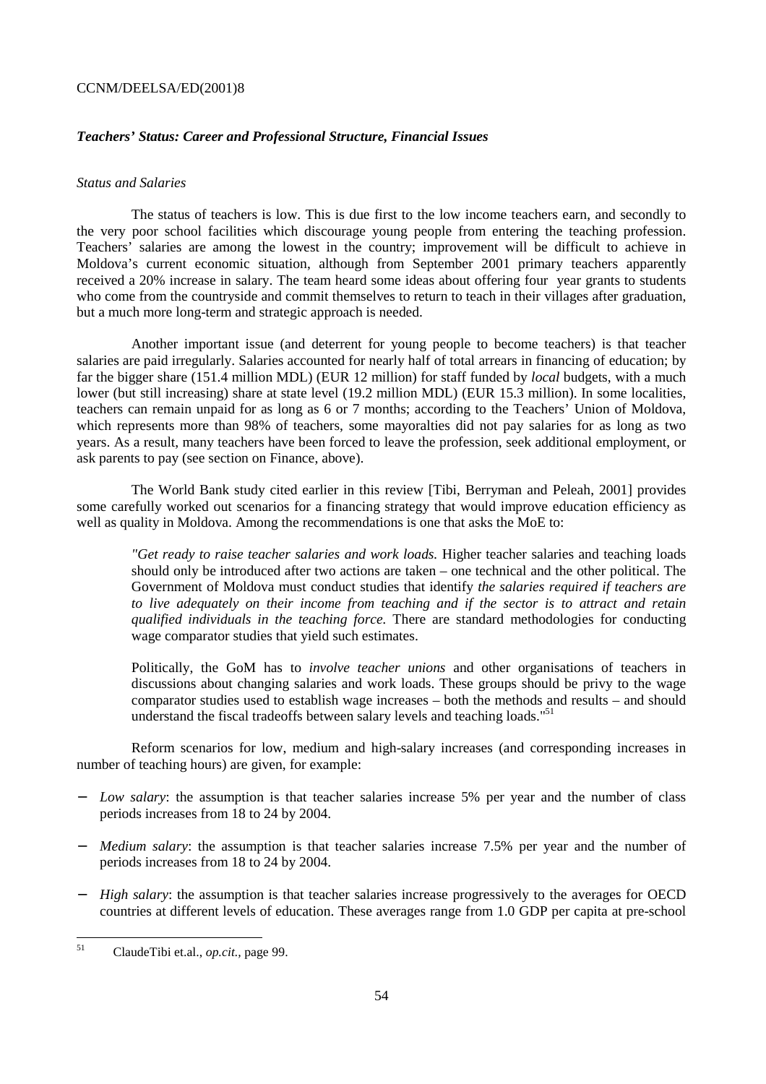# *Teachers' Status: Career and Professional Structure, Financial Issues*

# *Status and Salaries*

The status of teachers is low. This is due first to the low income teachers earn, and secondly to the very poor school facilities which discourage young people from entering the teaching profession. Teachers' salaries are among the lowest in the country; improvement will be difficult to achieve in Moldova's current economic situation, although from September 2001 primary teachers apparently received a 20% increase in salary. The team heard some ideas about offering four year grants to students who come from the countryside and commit themselves to return to teach in their villages after graduation, but a much more long-term and strategic approach is needed.

Another important issue (and deterrent for young people to become teachers) is that teacher salaries are paid irregularly. Salaries accounted for nearly half of total arrears in financing of education; by far the bigger share (151.4 million MDL) (EUR 12 million) for staff funded by *local* budgets, with a much lower (but still increasing) share at state level (19.2 million MDL) (EUR 15.3 million). In some localities, teachers can remain unpaid for as long as 6 or 7 months; according to the Teachers' Union of Moldova, which represents more than 98% of teachers, some mayoralties did not pay salaries for as long as two years. As a result, many teachers have been forced to leave the profession, seek additional employment, or ask parents to pay (see section on Finance, above).

The World Bank study cited earlier in this review [Tibi, Berryman and Peleah, 2001] provides some carefully worked out scenarios for a financing strategy that would improve education efficiency as well as quality in Moldova. Among the recommendations is one that asks the MoE to:

*"Get ready to raise teacher salaries and work loads.* Higher teacher salaries and teaching loads should only be introduced after two actions are taken – one technical and the other political. The Government of Moldova must conduct studies that identify *the salaries required if teachers are to live adequately on their income from teaching and if the sector is to attract and retain qualified individuals in the teaching force.* There are standard methodologies for conducting wage comparator studies that yield such estimates.

Politically, the GoM has to *involve teacher unions* and other organisations of teachers in discussions about changing salaries and work loads. These groups should be privy to the wage comparator studies used to establish wage increases – both the methods and results – and should understand the fiscal tradeoffs between salary levels and teaching loads."<sup>51</sup>

Reform scenarios for low, medium and high-salary increases (and corresponding increases in number of teaching hours) are given, for example:

- − *Low salary*: the assumption is that teacher salaries increase 5% per year and the number of class periods increases from 18 to 24 by 2004.
- *Medium salary*: the assumption is that teacher salaries increase 7.5% per year and the number of periods increases from 18 to 24 by 2004.
- − *High salary*: the assumption is that teacher salaries increase progressively to the averages for OECD countries at different levels of education. These averages range from 1.0 GDP per capita at pre-school

<sup>51</sup> ClaudeTibi et.al., *op.cit.,* page 99.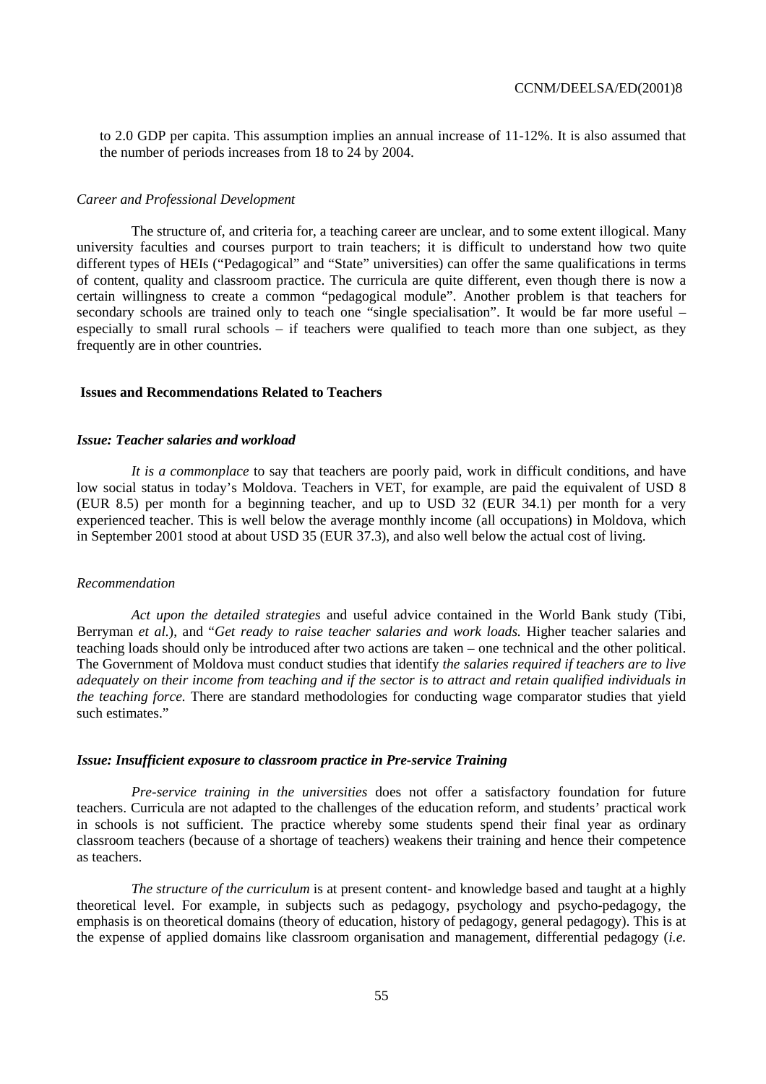to 2.0 GDP per capita. This assumption implies an annual increase of 11-12%. It is also assumed that the number of periods increases from 18 to 24 by 2004.

### *Career and Professional Development*

The structure of, and criteria for, a teaching career are unclear, and to some extent illogical. Many university faculties and courses purport to train teachers; it is difficult to understand how two quite different types of HEIs ("Pedagogical" and "State" universities) can offer the same qualifications in terms of content, quality and classroom practice. The curricula are quite different, even though there is now a certain willingness to create a common "pedagogical module". Another problem is that teachers for secondary schools are trained only to teach one "single specialisation". It would be far more useful – especially to small rural schools – if teachers were qualified to teach more than one subject, as they frequently are in other countries.

### **Issues and Recommendations Related to Teachers**

#### *Issue: Teacher salaries and workload*

*It is a commonplace* to say that teachers are poorly paid, work in difficult conditions, and have low social status in today's Moldova. Teachers in VET, for example, are paid the equivalent of USD 8 (EUR 8.5) per month for a beginning teacher, and up to USD 32 (EUR 34.1) per month for a very experienced teacher. This is well below the average monthly income (all occupations) in Moldova, which in September 2001 stood at about USD 35 (EUR 37.3), and also well below the actual cost of living.

# *Recommendation*

*Act upon the detailed strategies* and useful advice contained in the World Bank study (Tibi, Berryman *et al.*), and "*Get ready to raise teacher salaries and work loads.* Higher teacher salaries and teaching loads should only be introduced after two actions are taken – one technical and the other political. The Government of Moldova must conduct studies that identify *the salaries required if teachers are to live adequately on their income from teaching and if the sector is to attract and retain qualified individuals in the teaching force.* There are standard methodologies for conducting wage comparator studies that yield such estimates."

### *Issue: Insufficient exposure to classroom practice in Pre-service Training*

*Pre-service training in the universities* does not offer a satisfactory foundation for future teachers. Curricula are not adapted to the challenges of the education reform, and students' practical work in schools is not sufficient. The practice whereby some students spend their final year as ordinary classroom teachers (because of a shortage of teachers) weakens their training and hence their competence as teachers.

*The structure of the curriculum* is at present content- and knowledge based and taught at a highly theoretical level. For example, in subjects such as pedagogy, psychology and psycho-pedagogy, the emphasis is on theoretical domains (theory of education, history of pedagogy, general pedagogy). This is at the expense of applied domains like classroom organisation and management, differential pedagogy (*i.e.*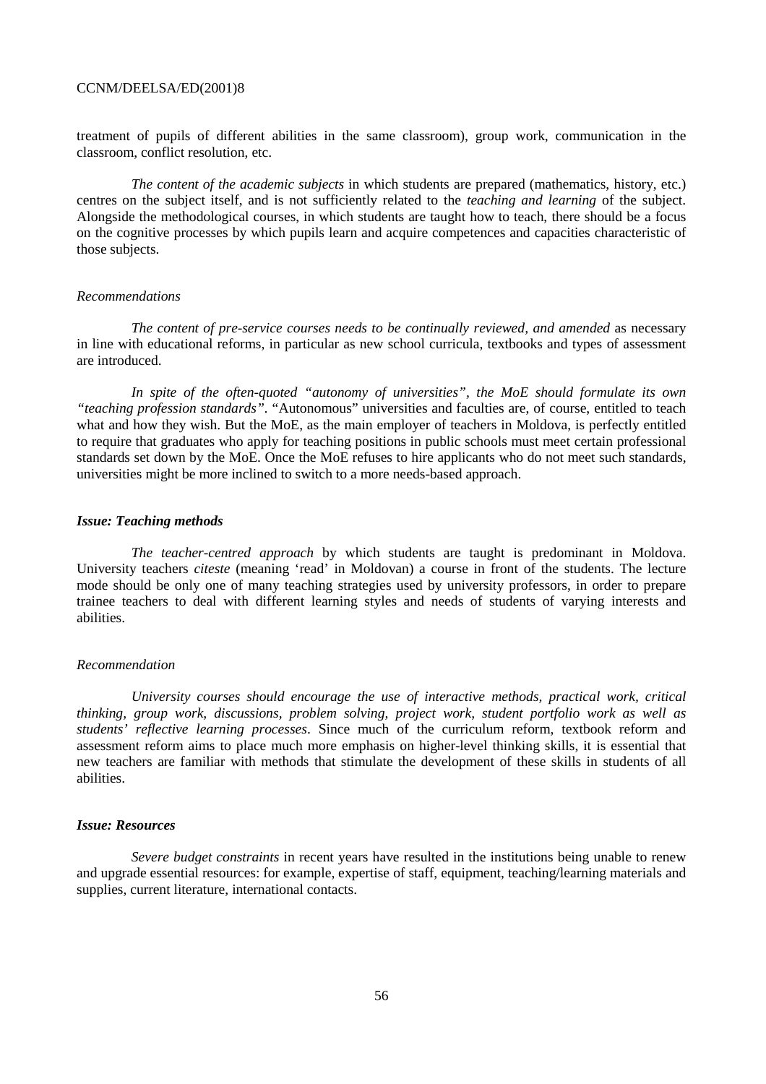treatment of pupils of different abilities in the same classroom), group work, communication in the classroom, conflict resolution, etc.

*The content of the academic subjects* in which students are prepared (mathematics, history, etc.) centres on the subject itself, and is not sufficiently related to the *teaching and learning* of the subject. Alongside the methodological courses, in which students are taught how to teach, there should be a focus on the cognitive processes by which pupils learn and acquire competences and capacities characteristic of those subjects.

# *Recommendations*

*The content of pre-service courses needs to be continually reviewed, and amended* as necessary in line with educational reforms, in particular as new school curricula, textbooks and types of assessment are introduced.

*In spite of the often-quoted "autonomy of universities", the MoE should formulate its own "teaching profession standards".* "Autonomous" universities and faculties are, of course, entitled to teach what and how they wish. But the MoE, as the main employer of teachers in Moldova, is perfectly entitled to require that graduates who apply for teaching positions in public schools must meet certain professional standards set down by the MoE. Once the MoE refuses to hire applicants who do not meet such standards, universities might be more inclined to switch to a more needs-based approach.

# *Issue: Teaching methods*

*The teacher-centred approach* by which students are taught is predominant in Moldova. University teachers *citeste* (meaning 'read' in Moldovan) a course in front of the students. The lecture mode should be only one of many teaching strategies used by university professors, in order to prepare trainee teachers to deal with different learning styles and needs of students of varying interests and abilities.

## *Recommendation*

*University courses should encourage the use of interactive methods, practical work, critical thinking, group work, discussions, problem solving, project work, student portfolio work as well as students' reflective learning processes*. Since much of the curriculum reform, textbook reform and assessment reform aims to place much more emphasis on higher-level thinking skills, it is essential that new teachers are familiar with methods that stimulate the development of these skills in students of all abilities.

# *Issue: Resources*

*Severe budget constraints* in recent years have resulted in the institutions being unable to renew and upgrade essential resources: for example, expertise of staff, equipment, teaching/learning materials and supplies, current literature, international contacts.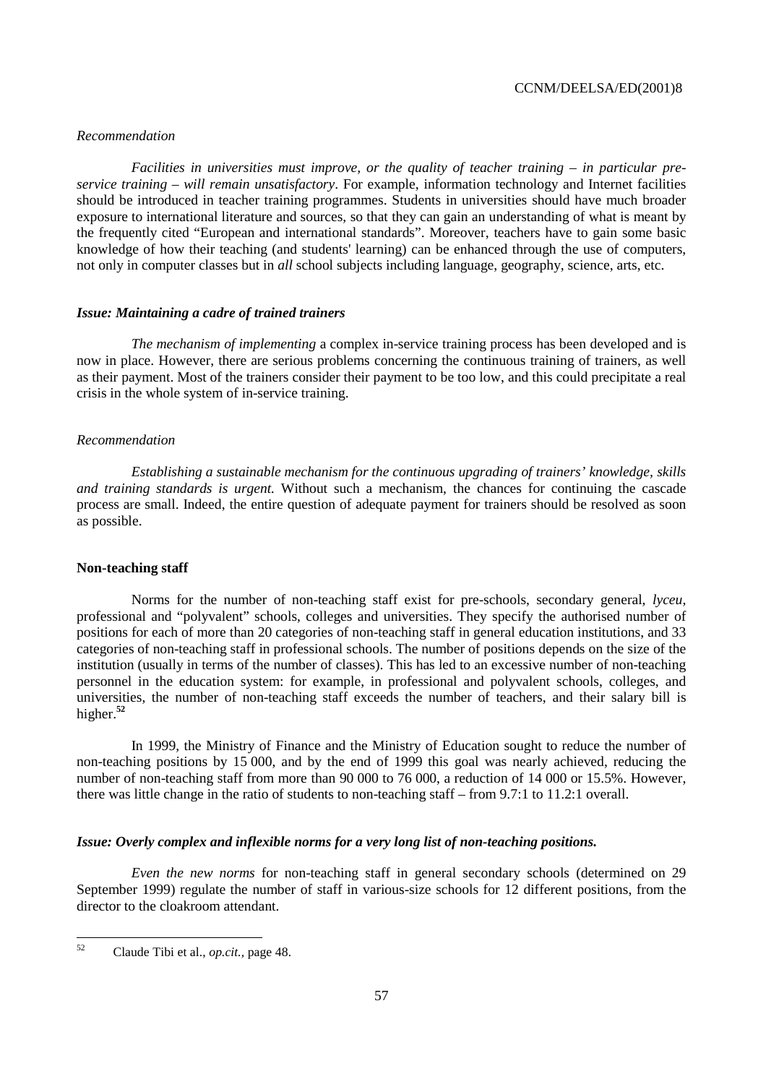# *Recommendation*

*Facilities in universities must improve, or the quality of teacher training – in particular preservice training – will remain unsatisfactory*. For example, information technology and Internet facilities should be introduced in teacher training programmes. Students in universities should have much broader exposure to international literature and sources, so that they can gain an understanding of what is meant by the frequently cited "European and international standards". Moreover, teachers have to gain some basic knowledge of how their teaching (and students' learning) can be enhanced through the use of computers, not only in computer classes but in *all* school subjects including language, geography, science, arts, etc.

### *Issue: Maintaining a cadre of trained trainers*

*The mechanism of implementing* a complex in-service training process has been developed and is now in place. However, there are serious problems concerning the continuous training of trainers, as well as their payment. Most of the trainers consider their payment to be too low, and this could precipitate a real crisis in the whole system of in-service training.

## *Recommendation*

*Establishing a sustainable mechanism for the continuous upgrading of trainers' knowledge, skills and training standards is urgent.* Without such a mechanism, the chances for continuing the cascade process are small. Indeed, the entire question of adequate payment for trainers should be resolved as soon as possible.

#### **Non-teaching staff**

Norms for the number of non-teaching staff exist for pre-schools, secondary general, *lyceu*, professional and "polyvalent" schools, colleges and universities. They specify the authorised number of positions for each of more than 20 categories of non-teaching staff in general education institutions, and 33 categories of non-teaching staff in professional schools. The number of positions depends on the size of the institution (usually in terms of the number of classes). This has led to an excessive number of non-teaching personnel in the education system: for example, in professional and polyvalent schools, colleges, and universities, the number of non-teaching staff exceeds the number of teachers, and their salary bill is higher.**<sup>52</sup>**

In 1999, the Ministry of Finance and the Ministry of Education sought to reduce the number of non-teaching positions by 15 000, and by the end of 1999 this goal was nearly achieved, reducing the number of non-teaching staff from more than 90 000 to 76 000, a reduction of 14 000 or 15.5%. However, there was little change in the ratio of students to non-teaching staff – from 9.7:1 to 11.2:1 overall.

# *Issue: Overly complex and inflexible norms for a very long list of non-teaching positions.*

*Even the new norms* for non-teaching staff in general secondary schools (determined on 29 September 1999) regulate the number of staff in various-size schools for 12 different positions, from the director to the cloakroom attendant.

<sup>52</sup> Claude Tibi et al., *op.cit.,* page 48.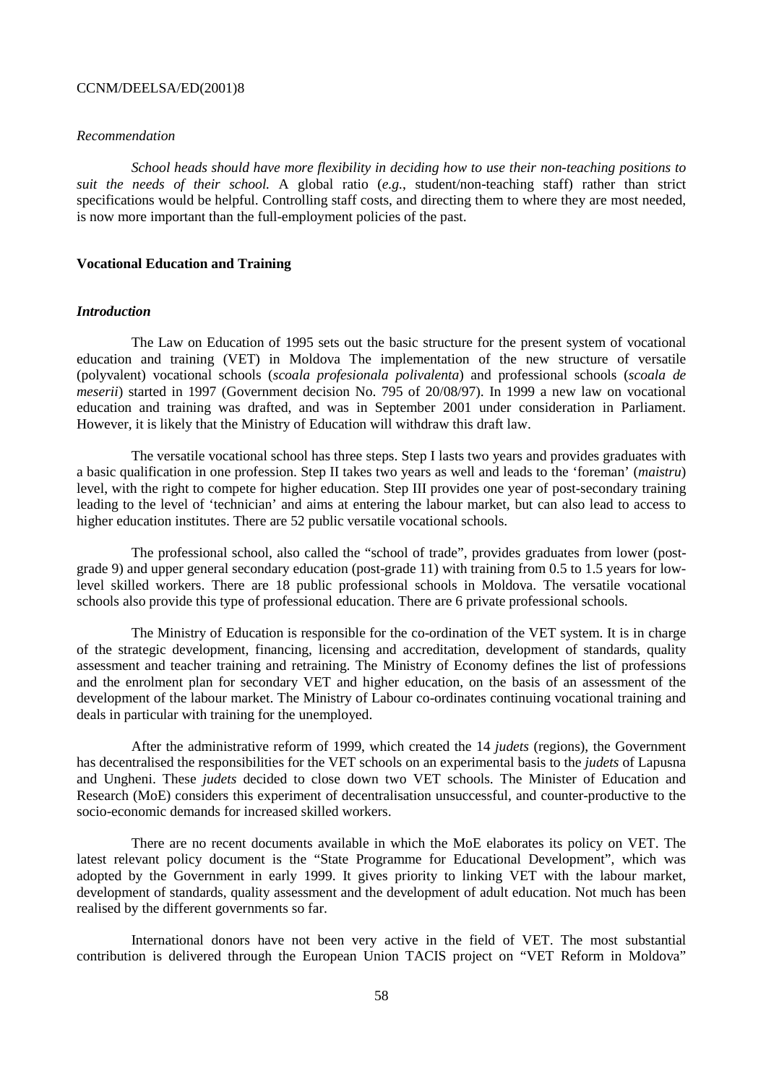#### *Recommendation*

*School heads should have more flexibility in deciding how to use their non-teaching positions to suit the needs of their school.* A global ratio (*e.g.*, student/non-teaching staff) rather than strict specifications would be helpful. Controlling staff costs, and directing them to where they are most needed, is now more important than the full-employment policies of the past.

### **Vocational Education and Training**

### *Introduction*

The Law on Education of 1995 sets out the basic structure for the present system of vocational education and training (VET) in Moldova The implementation of the new structure of versatile (polyvalent) vocational schools (*scoala profesionala polivalenta*) and professional schools (*scoala de meserii*) started in 1997 (Government decision No. 795 of 20/08/97). In 1999 a new law on vocational education and training was drafted, and was in September 2001 under consideration in Parliament. However, it is likely that the Ministry of Education will withdraw this draft law.

The versatile vocational school has three steps. Step I lasts two years and provides graduates with a basic qualification in one profession. Step II takes two years as well and leads to the 'foreman' (*maistru*) level, with the right to compete for higher education. Step III provides one year of post-secondary training leading to the level of 'technician' and aims at entering the labour market, but can also lead to access to higher education institutes. There are 52 public versatile vocational schools.

The professional school, also called the "school of trade", provides graduates from lower (postgrade 9) and upper general secondary education (post-grade 11) with training from 0.5 to 1.5 years for lowlevel skilled workers. There are 18 public professional schools in Moldova. The versatile vocational schools also provide this type of professional education. There are 6 private professional schools.

The Ministry of Education is responsible for the co-ordination of the VET system. It is in charge of the strategic development, financing, licensing and accreditation, development of standards, quality assessment and teacher training and retraining. The Ministry of Economy defines the list of professions and the enrolment plan for secondary VET and higher education, on the basis of an assessment of the development of the labour market. The Ministry of Labour co-ordinates continuing vocational training and deals in particular with training for the unemployed.

After the administrative reform of 1999, which created the 14 *judets* (regions), the Government has decentralised the responsibilities for the VET schools on an experimental basis to the *judets* of Lapusna and Ungheni. These *judets* decided to close down two VET schools. The Minister of Education and Research (MoE) considers this experiment of decentralisation unsuccessful, and counter-productive to the socio-economic demands for increased skilled workers.

There are no recent documents available in which the MoE elaborates its policy on VET. The latest relevant policy document is the "State Programme for Educational Development", which was adopted by the Government in early 1999. It gives priority to linking VET with the labour market, development of standards, quality assessment and the development of adult education. Not much has been realised by the different governments so far.

International donors have not been very active in the field of VET. The most substantial contribution is delivered through the European Union TACIS project on "VET Reform in Moldova"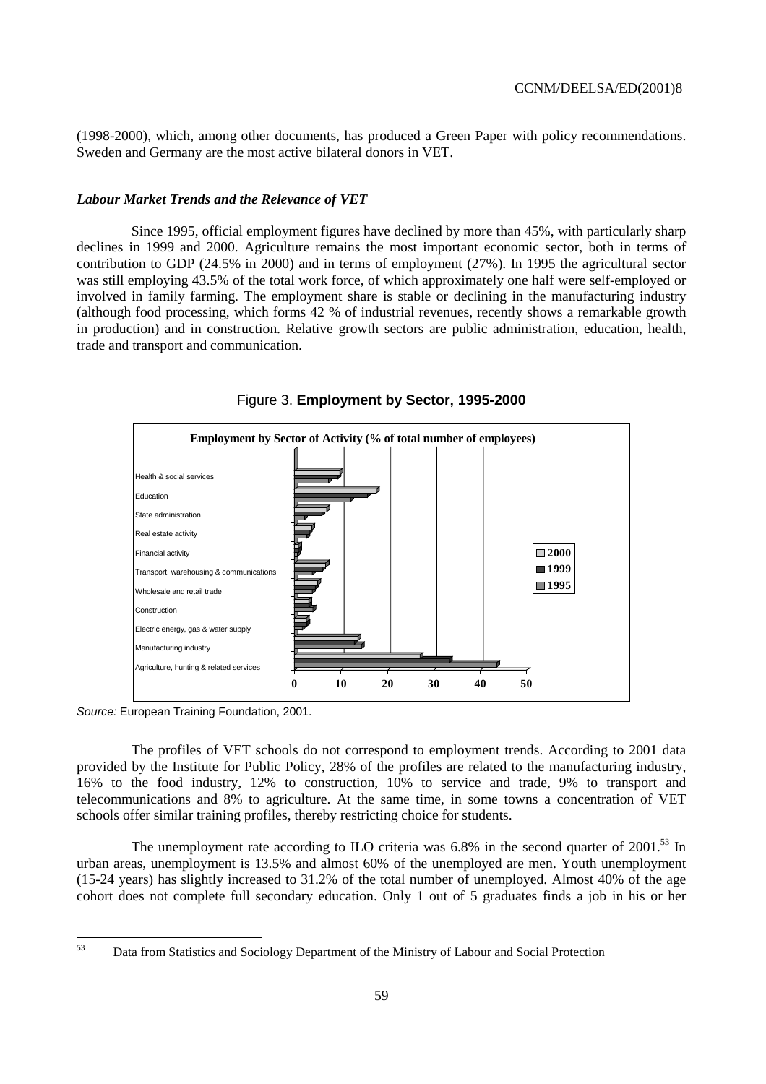(1998-2000), which, among other documents, has produced a Green Paper with policy recommendations. Sweden and Germany are the most active bilateral donors in VET.

# *Labour Market Trends and the Relevance of VET*

Since 1995, official employment figures have declined by more than 45%, with particularly sharp declines in 1999 and 2000. Agriculture remains the most important economic sector, both in terms of contribution to GDP (24.5% in 2000) and in terms of employment (27%). In 1995 the agricultural sector was still employing 43.5% of the total work force, of which approximately one half were self-employed or involved in family farming. The employment share is stable or declining in the manufacturing industry (although food processing, which forms 42 % of industrial revenues, recently shows a remarkable growth in production) and in construction. Relative growth sectors are public administration, education, health, trade and transport and communication.



Figure 3. **Employment by Sector, 1995-2000**

Source: European Training Foundation, 2001.

The profiles of VET schools do not correspond to employment trends. According to 2001 data provided by the Institute for Public Policy, 28% of the profiles are related to the manufacturing industry, 16% to the food industry, 12% to construction, 10% to service and trade, 9% to transport and telecommunications and 8% to agriculture. At the same time, in some towns a concentration of VET schools offer similar training profiles, thereby restricting choice for students.

The unemployment rate according to ILO criteria was 6.8% in the second quarter of 2001.<sup>53</sup> In urban areas, unemployment is 13.5% and almost 60% of the unemployed are men. Youth unemployment (15-24 years) has slightly increased to 31.2% of the total number of unemployed. Almost 40% of the age cohort does not complete full secondary education. Only 1 out of 5 graduates finds a job in his or her

<sup>53</sup> Data from Statistics and Sociology Department of the Ministry of Labour and Social Protection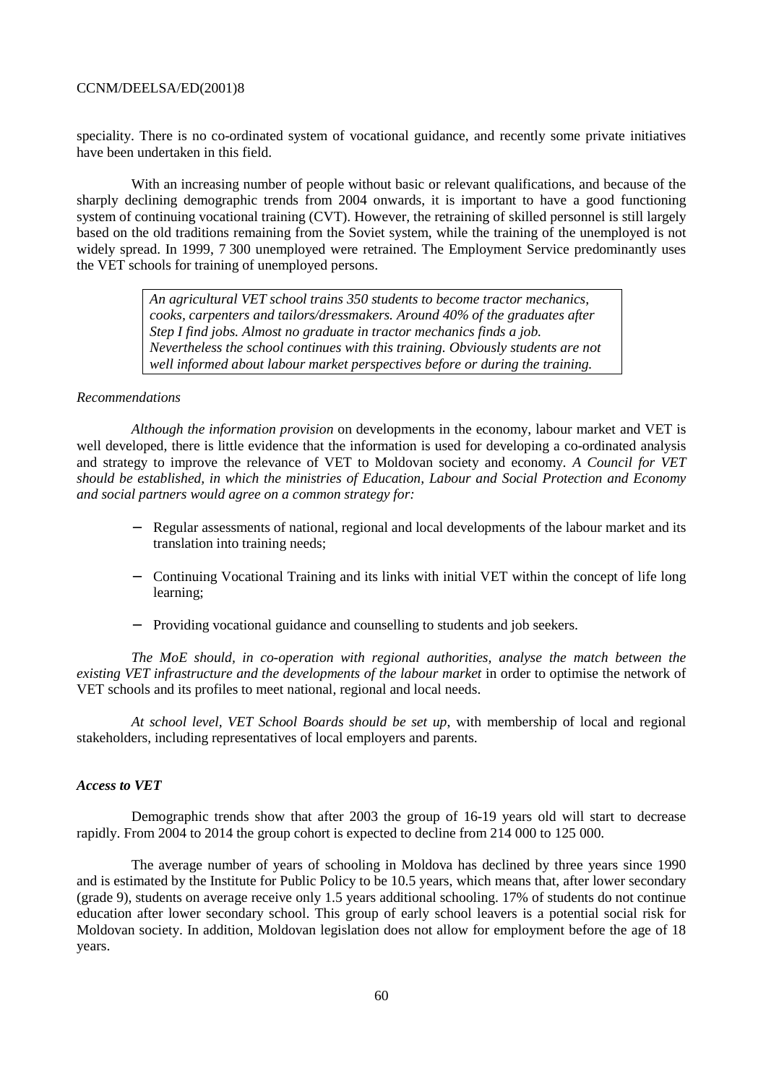speciality. There is no co-ordinated system of vocational guidance, and recently some private initiatives have been undertaken in this field.

With an increasing number of people without basic or relevant qualifications, and because of the sharply declining demographic trends from 2004 onwards, it is important to have a good functioning system of continuing vocational training (CVT). However, the retraining of skilled personnel is still largely based on the old traditions remaining from the Soviet system, while the training of the unemployed is not widely spread. In 1999, 7 300 unemployed were retrained. The Employment Service predominantly uses the VET schools for training of unemployed persons.

> *An agricultural VET school trains 350 students to become tractor mechanics, cooks, carpenters and tailors/dressmakers. Around 40% of the graduates after Step I find jobs. Almost no graduate in tractor mechanics finds a job. Nevertheless the school continues with this training. Obviously students are not well informed about labour market perspectives before or during the training.*

### *Recommendations*

*Although the information provision* on developments in the economy, labour market and VET is well developed, there is little evidence that the information is used for developing a co-ordinated analysis and strategy to improve the relevance of VET to Moldovan society and economy*. A Council for VET should be established, in which the ministries of Education, Labour and Social Protection and Economy and social partners would agree on a common strategy for:*

- − Regular assessments of national, regional and local developments of the labour market and its translation into training needs;
- − Continuing Vocational Training and its links with initial VET within the concept of life long learning;
- − Providing vocational guidance and counselling to students and job seekers.

*The MoE should, in co-operation with regional authorities, analyse the match between the existing VET infrastructure and the developments of the labour market* in order to optimise the network of VET schools and its profiles to meet national, regional and local needs.

*At school level, VET School Boards should be set up*, with membership of local and regional stakeholders, including representatives of local employers and parents.

# *Access to VET*

Demographic trends show that after 2003 the group of 16-19 years old will start to decrease rapidly. From 2004 to 2014 the group cohort is expected to decline from 214 000 to 125 000.

The average number of years of schooling in Moldova has declined by three years since 1990 and is estimated by the Institute for Public Policy to be 10.5 years, which means that, after lower secondary (grade 9), students on average receive only 1.5 years additional schooling. 17% of students do not continue education after lower secondary school. This group of early school leavers is a potential social risk for Moldovan society. In addition, Moldovan legislation does not allow for employment before the age of 18 years.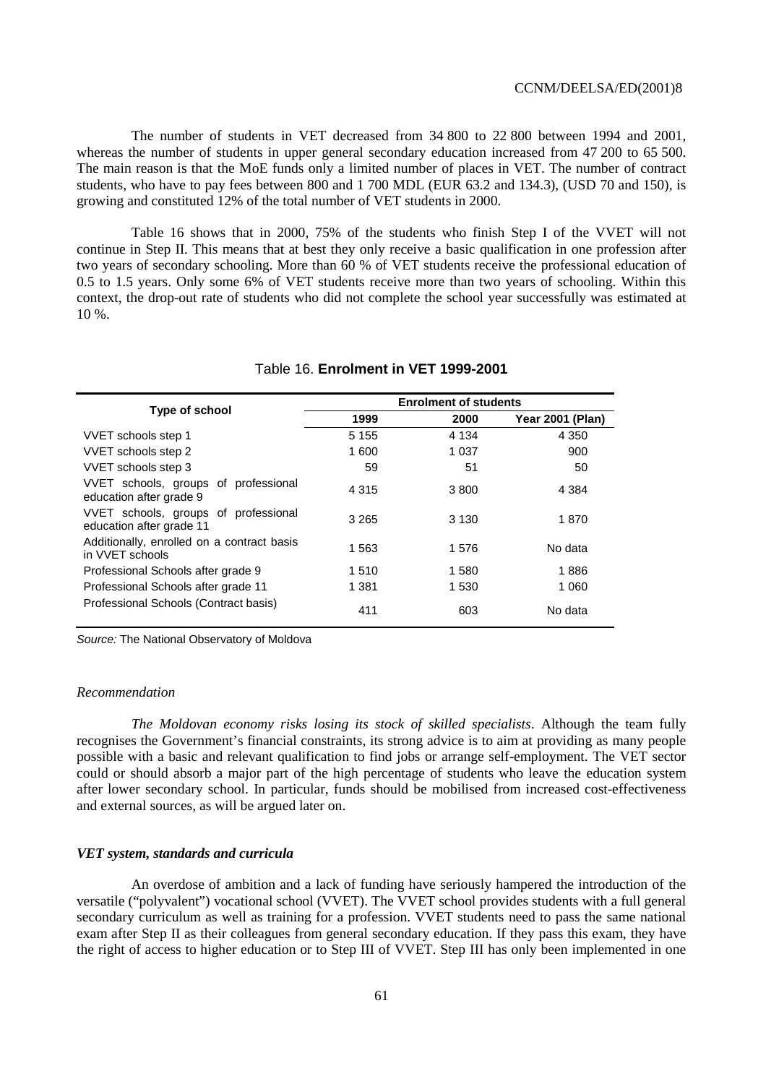The number of students in VET decreased from 34 800 to 22 800 between 1994 and 2001, whereas the number of students in upper general secondary education increased from 47 200 to 65 500. The main reason is that the MoE funds only a limited number of places in VET. The number of contract students, who have to pay fees between 800 and 1 700 MDL (EUR 63.2 and 134.3), (USD 70 and 150), is growing and constituted 12% of the total number of VET students in 2000.

Table 16 shows that in 2000, 75% of the students who finish Step I of the VVET will not continue in Step II. This means that at best they only receive a basic qualification in one profession after two years of secondary schooling. More than 60 % of VET students receive the professional education of 0.5 to 1.5 years. Only some 6% of VET students receive more than two years of schooling. Within this context, the drop-out rate of students who did not complete the school year successfully was estimated at 10 %.

|                                                                  | <b>Enrolment of students</b> |         |                         |
|------------------------------------------------------------------|------------------------------|---------|-------------------------|
| Type of school                                                   | 1999                         | 2000    | <b>Year 2001 (Plan)</b> |
| VVET schools step 1                                              | 5 1 5 5                      | 4 1 3 4 | 4 3 5 0                 |
| VVET schools step 2                                              | 1 600                        | 1 0 3 7 | 900                     |
| VVET schools step 3                                              | 59                           | 51      | 50                      |
| VVET schools, groups of professional<br>education after grade 9  | 4 3 1 5                      | 3 800   | 4 3 8 4                 |
| VVET schools, groups of professional<br>education after grade 11 | 3 2 6 5                      | 3 1 3 0 | 1870                    |
| Additionally, enrolled on a contract basis<br>in VVET schools    | 1 563                        | 1576    | No data                 |
| Professional Schools after grade 9                               | 1 510                        | 1 580   | 1886                    |
| Professional Schools after grade 11                              | 1 381                        | 1 530   | 1 0 6 0                 |
| Professional Schools (Contract basis)                            | 411                          | 603     | No data                 |

### Table 16. **Enrolment in VET 1999-2001**

Source: The National Observatory of Moldova

#### *Recommendation*

*The Moldovan economy risks losing its stock of skilled specialists*. Although the team fully recognises the Government's financial constraints, its strong advice is to aim at providing as many people possible with a basic and relevant qualification to find jobs or arrange self-employment. The VET sector could or should absorb a major part of the high percentage of students who leave the education system after lower secondary school. In particular, funds should be mobilised from increased cost-effectiveness and external sources, as will be argued later on.

### *VET system, standards and curricula*

An overdose of ambition and a lack of funding have seriously hampered the introduction of the versatile ("polyvalent") vocational school (VVET). The VVET school provides students with a full general secondary curriculum as well as training for a profession. VVET students need to pass the same national exam after Step II as their colleagues from general secondary education. If they pass this exam, they have the right of access to higher education or to Step III of VVET. Step III has only been implemented in one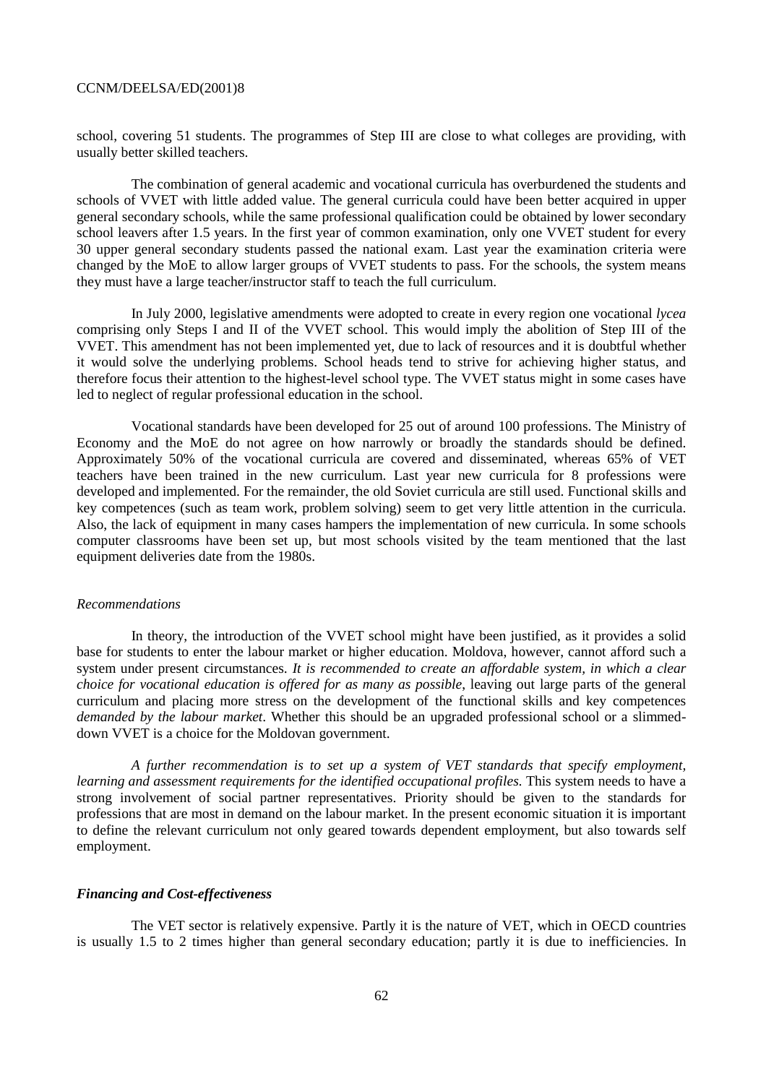school, covering 51 students. The programmes of Step III are close to what colleges are providing, with usually better skilled teachers.

The combination of general academic and vocational curricula has overburdened the students and schools of VVET with little added value. The general curricula could have been better acquired in upper general secondary schools, while the same professional qualification could be obtained by lower secondary school leavers after 1.5 years. In the first year of common examination, only one VVET student for every 30 upper general secondary students passed the national exam. Last year the examination criteria were changed by the MoE to allow larger groups of VVET students to pass. For the schools, the system means they must have a large teacher/instructor staff to teach the full curriculum.

In July 2000, legislative amendments were adopted to create in every region one vocational *lycea* comprising only Steps I and II of the VVET school. This would imply the abolition of Step III of the VVET. This amendment has not been implemented yet, due to lack of resources and it is doubtful whether it would solve the underlying problems. School heads tend to strive for achieving higher status, and therefore focus their attention to the highest-level school type. The VVET status might in some cases have led to neglect of regular professional education in the school.

Vocational standards have been developed for 25 out of around 100 professions. The Ministry of Economy and the MoE do not agree on how narrowly or broadly the standards should be defined. Approximately 50% of the vocational curricula are covered and disseminated, whereas 65% of VET teachers have been trained in the new curriculum. Last year new curricula for 8 professions were developed and implemented. For the remainder, the old Soviet curricula are still used. Functional skills and key competences (such as team work, problem solving) seem to get very little attention in the curricula. Also, the lack of equipment in many cases hampers the implementation of new curricula. In some schools computer classrooms have been set up, but most schools visited by the team mentioned that the last equipment deliveries date from the 1980s.

#### *Recommendations*

In theory, the introduction of the VVET school might have been justified, as it provides a solid base for students to enter the labour market or higher education. Moldova, however, cannot afford such a system under present circumstances. *It is recommended to create an affordable system, in which a clear choice for vocational education is offered for as many as possible*, leaving out large parts of the general curriculum and placing more stress on the development of the functional skills and key competences *demanded by the labour market*. Whether this should be an upgraded professional school or a slimmeddown VVET is a choice for the Moldovan government.

*A further recommendation is to set up a system of VET standards that specify employment, learning and assessment requirements for the identified occupational profiles.* This system needs to have a strong involvement of social partner representatives. Priority should be given to the standards for professions that are most in demand on the labour market. In the present economic situation it is important to define the relevant curriculum not only geared towards dependent employment, but also towards self employment.

# *Financing and Cost-effectiveness*

The VET sector is relatively expensive. Partly it is the nature of VET, which in OECD countries is usually 1.5 to 2 times higher than general secondary education; partly it is due to inefficiencies. In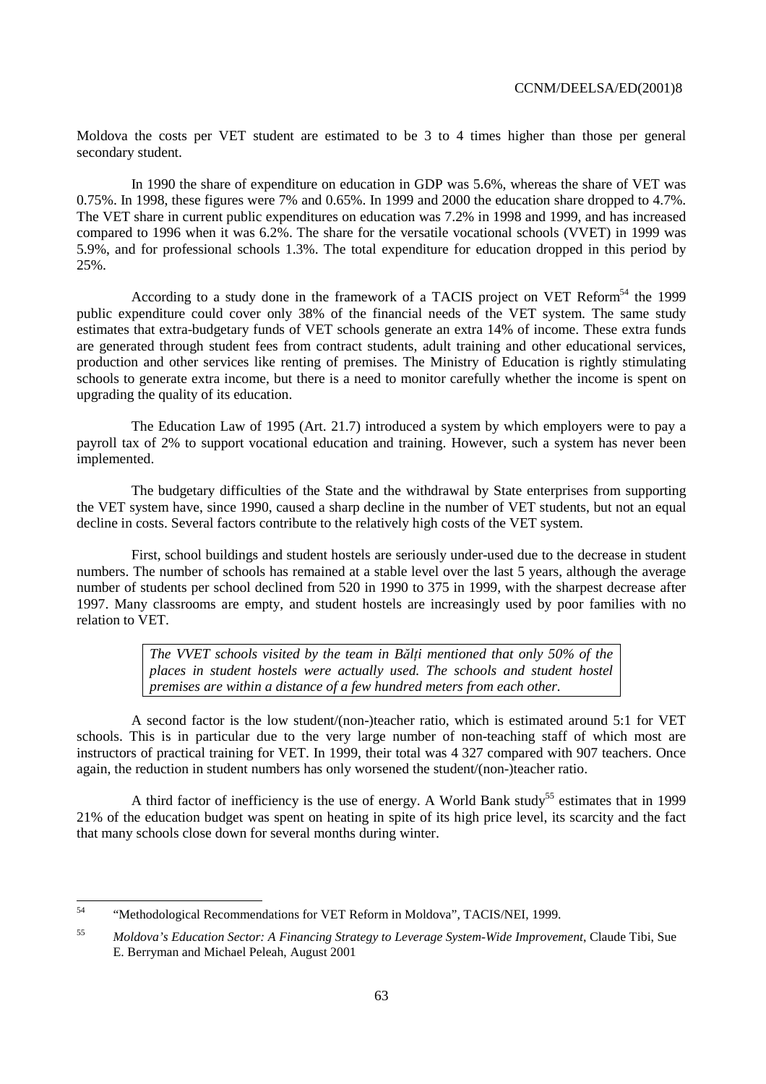Moldova the costs per VET student are estimated to be 3 to 4 times higher than those per general secondary student.

In 1990 the share of expenditure on education in GDP was 5.6%, whereas the share of VET was 0.75%. In 1998, these figures were 7% and 0.65%. In 1999 and 2000 the education share dropped to 4.7%. The VET share in current public expenditures on education was 7.2% in 1998 and 1999, and has increased compared to 1996 when it was 6.2%. The share for the versatile vocational schools (VVET) in 1999 was 5.9%, and for professional schools 1.3%. The total expenditure for education dropped in this period by 25%.

According to a study done in the framework of a TACIS project on VET Reform<sup>54</sup> the 1999 public expenditure could cover only 38% of the financial needs of the VET system. The same study estimates that extra-budgetary funds of VET schools generate an extra 14% of income. These extra funds are generated through student fees from contract students, adult training and other educational services, production and other services like renting of premises. The Ministry of Education is rightly stimulating schools to generate extra income, but there is a need to monitor carefully whether the income is spent on upgrading the quality of its education.

The Education Law of 1995 (Art. 21.7) introduced a system by which employers were to pay a payroll tax of 2% to support vocational education and training. However, such a system has never been implemented.

The budgetary difficulties of the State and the withdrawal by State enterprises from supporting the VET system have, since 1990, caused a sharp decline in the number of VET students, but not an equal decline in costs. Several factors contribute to the relatively high costs of the VET system.

First, school buildings and student hostels are seriously under-used due to the decrease in student numbers. The number of schools has remained at a stable level over the last 5 years, although the average number of students per school declined from 520 in 1990 to 375 in 1999, with the sharpest decrease after 1997. Many classrooms are empty, and student hostels are increasingly used by poor families with no relation to VET.

> *The VVET schools visited by the team in Bălţi mentioned that only 50% of the places in student hostels were actually used. The schools and student hostel premises are within a distance of a few hundred meters from each other.*

A second factor is the low student/(non-)teacher ratio, which is estimated around 5:1 for VET schools. This is in particular due to the very large number of non-teaching staff of which most are instructors of practical training for VET. In 1999, their total was 4 327 compared with 907 teachers. Once again, the reduction in student numbers has only worsened the student/(non-)teacher ratio.

A third factor of inefficiency is the use of energy. A World Bank study<sup>55</sup> estimates that in 1999 21% of the education budget was spent on heating in spite of its high price level, its scarcity and the fact that many schools close down for several months during winter.

<sup>54</sup> "Methodological Recommendations for VET Reform in Moldova", TACIS/NEI, 1999.

<sup>55</sup> *Moldova's Education Sector: A Financing Strategy to Leverage System-Wide Improvement*, Claude Tibi, Sue E. Berryman and Michael Peleah, August 2001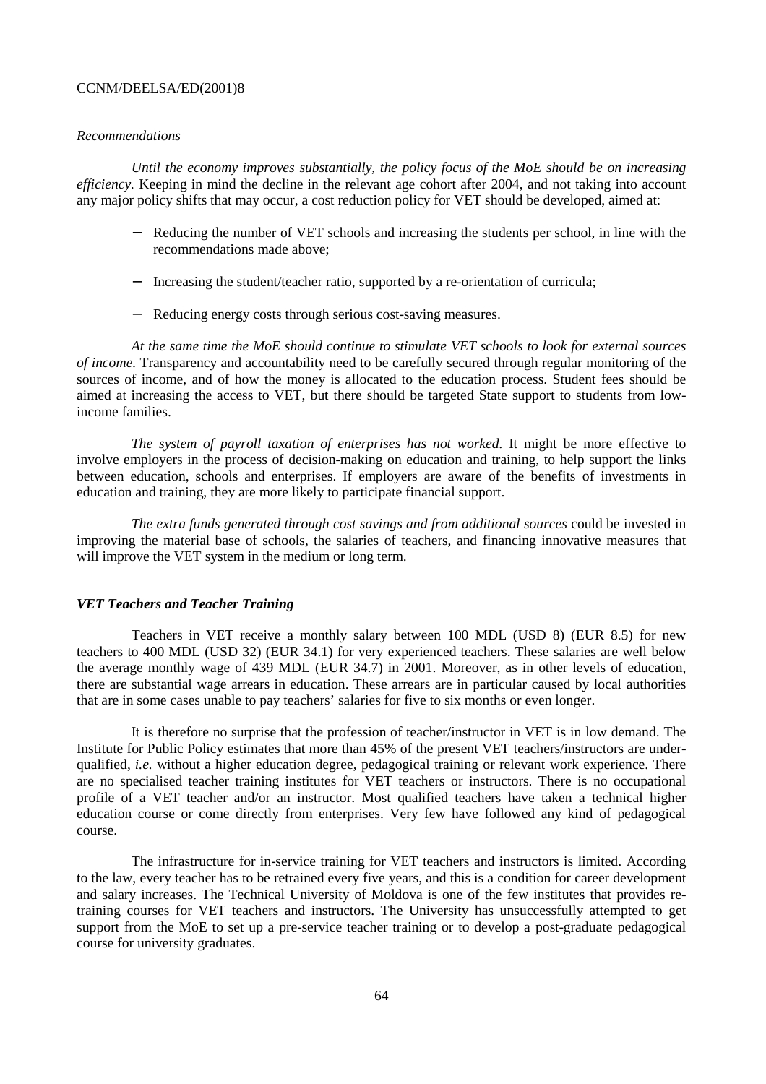## *Recommendations*

*Until the economy improves substantially, the policy focus of the MoE should be on increasing efficiency.* Keeping in mind the decline in the relevant age cohort after 2004, and not taking into account any major policy shifts that may occur, a cost reduction policy for VET should be developed, aimed at:

- Reducing the number of VET schools and increasing the students per school, in line with the recommendations made above;
- Increasing the student/teacher ratio, supported by a re-orientation of curricula;
- Reducing energy costs through serious cost-saving measures.

*At the same time the MoE should continue to stimulate VET schools to look for external sources of income.* Transparency and accountability need to be carefully secured through regular monitoring of the sources of income, and of how the money is allocated to the education process. Student fees should be aimed at increasing the access to VET, but there should be targeted State support to students from lowincome families.

*The system of payroll taxation of enterprises has not worked.* It might be more effective to involve employers in the process of decision-making on education and training, to help support the links between education, schools and enterprises. If employers are aware of the benefits of investments in education and training, they are more likely to participate financial support.

*The extra funds generated through cost savings and from additional sources* could be invested in improving the material base of schools, the salaries of teachers, and financing innovative measures that will improve the VET system in the medium or long term.

#### *VET Teachers and Teacher Training*

Teachers in VET receive a monthly salary between 100 MDL (USD 8) (EUR 8.5) for new teachers to 400 MDL (USD 32) (EUR 34.1) for very experienced teachers. These salaries are well below the average monthly wage of 439 MDL (EUR 34.7) in 2001. Moreover, as in other levels of education, there are substantial wage arrears in education. These arrears are in particular caused by local authorities that are in some cases unable to pay teachers' salaries for five to six months or even longer.

It is therefore no surprise that the profession of teacher/instructor in VET is in low demand. The Institute for Public Policy estimates that more than 45% of the present VET teachers/instructors are underqualified, *i.e.* without a higher education degree, pedagogical training or relevant work experience. There are no specialised teacher training institutes for VET teachers or instructors. There is no occupational profile of a VET teacher and/or an instructor. Most qualified teachers have taken a technical higher education course or come directly from enterprises. Very few have followed any kind of pedagogical course.

The infrastructure for in-service training for VET teachers and instructors is limited. According to the law, every teacher has to be retrained every five years, and this is a condition for career development and salary increases. The Technical University of Moldova is one of the few institutes that provides retraining courses for VET teachers and instructors. The University has unsuccessfully attempted to get support from the MoE to set up a pre-service teacher training or to develop a post-graduate pedagogical course for university graduates.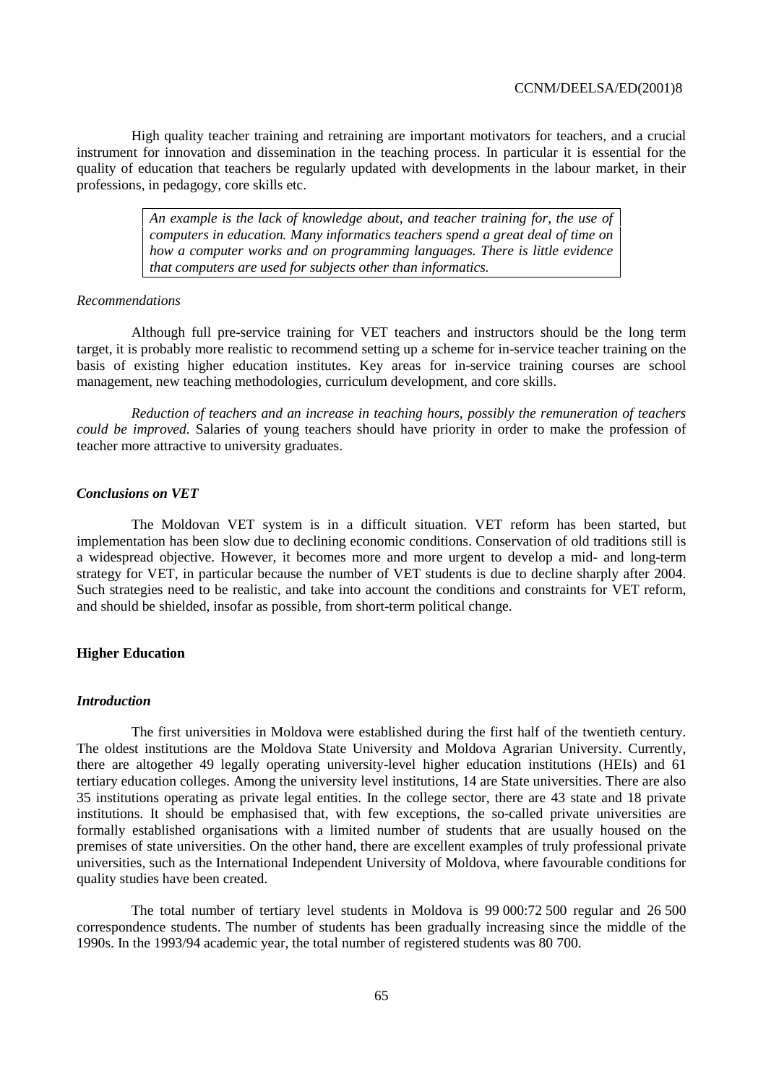High quality teacher training and retraining are important motivators for teachers, and a crucial instrument for innovation and dissemination in the teaching process. In particular it is essential for the quality of education that teachers be regularly updated with developments in the labour market, in their professions, in pedagogy, core skills etc.

> *An example is the lack of knowledge about, and teacher training for, the use of computers in education. Many informatics teachers spend a great deal of time on how a computer works and on programming languages. There is little evidence that computers are used for subjects other than informatics.*

# *Recommendations*

Although full pre-service training for VET teachers and instructors should be the long term target, it is probably more realistic to recommend setting up a scheme for in-service teacher training on the basis of existing higher education institutes. Key areas for in-service training courses are school management, new teaching methodologies, curriculum development, and core skills.

*Reduction of teachers and an increase in teaching hours, possibly the remuneration of teachers could be improved.* Salaries of young teachers should have priority in order to make the profession of teacher more attractive to university graduates.

# *Conclusions on VET*

The Moldovan VET system is in a difficult situation. VET reform has been started, but implementation has been slow due to declining economic conditions. Conservation of old traditions still is a widespread objective. However, it becomes more and more urgent to develop a mid- and long-term strategy for VET, in particular because the number of VET students is due to decline sharply after 2004. Such strategies need to be realistic, and take into account the conditions and constraints for VET reform, and should be shielded, insofar as possible, from short-term political change.

# **Higher Education**

# *Introduction*

The first universities in Moldova were established during the first half of the twentieth century. The oldest institutions are the Moldova State University and Moldova Agrarian University. Currently, there are altogether 49 legally operating university-level higher education institutions (HEIs) and 61 tertiary education colleges. Among the university level institutions, 14 are State universities. There are also 35 institutions operating as private legal entities. In the college sector, there are 43 state and 18 private institutions. It should be emphasised that, with few exceptions, the so-called private universities are formally established organisations with a limited number of students that are usually housed on the premises of state universities. On the other hand, there are excellent examples of truly professional private universities, such as the International Independent University of Moldova, where favourable conditions for quality studies have been created.

The total number of tertiary level students in Moldova is 99 000:72 500 regular and 26 500 correspondence students. The number of students has been gradually increasing since the middle of the 1990s. In the 1993/94 academic year, the total number of registered students was 80 700.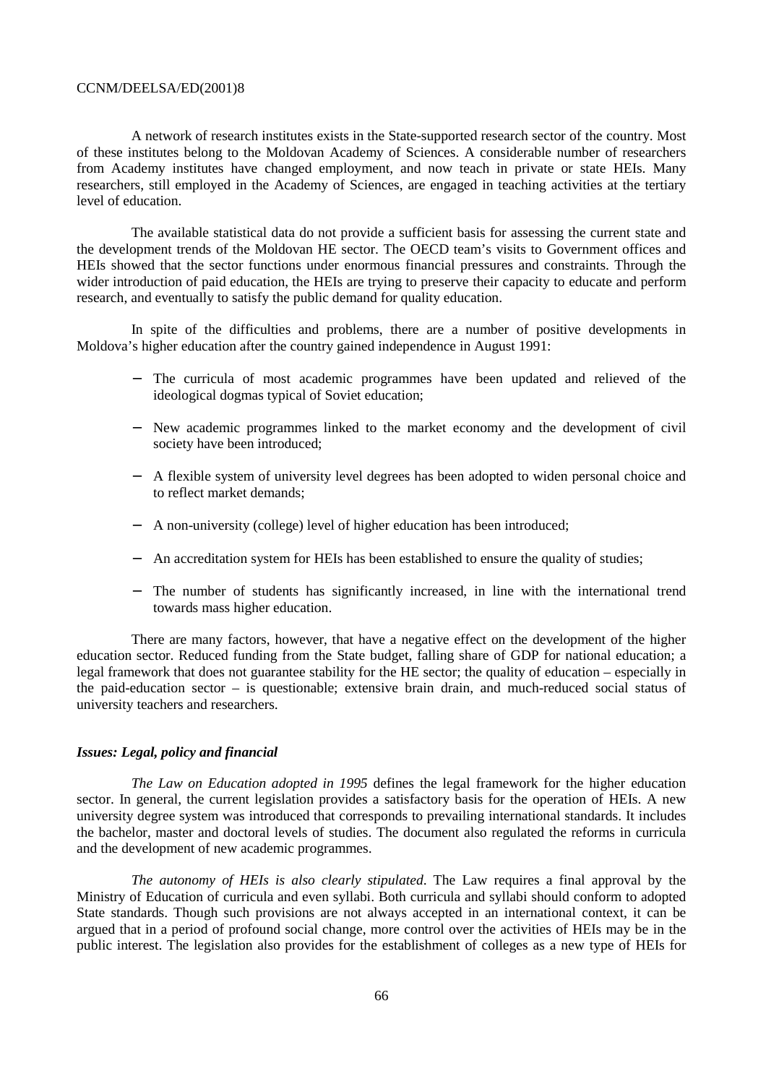A network of research institutes exists in the State-supported research sector of the country. Most of these institutes belong to the Moldovan Academy of Sciences. A considerable number of researchers from Academy institutes have changed employment, and now teach in private or state HEIs. Many researchers, still employed in the Academy of Sciences, are engaged in teaching activities at the tertiary level of education.

The available statistical data do not provide a sufficient basis for assessing the current state and the development trends of the Moldovan HE sector. The OECD team's visits to Government offices and HEIs showed that the sector functions under enormous financial pressures and constraints. Through the wider introduction of paid education, the HEIs are trying to preserve their capacity to educate and perform research, and eventually to satisfy the public demand for quality education.

In spite of the difficulties and problems, there are a number of positive developments in Moldova's higher education after the country gained independence in August 1991:

- − The curricula of most academic programmes have been updated and relieved of the ideological dogmas typical of Soviet education;
- − New academic programmes linked to the market economy and the development of civil society have been introduced;
- − A flexible system of university level degrees has been adopted to widen personal choice and to reflect market demands;
- − A non-university (college) level of higher education has been introduced;
- An accreditation system for HEIs has been established to ensure the quality of studies;
- − The number of students has significantly increased, in line with the international trend towards mass higher education.

There are many factors, however, that have a negative effect on the development of the higher education sector. Reduced funding from the State budget, falling share of GDP for national education; a legal framework that does not guarantee stability for the HE sector; the quality of education – especially in the paid-education sector – is questionable; extensive brain drain, and much-reduced social status of university teachers and researchers.

# *Issues: Legal, policy and financial*

*The Law on Education adopted in 1995* defines the legal framework for the higher education sector. In general, the current legislation provides a satisfactory basis for the operation of HEIs. A new university degree system was introduced that corresponds to prevailing international standards. It includes the bachelor, master and doctoral levels of studies. The document also regulated the reforms in curricula and the development of new academic programmes.

*The autonomy of HEIs is also clearly stipulated*. The Law requires a final approval by the Ministry of Education of curricula and even syllabi. Both curricula and syllabi should conform to adopted State standards. Though such provisions are not always accepted in an international context, it can be argued that in a period of profound social change, more control over the activities of HEIs may be in the public interest. The legislation also provides for the establishment of colleges as a new type of HEIs for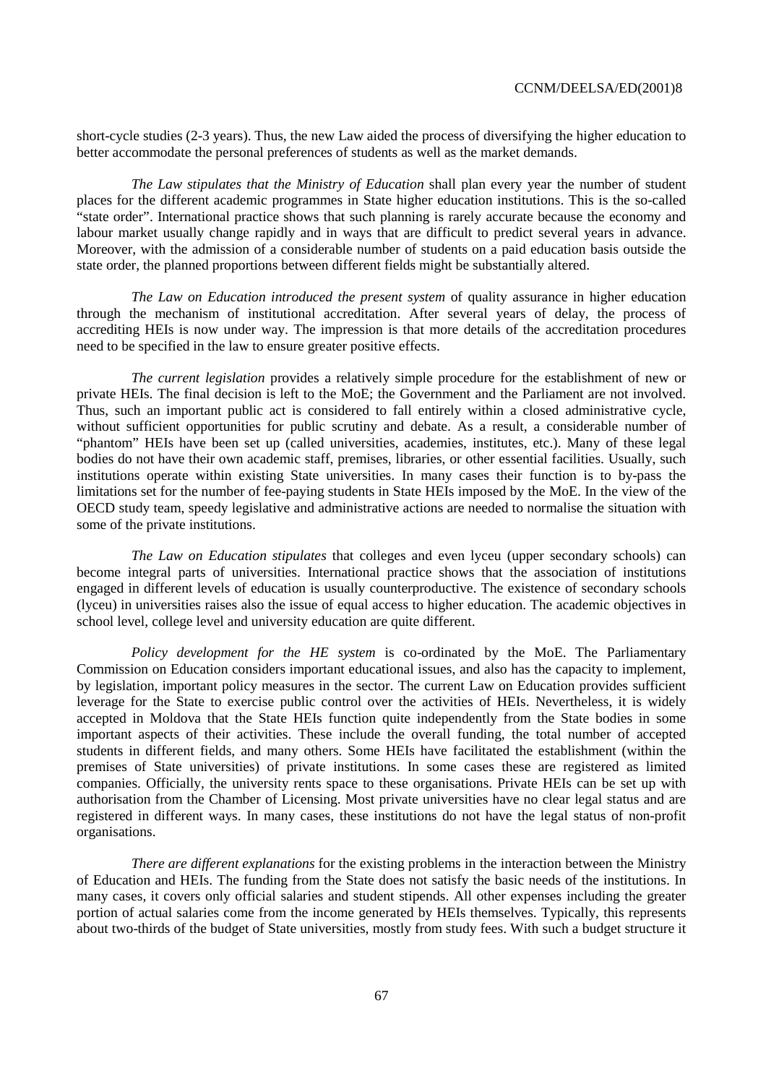short-cycle studies (2-3 years). Thus, the new Law aided the process of diversifying the higher education to better accommodate the personal preferences of students as well as the market demands.

*The Law stipulates that the Ministry of Education* shall plan every year the number of student places for the different academic programmes in State higher education institutions. This is the so-called "state order". International practice shows that such planning is rarely accurate because the economy and labour market usually change rapidly and in ways that are difficult to predict several years in advance. Moreover, with the admission of a considerable number of students on a paid education basis outside the state order, the planned proportions between different fields might be substantially altered.

*The Law on Education introduced the present system* of quality assurance in higher education through the mechanism of institutional accreditation. After several years of delay, the process of accrediting HEIs is now under way. The impression is that more details of the accreditation procedures need to be specified in the law to ensure greater positive effects.

*The current legislation* provides a relatively simple procedure for the establishment of new or private HEIs. The final decision is left to the MoE; the Government and the Parliament are not involved. Thus, such an important public act is considered to fall entirely within a closed administrative cycle, without sufficient opportunities for public scrutiny and debate. As a result, a considerable number of "phantom" HEIs have been set up (called universities, academies, institutes, etc.). Many of these legal bodies do not have their own academic staff, premises, libraries, or other essential facilities. Usually, such institutions operate within existing State universities. In many cases their function is to by-pass the limitations set for the number of fee-paying students in State HEIs imposed by the MoE. In the view of the OECD study team, speedy legislative and administrative actions are needed to normalise the situation with some of the private institutions.

*The Law on Education stipulates* that colleges and even lyceu (upper secondary schools) can become integral parts of universities. International practice shows that the association of institutions engaged in different levels of education is usually counterproductive. The existence of secondary schools (lyceu) in universities raises also the issue of equal access to higher education. The academic objectives in school level, college level and university education are quite different.

*Policy development for the HE system* is co-ordinated by the MoE. The Parliamentary Commission on Education considers important educational issues, and also has the capacity to implement, by legislation, important policy measures in the sector. The current Law on Education provides sufficient leverage for the State to exercise public control over the activities of HEIs. Nevertheless, it is widely accepted in Moldova that the State HEIs function quite independently from the State bodies in some important aspects of their activities. These include the overall funding, the total number of accepted students in different fields, and many others. Some HEIs have facilitated the establishment (within the premises of State universities) of private institutions. In some cases these are registered as limited companies. Officially, the university rents space to these organisations. Private HEIs can be set up with authorisation from the Chamber of Licensing. Most private universities have no clear legal status and are registered in different ways. In many cases, these institutions do not have the legal status of non-profit organisations.

*There are different explanations* for the existing problems in the interaction between the Ministry of Education and HEIs. The funding from the State does not satisfy the basic needs of the institutions. In many cases, it covers only official salaries and student stipends. All other expenses including the greater portion of actual salaries come from the income generated by HEIs themselves. Typically, this represents about two-thirds of the budget of State universities, mostly from study fees. With such a budget structure it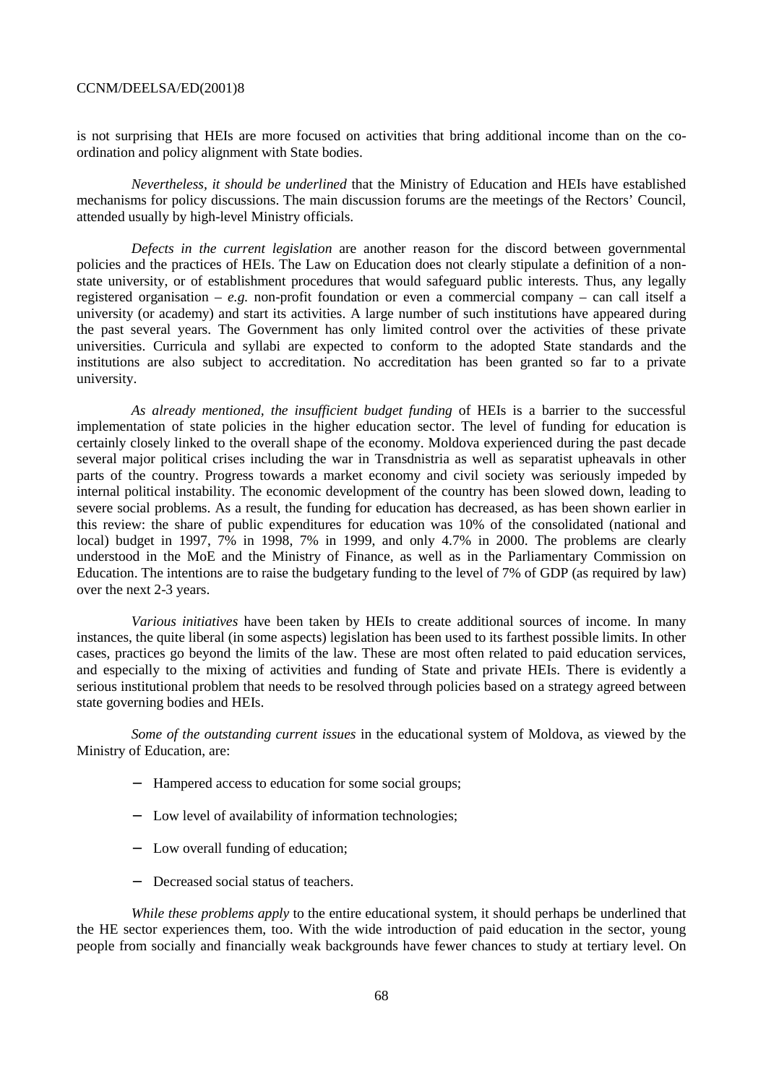is not surprising that HEIs are more focused on activities that bring additional income than on the coordination and policy alignment with State bodies.

*Nevertheless, it should be underlined* that the Ministry of Education and HEIs have established mechanisms for policy discussions. The main discussion forums are the meetings of the Rectors' Council, attended usually by high-level Ministry officials.

*Defects in the current legislation* are another reason for the discord between governmental policies and the practices of HEIs. The Law on Education does not clearly stipulate a definition of a nonstate university, or of establishment procedures that would safeguard public interests. Thus, any legally registered organisation – *e.g.* non-profit foundation or even a commercial company – can call itself a university (or academy) and start its activities. A large number of such institutions have appeared during the past several years. The Government has only limited control over the activities of these private universities. Curricula and syllabi are expected to conform to the adopted State standards and the institutions are also subject to accreditation. No accreditation has been granted so far to a private university.

*As already mentioned, the insufficient budget funding* of HEIs is a barrier to the successful implementation of state policies in the higher education sector. The level of funding for education is certainly closely linked to the overall shape of the economy. Moldova experienced during the past decade several major political crises including the war in Transdnistria as well as separatist upheavals in other parts of the country. Progress towards a market economy and civil society was seriously impeded by internal political instability. The economic development of the country has been slowed down, leading to severe social problems. As a result, the funding for education has decreased, as has been shown earlier in this review: the share of public expenditures for education was 10% of the consolidated (national and local) budget in 1997, 7% in 1998, 7% in 1999, and only 4.7% in 2000. The problems are clearly understood in the MoE and the Ministry of Finance, as well as in the Parliamentary Commission on Education. The intentions are to raise the budgetary funding to the level of 7% of GDP (as required by law) over the next 2-3 years.

*Various initiatives* have been taken by HEIs to create additional sources of income. In many instances, the quite liberal (in some aspects) legislation has been used to its farthest possible limits. In other cases, practices go beyond the limits of the law. These are most often related to paid education services, and especially to the mixing of activities and funding of State and private HEIs. There is evidently a serious institutional problem that needs to be resolved through policies based on a strategy agreed between state governing bodies and HEIs.

*Some of the outstanding current issues* in the educational system of Moldova, as viewed by the Ministry of Education, are:

- − Hampered access to education for some social groups;
- − Low level of availability of information technologies;
- − Low overall funding of education;
- − Decreased social status of teachers.

*While these problems apply* to the entire educational system, it should perhaps be underlined that the HE sector experiences them, too. With the wide introduction of paid education in the sector, young people from socially and financially weak backgrounds have fewer chances to study at tertiary level. On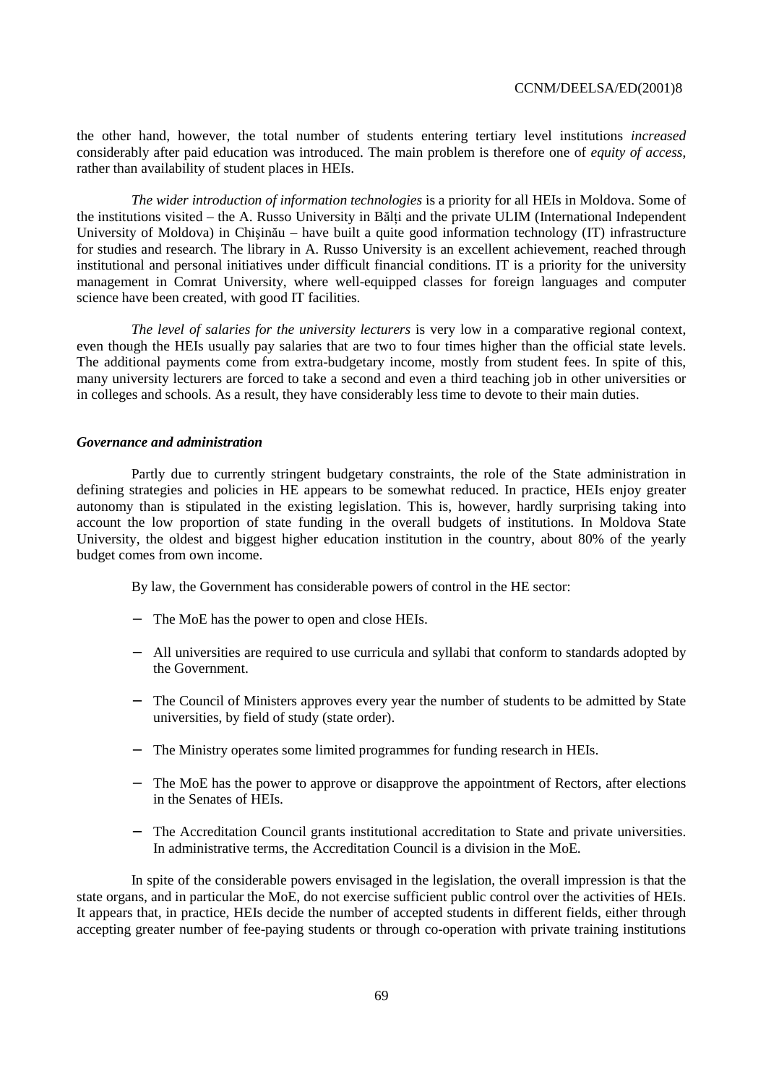the other hand, however, the total number of students entering tertiary level institutions *increased* considerably after paid education was introduced. The main problem is therefore one of *equity of access*, rather than availability of student places in HEIs.

*The wider introduction of information technologies* is a priority for all HEIs in Moldova. Some of the institutions visited – the A. Russo University in Bălti and the private ULIM (International Independent University of Moldova) in Chişinău – have built a quite good information technology (IT) infrastructure for studies and research. The library in A. Russo University is an excellent achievement, reached through institutional and personal initiatives under difficult financial conditions. IT is a priority for the university management in Comrat University, where well-equipped classes for foreign languages and computer science have been created, with good IT facilities.

*The level of salaries for the university lecturers* is very low in a comparative regional context, even though the HEIs usually pay salaries that are two to four times higher than the official state levels. The additional payments come from extra-budgetary income, mostly from student fees. In spite of this, many university lecturers are forced to take a second and even a third teaching job in other universities or in colleges and schools. As a result, they have considerably less time to devote to their main duties.

# *Governance and administration*

Partly due to currently stringent budgetary constraints, the role of the State administration in defining strategies and policies in HE appears to be somewhat reduced. In practice, HEIs enjoy greater autonomy than is stipulated in the existing legislation. This is, however, hardly surprising taking into account the low proportion of state funding in the overall budgets of institutions. In Moldova State University, the oldest and biggest higher education institution in the country, about 80% of the yearly budget comes from own income.

By law, the Government has considerable powers of control in the HE sector:

- − The MoE has the power to open and close HEIs.
- − All universities are required to use curricula and syllabi that conform to standards adopted by the Government.
- − The Council of Ministers approves every year the number of students to be admitted by State universities, by field of study (state order).
- − The Ministry operates some limited programmes for funding research in HEIs.
- − The MoE has the power to approve or disapprove the appointment of Rectors, after elections in the Senates of HEIs.
- The Accreditation Council grants institutional accreditation to State and private universities. In administrative terms, the Accreditation Council is a division in the MoE.

In spite of the considerable powers envisaged in the legislation, the overall impression is that the state organs, and in particular the MoE, do not exercise sufficient public control over the activities of HEIs. It appears that, in practice, HEIs decide the number of accepted students in different fields, either through accepting greater number of fee-paying students or through co-operation with private training institutions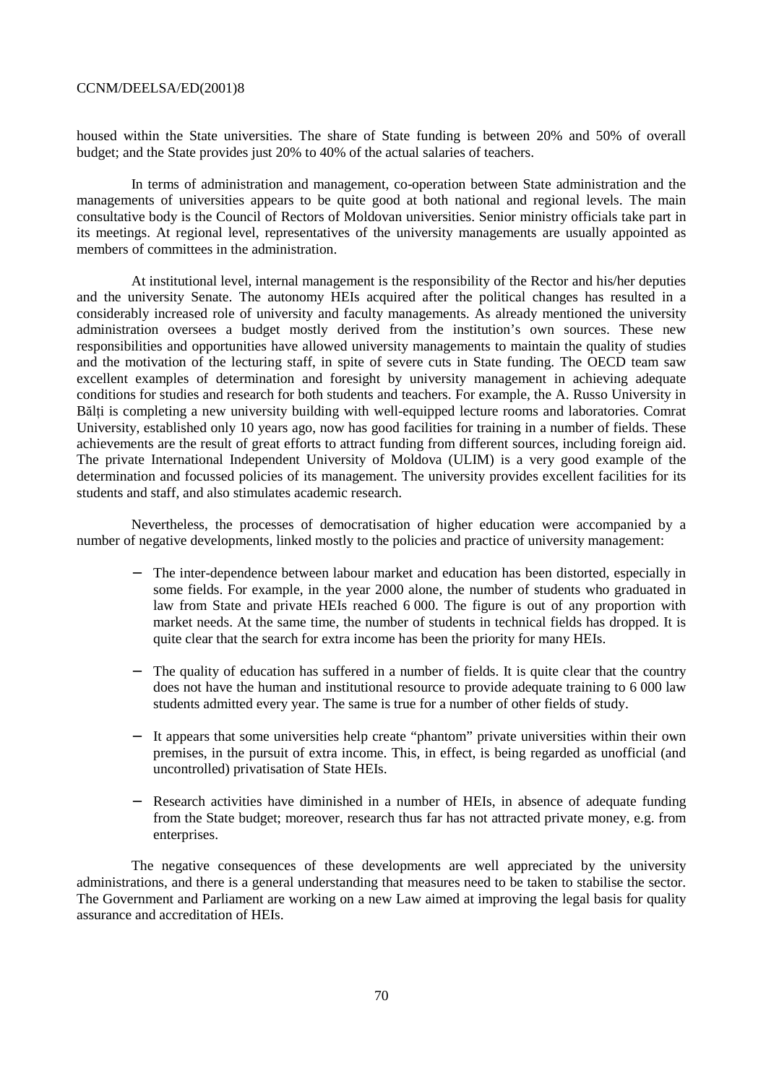housed within the State universities. The share of State funding is between 20% and 50% of overall budget; and the State provides just 20% to 40% of the actual salaries of teachers.

In terms of administration and management, co-operation between State administration and the managements of universities appears to be quite good at both national and regional levels. The main consultative body is the Council of Rectors of Moldovan universities. Senior ministry officials take part in its meetings. At regional level, representatives of the university managements are usually appointed as members of committees in the administration.

At institutional level, internal management is the responsibility of the Rector and his/her deputies and the university Senate. The autonomy HEIs acquired after the political changes has resulted in a considerably increased role of university and faculty managements. As already mentioned the university administration oversees a budget mostly derived from the institution's own sources. These new responsibilities and opportunities have allowed university managements to maintain the quality of studies and the motivation of the lecturing staff, in spite of severe cuts in State funding. The OECD team saw excellent examples of determination and foresight by university management in achieving adequate conditions for studies and research for both students and teachers. For example, the A. Russo University in Bălti is completing a new university building with well-equipped lecture rooms and laboratories. Comrat University, established only 10 years ago, now has good facilities for training in a number of fields. These achievements are the result of great efforts to attract funding from different sources, including foreign aid. The private International Independent University of Moldova (ULIM) is a very good example of the determination and focussed policies of its management. The university provides excellent facilities for its students and staff, and also stimulates academic research.

Nevertheless, the processes of democratisation of higher education were accompanied by a number of negative developments, linked mostly to the policies and practice of university management:

- The inter-dependence between labour market and education has been distorted, especially in some fields. For example, in the year 2000 alone, the number of students who graduated in law from State and private HEIs reached 6 000. The figure is out of any proportion with market needs. At the same time, the number of students in technical fields has dropped. It is quite clear that the search for extra income has been the priority for many HEIs.
- The quality of education has suffered in a number of fields. It is quite clear that the country does not have the human and institutional resource to provide adequate training to 6 000 law students admitted every year. The same is true for a number of other fields of study.
- It appears that some universities help create "phantom" private universities within their own premises, in the pursuit of extra income. This, in effect, is being regarded as unofficial (and uncontrolled) privatisation of State HEIs.
- − Research activities have diminished in a number of HEIs, in absence of adequate funding from the State budget; moreover, research thus far has not attracted private money, e.g. from enterprises.

The negative consequences of these developments are well appreciated by the university administrations, and there is a general understanding that measures need to be taken to stabilise the sector. The Government and Parliament are working on a new Law aimed at improving the legal basis for quality assurance and accreditation of HEIs.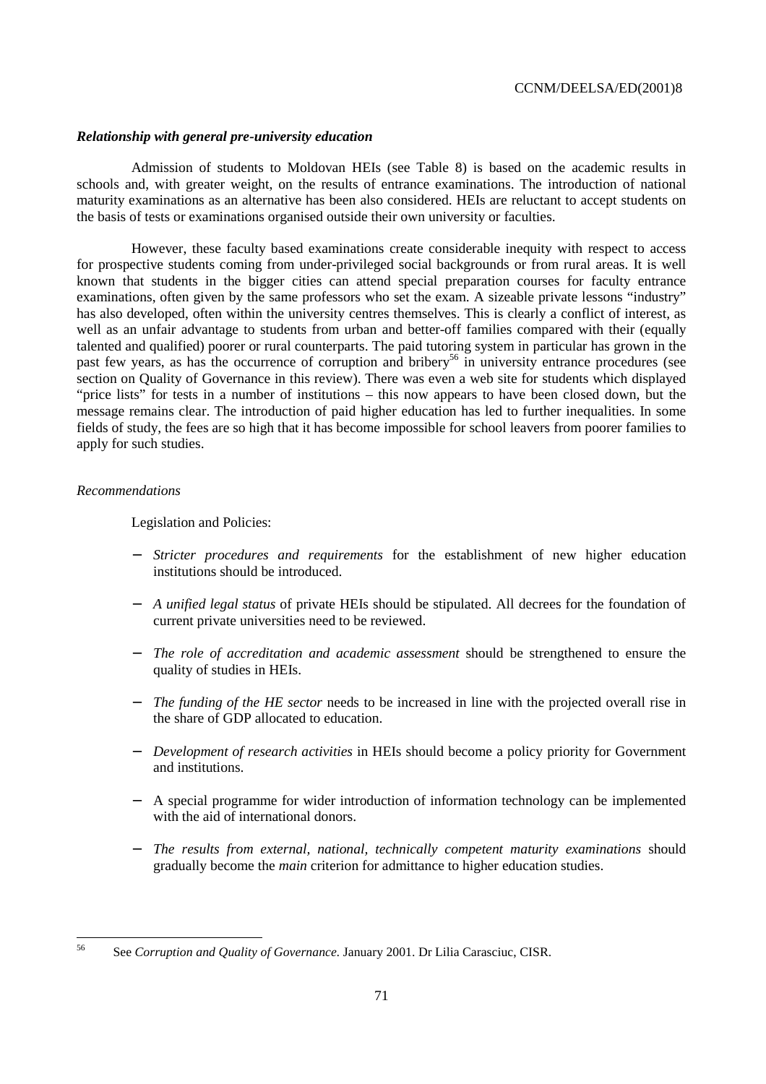# *Relationship with general pre-university education*

Admission of students to Moldovan HEIs (see Table 8) is based on the academic results in schools and, with greater weight, on the results of entrance examinations. The introduction of national maturity examinations as an alternative has been also considered. HEIs are reluctant to accept students on the basis of tests or examinations organised outside their own university or faculties.

However, these faculty based examinations create considerable inequity with respect to access for prospective students coming from under-privileged social backgrounds or from rural areas. It is well known that students in the bigger cities can attend special preparation courses for faculty entrance examinations, often given by the same professors who set the exam. A sizeable private lessons "industry" has also developed, often within the university centres themselves. This is clearly a conflict of interest, as well as an unfair advantage to students from urban and better-off families compared with their (equally talented and qualified) poorer or rural counterparts. The paid tutoring system in particular has grown in the past few years, as has the occurrence of corruption and bribery<sup>56</sup> in university entrance procedures (see section on Quality of Governance in this review). There was even a web site for students which displayed "price lists" for tests in a number of institutions – this now appears to have been closed down, but the message remains clear. The introduction of paid higher education has led to further inequalities. In some fields of study, the fees are so high that it has become impossible for school leavers from poorer families to apply for such studies.

# *Recommendations*

Legislation and Policies:

- − *Stricter procedures and requirements* for the establishment of new higher education institutions should be introduced.
- − *A unified legal status* of private HEIs should be stipulated. All decrees for the foundation of current private universities need to be reviewed.
- − *The role of accreditation and academic assessment* should be strengthened to ensure the quality of studies in HEIs.
- − *The funding of the HE sector* needs to be increased in line with the projected overall rise in the share of GDP allocated to education.
- − *Development of research activities* in HEIs should become a policy priority for Government and institutions.
- − A special programme for wider introduction of information technology can be implemented with the aid of international donors.
- − *The results from external, national, technically competent maturity examinations* should gradually become the *main* criterion for admittance to higher education studies.

<sup>56</sup> See *Corruption and Quality of Governance.* January 2001. Dr Lilia Carasciuc, CISR.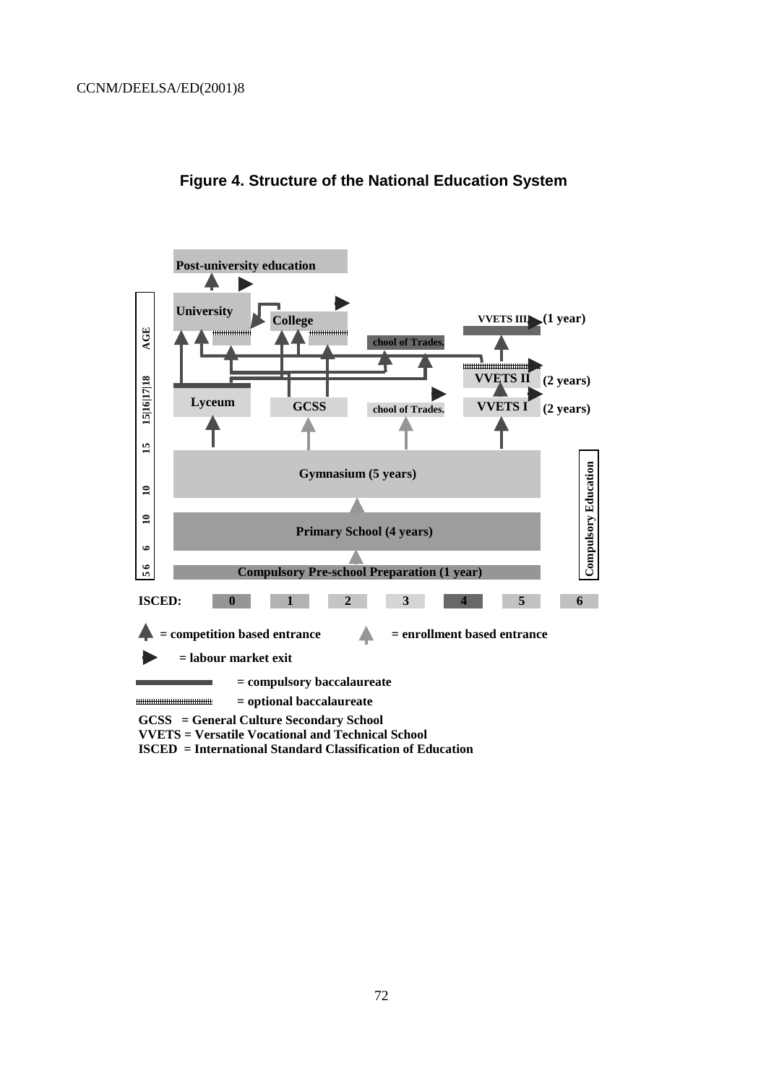

**Figure 4. Structure of the National Education System**

**GCSS = General Culture Secondary School VVETS = Versatile Vocational and Technical School**

**ISCED = International Standard Classification of Education**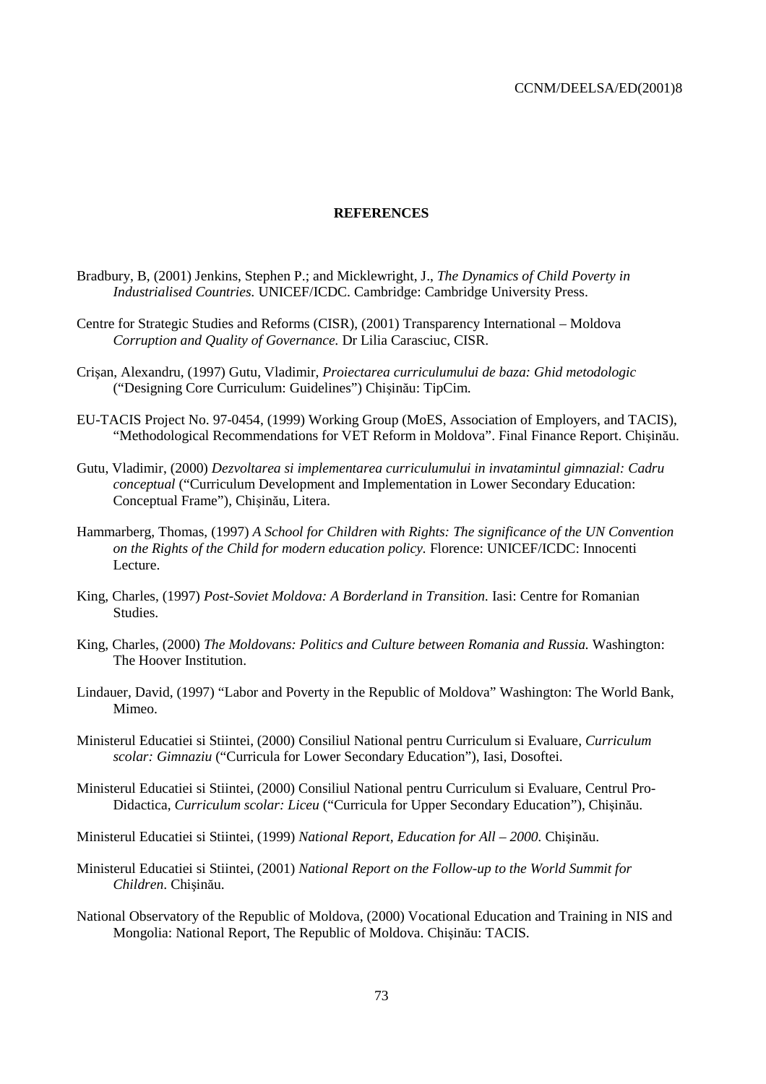## **REFERENCES**

- Bradbury, B, (2001) Jenkins, Stephen P.; and Micklewright, J., *The Dynamics of Child Poverty in Industrialised Countries.* UNICEF/ICDC. Cambridge: Cambridge University Press.
- Centre for Strategic Studies and Reforms (CISR), (2001) Transparency International Moldova *Corruption and Quality of Governance.* Dr Lilia Carasciuc, CISR.
- Crişan, Alexandru, (1997) Gutu, Vladimir, *Proiectarea curriculumului de baza: Ghid metodologic* ("Designing Core Curriculum: Guidelines") Chişinău: TipCim.
- EU-TACIS Project No. 97-0454, (1999) Working Group (MoES, Association of Employers, and TACIS), "Methodological Recommendations for VET Reform in Moldova". Final Finance Report. Chişinău.
- Gutu, Vladimir, (2000) *Dezvoltarea si implementarea curriculumului in invatamintul gimnazial: Cadru conceptual* ("Curriculum Development and Implementation in Lower Secondary Education: Conceptual Frame"), Chişinău, Litera.
- Hammarberg, Thomas, (1997) *A School for Children with Rights: The significance of the UN Convention on the Rights of the Child for modern education policy.* Florence: UNICEF/ICDC: Innocenti Lecture.
- King, Charles, (1997) *Post-Soviet Moldova: A Borderland in Transition.* Iasi: Centre for Romanian Studies.
- King, Charles, (2000) *The Moldovans: Politics and Culture between Romania and Russia.* Washington: The Hoover Institution.
- Lindauer, David, (1997) "Labor and Poverty in the Republic of Moldova" Washington: The World Bank, Mimeo.
- Ministerul Educatiei si Stiintei, (2000) Consiliul National pentru Curriculum si Evaluare, *Curriculum scolar: Gimnaziu* ("Curricula for Lower Secondary Education"), Iasi, Dosoftei.
- Ministerul Educatiei si Stiintei, (2000) Consiliul National pentru Curriculum si Evaluare, Centrul Pro-Didactica, *Curriculum scolar: Liceu* ("Curricula for Upper Secondary Education"), Chişinău.

Ministerul Educatiei si Stiintei, (1999) *National Report, Education for All – 2000.* Chişinău.

- Ministerul Educatiei si Stiintei, (2001) *National Report on the Follow-up to the World Summit for Children*. Chişinău.
- National Observatory of the Republic of Moldova, (2000) Vocational Education and Training in NIS and Mongolia: National Report, The Republic of Moldova. Chişinău: TACIS.